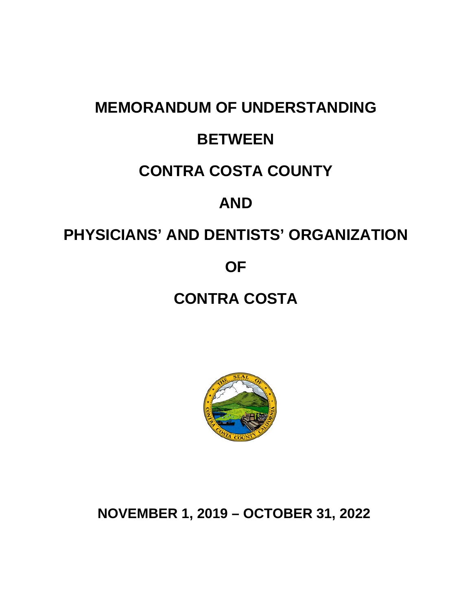# **MEMORANDUM OF UNDERSTANDING BETWEEN CONTRA COSTA COUNTY AND PHYSICIANS' AND DENTISTS' ORGANIZATION OF**

# **CONTRA COSTA**



**NOVEMBER 1, 2019 – OCTOBER 31, 2022**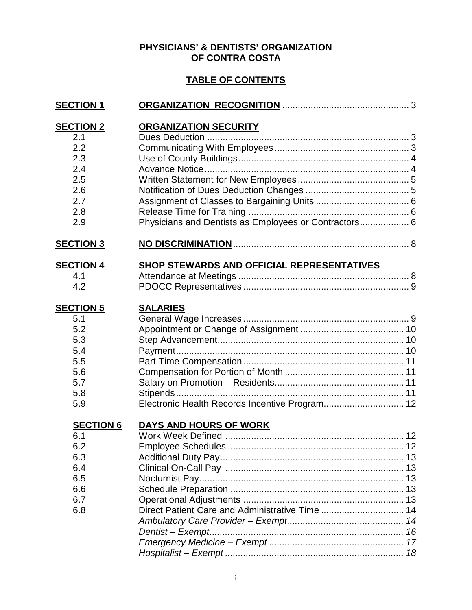#### **PHYSICIANS' & DENTISTS' ORGANIZATION OF CONTRA COSTA**

#### **TABLE OF CONTENTS**

| <b>SECTION 1</b>                                                                |                                                                                       |  |
|---------------------------------------------------------------------------------|---------------------------------------------------------------------------------------|--|
| <b>SECTION 2</b><br>2.1<br>2.2<br>2.3<br>2.4<br>2.5<br>2.6<br>2.7<br>2.8<br>2.9 | <b>ORGANIZATION SECURITY</b><br>Physicians and Dentists as Employees or Contractors 6 |  |
| <b>SECTION 3</b>                                                                |                                                                                       |  |
| <b>SECTION 4</b><br>4.1<br>4.2                                                  |                                                                                       |  |
| <b>SECTION 5</b><br>5.1<br>5.2<br>5.3<br>5.4<br>5.5<br>5.6<br>5.7<br>5.8<br>5.9 | <b>SALARIES</b><br>Electronic Health Records Incentive Program 12                     |  |
| <b>SECTION 6</b><br>6.1<br>6.2<br>6.3<br>6.4<br>6.5<br>6.6<br>6.7<br>6.8        | <b>DAYS AND HOURS OF WORK</b>                                                         |  |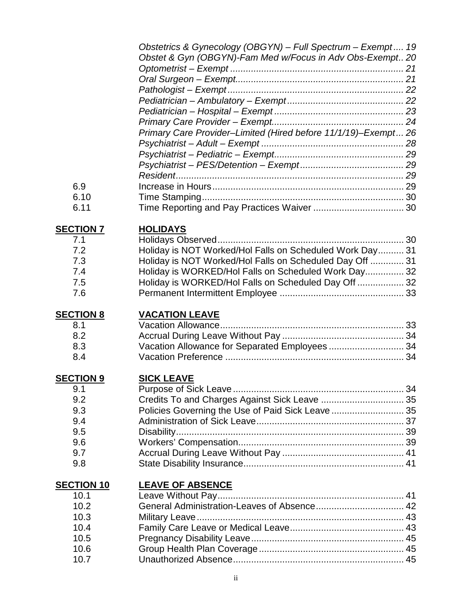|                           | Obstetrics & Gynecology (OBGYN) - Full Spectrum - Exempt 19<br>Obstet & Gyn (OBGYN)-Fam Med w/Focus in Adv Obs-Exempt 20 |  |
|---------------------------|--------------------------------------------------------------------------------------------------------------------------|--|
|                           |                                                                                                                          |  |
|                           |                                                                                                                          |  |
|                           |                                                                                                                          |  |
|                           |                                                                                                                          |  |
|                           |                                                                                                                          |  |
|                           |                                                                                                                          |  |
|                           | Primary Care Provider-Limited (Hired before 11/1/19)-Exempt 26                                                           |  |
|                           |                                                                                                                          |  |
|                           |                                                                                                                          |  |
|                           |                                                                                                                          |  |
| 6.9                       |                                                                                                                          |  |
| 6.10                      |                                                                                                                          |  |
| 6.11                      |                                                                                                                          |  |
|                           |                                                                                                                          |  |
| <b>SECTION 7</b>          | <b>HOLIDAYS</b>                                                                                                          |  |
| 7.1                       |                                                                                                                          |  |
| 7.2                       | Holiday is NOT Worked/Hol Falls on Scheduled Work Day 31                                                                 |  |
| 7.3                       | Holiday is NOT Worked/Hol Falls on Scheduled Day Off  31                                                                 |  |
| 7.4                       | Holiday is WORKED/Hol Falls on Scheduled Work Day 32                                                                     |  |
| 7.5                       | Holiday is WORKED/Hol Falls on Scheduled Day Off  32                                                                     |  |
| 7.6                       |                                                                                                                          |  |
|                           |                                                                                                                          |  |
|                           |                                                                                                                          |  |
|                           |                                                                                                                          |  |
| <b>SECTION 8</b>          | <b>VACATION LEAVE</b>                                                                                                    |  |
| 8.1                       |                                                                                                                          |  |
| 8.2                       |                                                                                                                          |  |
| 8.3                       | Vacation Allowance for Separated Employees  34                                                                           |  |
| 8.4                       |                                                                                                                          |  |
|                           |                                                                                                                          |  |
| <b>SECTION 9</b>          | <b>SICK LEAVE</b>                                                                                                        |  |
| 9.1                       |                                                                                                                          |  |
| 9.2                       | Credits To and Charges Against Sick Leave  35                                                                            |  |
| 9.3                       | Policies Governing the Use of Paid Sick Leave  35                                                                        |  |
| 9.4                       |                                                                                                                          |  |
| 9.5                       |                                                                                                                          |  |
| 9.6                       |                                                                                                                          |  |
| 9.7                       |                                                                                                                          |  |
| 9.8                       |                                                                                                                          |  |
|                           |                                                                                                                          |  |
| <b>SECTION 10</b><br>10.1 | <b>LEAVE OF ABSENCE</b>                                                                                                  |  |
| 10.2                      |                                                                                                                          |  |
| 10.3                      |                                                                                                                          |  |
| 10.4                      |                                                                                                                          |  |
| 10.5                      |                                                                                                                          |  |
| 10.6                      |                                                                                                                          |  |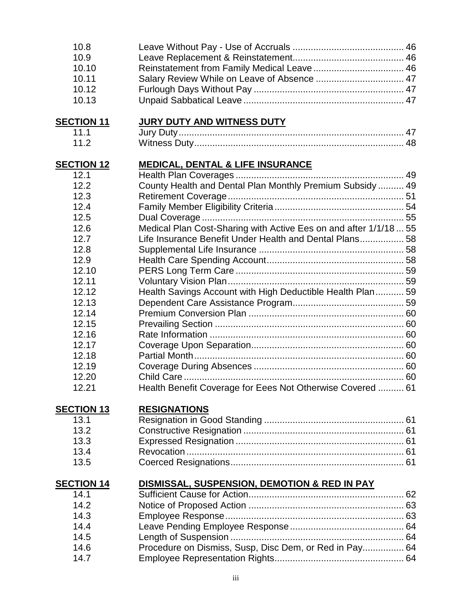| 10.8              |                                                                   |  |
|-------------------|-------------------------------------------------------------------|--|
| 10.9              |                                                                   |  |
| 10.10             |                                                                   |  |
| 10.11             |                                                                   |  |
| 10.12             |                                                                   |  |
| 10.13             |                                                                   |  |
| <b>SECTION 11</b> | <b>JURY DUTY AND WITNESS DUTY</b>                                 |  |
| 11.1              |                                                                   |  |
| 11.2              |                                                                   |  |
| <b>SECTION 12</b> | <b>MEDICAL, DENTAL &amp; LIFE INSURANCE</b>                       |  |
| 12.1              |                                                                   |  |
| 12.2              | County Health and Dental Plan Monthly Premium Subsidy  49         |  |
| 12.3              |                                                                   |  |
| 12.4              |                                                                   |  |
| 12.5              |                                                                   |  |
| 12.6              | Medical Plan Cost-Sharing with Active Ees on and after 1/1/18  55 |  |
| 12.7              | Life Insurance Benefit Under Health and Dental Plans 58           |  |
| 12.8              |                                                                   |  |
| 12.9              |                                                                   |  |
| 12.10             |                                                                   |  |
| 12.11             |                                                                   |  |
| 12.12             | Health Savings Account with High Deductible Health Plan 59        |  |
| 12.13             |                                                                   |  |
| 12.14             |                                                                   |  |
| 12.15             |                                                                   |  |
| 12.16             |                                                                   |  |
| 12.17             |                                                                   |  |
| 12.18             |                                                                   |  |
| 12.19             |                                                                   |  |
| 12.20             |                                                                   |  |
| 12.21             | Health Benefit Coverage for Eees Not Otherwise Covered  61        |  |
| <b>SECTION 13</b> | <b>RESIGNATIONS</b>                                               |  |
| 13.1              |                                                                   |  |
| 13.2              |                                                                   |  |
| 13.3              |                                                                   |  |
| 13.4              |                                                                   |  |
| 13.5              |                                                                   |  |
| <b>SECTION 14</b> | DISMISSAL, SUSPENSION, DEMOTION & RED IN PAY                      |  |
| 14.1              |                                                                   |  |
| 14.2              |                                                                   |  |
| 14.3              |                                                                   |  |
| 14.4              |                                                                   |  |
| 14.5              |                                                                   |  |
| 14.6              | Procedure on Dismiss, Susp, Disc Dem, or Red in Pay 64            |  |
| 14.7              |                                                                   |  |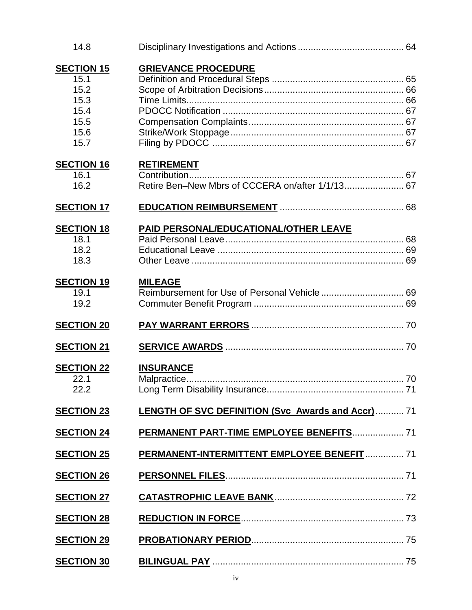| 14.8                                                                      |                                                                       |  |
|---------------------------------------------------------------------------|-----------------------------------------------------------------------|--|
| <b>SECTION 15</b><br>15.1<br>15.2<br>15.3<br>15.4<br>15.5<br>15.6<br>15.7 | <b>GRIEVANCE PROCEDURE</b>                                            |  |
| <b>SECTION 16</b><br>16.1<br>16.2                                         | <b>RETIREMENT</b><br>Retire Ben-New Mbrs of CCCERA on/after 1/1/13 67 |  |
| <b>SECTION 17</b>                                                         |                                                                       |  |
| <b>SECTION 18</b><br>18.1<br>18.2<br>18.3                                 | <b>PAID PERSONAL/EDUCATIONAL/OTHER LEAVE</b>                          |  |
| <b>SECTION 19</b><br>19.1<br>19.2                                         | <b>MILEAGE</b>                                                        |  |
| <b>SECTION 20</b>                                                         |                                                                       |  |
| <b>SECTION 21</b>                                                         |                                                                       |  |
| <b>SECTION 22</b><br>22.1<br>22.2                                         | <b>INSURANCE</b>                                                      |  |
| <b>SECTION 23</b>                                                         | LENGTH OF SVC DEFINITION (Svc Awards and Accr)  71                    |  |
| <b>SECTION 24</b>                                                         | PERMANENT PART-TIME EMPLOYEE BENEFITS 71                              |  |
| <b>SECTION 25</b>                                                         | PERMANENT-INTERMITTENT EMPLOYEE BENEFIT  71                           |  |
| <b>SECTION 26</b>                                                         |                                                                       |  |
| <b>SECTION 27</b>                                                         |                                                                       |  |
| <b>SECTION 28</b>                                                         |                                                                       |  |
| <b>SECTION 29</b>                                                         |                                                                       |  |
| <b>SECTION 30</b>                                                         |                                                                       |  |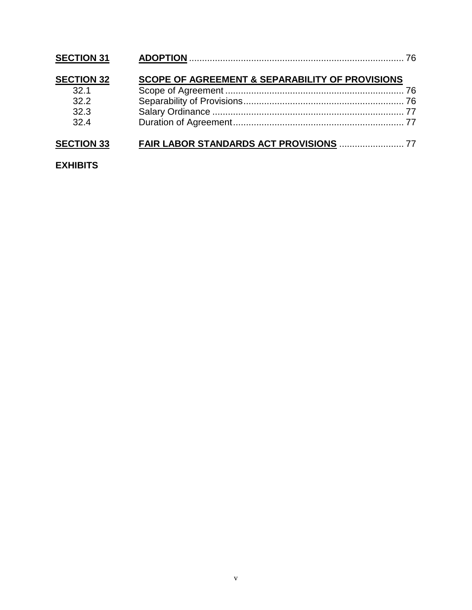| <b>SECTION 31</b> |                                                            |  |
|-------------------|------------------------------------------------------------|--|
| <b>SECTION 32</b> | <b>SCOPE OF AGREEMENT &amp; SEPARABILITY OF PROVISIONS</b> |  |
| 32 <sub>1</sub>   |                                                            |  |
| 32.2              |                                                            |  |
| 32.3              |                                                            |  |
| 32.4              |                                                            |  |
| <b>SECTION 33</b> |                                                            |  |

#### **EXHIBITS**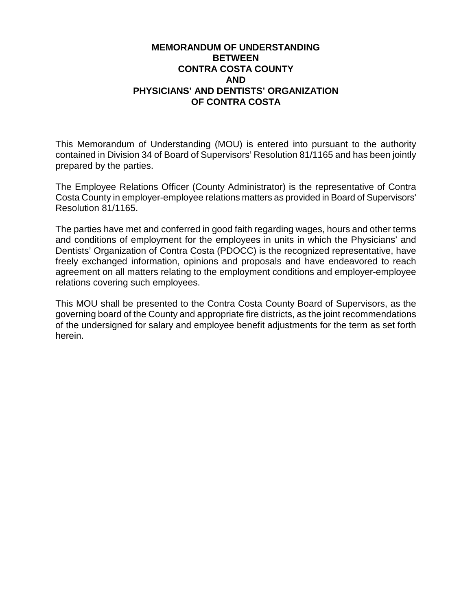#### **MEMORANDUM OF UNDERSTANDING BETWEEN CONTRA COSTA COUNTY AND PHYSICIANS' AND DENTISTS' ORGANIZATION OF CONTRA COSTA**

This Memorandum of Understanding (MOU) is entered into pursuant to the authority contained in Division 34 of Board of Supervisors' Resolution 81/1165 and has been jointly prepared by the parties.

The Employee Relations Officer (County Administrator) is the representative of Contra Costa County in employer-employee relations matters as provided in Board of Supervisors' Resolution 81/1165.

The parties have met and conferred in good faith regarding wages, hours and other terms and conditions of employment for the employees in units in which the Physicians' and Dentists' Organization of Contra Costa (PDOCC) is the recognized representative, have freely exchanged information, opinions and proposals and have endeavored to reach agreement on all matters relating to the employment conditions and employer-employee relations covering such employees.

This MOU shall be presented to the Contra Costa County Board of Supervisors, as the governing board of the County and appropriate fire districts, as the joint recommendations of the undersigned for salary and employee benefit adjustments for the term as set forth herein.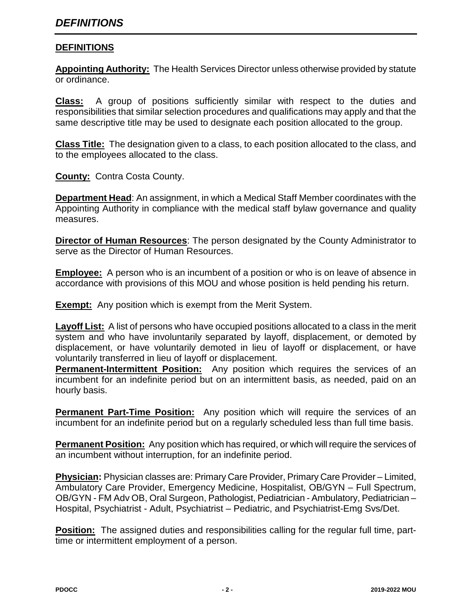#### **DEFINITIONS**

**Appointing Authority:** The Health Services Director unless otherwise provided by statute or ordinance.

**Class:** A group of positions sufficiently similar with respect to the duties and responsibilities that similar selection procedures and qualifications may apply and that the same descriptive title may be used to designate each position allocated to the group.

**Class Title:** The designation given to a class, to each position allocated to the class, and to the employees allocated to the class.

**County:** Contra Costa County.

**Department Head**: An assignment, in which a Medical Staff Member coordinates with the Appointing Authority in compliance with the medical staff bylaw governance and quality measures.

**Director of Human Resources**: The person designated by the County Administrator to serve as the Director of Human Resources.

**Employee:** A person who is an incumbent of a position or who is on leave of absence in accordance with provisions of this MOU and whose position is held pending his return.

**Exempt:** Any position which is exempt from the Merit System.

**Layoff List:** A list of persons who have occupied positions allocated to a class in the merit system and who have involuntarily separated by layoff, displacement, or demoted by displacement, or have voluntarily demoted in lieu of layoff or displacement, or have voluntarily transferred in lieu of layoff or displacement.

**Permanent-Intermittent Position:** Any position which requires the services of an incumbent for an indefinite period but on an intermittent basis, as needed, paid on an hourly basis.

**Permanent Part-Time Position:** Any position which will require the services of an incumbent for an indefinite period but on a regularly scheduled less than full time basis.

**Permanent Position:** Any position which has required, or which will require the services of an incumbent without interruption, for an indefinite period.

**Physician:** Physician classes are: Primary Care Provider, Primary Care Provider – Limited, Ambulatory Care Provider, Emergency Medicine, Hospitalist, OB/GYN – Full Spectrum, OB/GYN - FM Adv OB, Oral Surgeon, Pathologist, Pediatrician - Ambulatory, Pediatrician – Hospital, Psychiatrist - Adult, Psychiatrist – Pediatric, and Psychiatrist-Emg Svs/Det.

**Position:** The assigned duties and responsibilities calling for the regular full time, parttime or intermittent employment of a person.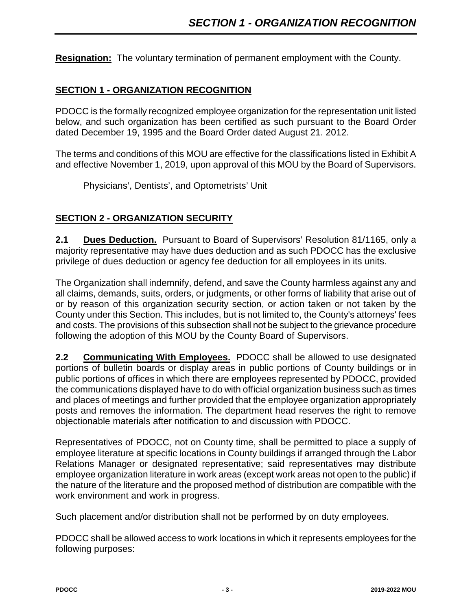**Resignation:** The voluntary termination of permanent employment with the County.

#### **SECTION 1 - ORGANIZATION RECOGNITION**

PDOCC is the formally recognized employee organization for the representation unit listed below, and such organization has been certified as such pursuant to the Board Order dated December 19, 1995 and the Board Order dated August 21. 2012.

The terms and conditions of this MOU are effective for the classifications listed in Exhibit A and effective November 1, 2019, upon approval of this MOU by the Board of Supervisors.

Physicians', Dentists', and Optometrists' Unit

#### **SECTION 2 - ORGANIZATION SECURITY**

**2.1 Dues Deduction.** Pursuant to Board of Supervisors' Resolution 81/1165, only a majority representative may have dues deduction and as such PDOCC has the exclusive privilege of dues deduction or agency fee deduction for all employees in its units.

The Organization shall indemnify, defend, and save the County harmless against any and all claims, demands, suits, orders, or judgments, or other forms of liability that arise out of or by reason of this organization security section, or action taken or not taken by the County under this Section. This includes, but is not limited to, the County's attorneys' fees and costs. The provisions of this subsection shall not be subject to the grievance procedure following the adoption of this MOU by the County Board of Supervisors.

**2.2 Communicating With Employees.** PDOCC shall be allowed to use designated portions of bulletin boards or display areas in public portions of County buildings or in public portions of offices in which there are employees represented by PDOCC, provided the communications displayed have to do with official organization business such as times and places of meetings and further provided that the employee organization appropriately posts and removes the information. The department head reserves the right to remove objectionable materials after notification to and discussion with PDOCC.

Representatives of PDOCC, not on County time, shall be permitted to place a supply of employee literature at specific locations in County buildings if arranged through the Labor Relations Manager or designated representative; said representatives may distribute employee organization literature in work areas (except work areas not open to the public) if the nature of the literature and the proposed method of distribution are compatible with the work environment and work in progress.

Such placement and/or distribution shall not be performed by on duty employees.

PDOCC shall be allowed access to work locations in which it represents employees for the following purposes: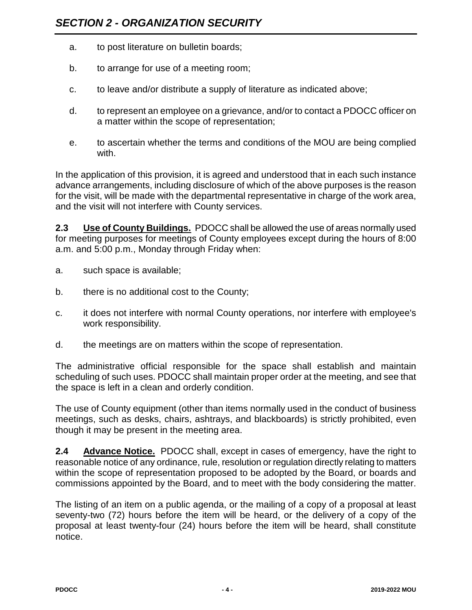- a. to post literature on bulletin boards;
- b. to arrange for use of a meeting room;
- c. to leave and/or distribute a supply of literature as indicated above;
- d. to represent an employee on a grievance, and/or to contact a PDOCC officer on a matter within the scope of representation;
- e. to ascertain whether the terms and conditions of the MOU are being complied with.

In the application of this provision, it is agreed and understood that in each such instance advance arrangements, including disclosure of which of the above purposes is the reason for the visit, will be made with the departmental representative in charge of the work area, and the visit will not interfere with County services.

**2.3 Use of County Buildings.** PDOCC shall be allowed the use of areas normally used for meeting purposes for meetings of County employees except during the hours of 8:00 a.m. and 5:00 p.m., Monday through Friday when:

- a. such space is available;
- b. there is no additional cost to the County;
- c. it does not interfere with normal County operations, nor interfere with employee's work responsibility.
- d. the meetings are on matters within the scope of representation.

The administrative official responsible for the space shall establish and maintain scheduling of such uses. PDOCC shall maintain proper order at the meeting, and see that the space is left in a clean and orderly condition.

The use of County equipment (other than items normally used in the conduct of business meetings, such as desks, chairs, ashtrays, and blackboards) is strictly prohibited, even though it may be present in the meeting area.

**2.4 Advance Notice.** PDOCC shall, except in cases of emergency, have the right to reasonable notice of any ordinance, rule, resolution or regulation directly relating to matters within the scope of representation proposed to be adopted by the Board, or boards and commissions appointed by the Board, and to meet with the body considering the matter.

The listing of an item on a public agenda, or the mailing of a copy of a proposal at least seventy-two (72) hours before the item will be heard, or the delivery of a copy of the proposal at least twenty-four (24) hours before the item will be heard, shall constitute notice.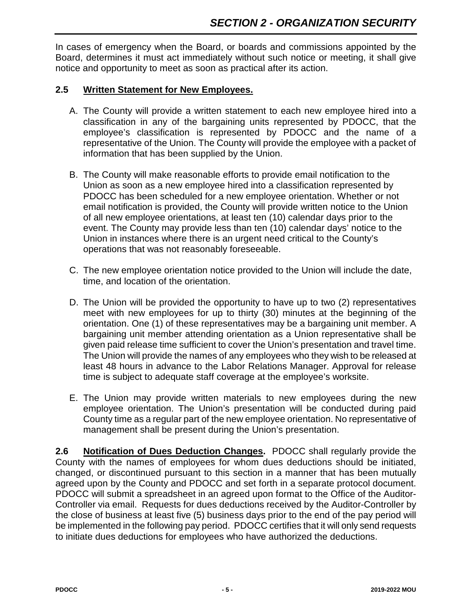In cases of emergency when the Board, or boards and commissions appointed by the Board, determines it must act immediately without such notice or meeting, it shall give notice and opportunity to meet as soon as practical after its action.

#### **2.5 Written Statement for New Employees.**

- A. The County will provide a written statement to each new employee hired into a classification in any of the bargaining units represented by PDOCC, that the employee's classification is represented by PDOCC and the name of a representative of the Union. The County will provide the employee with a packet of information that has been supplied by the Union.
- B. The County will make reasonable efforts to provide email notification to the Union as soon as a new employee hired into a classification represented by PDOCC has been scheduled for a new employee orientation. Whether or not email notification is provided, the County will provide written notice to the Union of all new employee orientations, at least ten (10) calendar days prior to the event. The County may provide less than ten (10) calendar days' notice to the Union in instances where there is an urgent need critical to the County's operations that was not reasonably foreseeable.
- C. The new employee orientation notice provided to the Union will include the date, time, and location of the orientation.
- D. The Union will be provided the opportunity to have up to two (2) representatives meet with new employees for up to thirty (30) minutes at the beginning of the orientation. One (1) of these representatives may be a bargaining unit member. A bargaining unit member attending orientation as a Union representative shall be given paid release time sufficient to cover the Union's presentation and travel time. The Union will provide the names of any employees who they wish to be released at least 48 hours in advance to the Labor Relations Manager. Approval for release time is subject to adequate staff coverage at the employee's worksite.
- E. The Union may provide written materials to new employees during the new employee orientation. The Union's presentation will be conducted during paid County time as a regular part of the new employee orientation. No representative of management shall be present during the Union's presentation.

**2.6 Notification of Dues Deduction Changes.** PDOCC shall regularly provide the County with the names of employees for whom dues deductions should be initiated, changed, or discontinued pursuant to this section in a manner that has been mutually agreed upon by the County and PDOCC and set forth in a separate protocol document. PDOCC will submit a spreadsheet in an agreed upon format to the Office of the Auditor-Controller via email. Requests for dues deductions received by the Auditor-Controller by the close of business at least five (5) business days prior to the end of the pay period will be implemented in the following pay period. PDOCC certifies that it will only send requests to initiate dues deductions for employees who have authorized the deductions.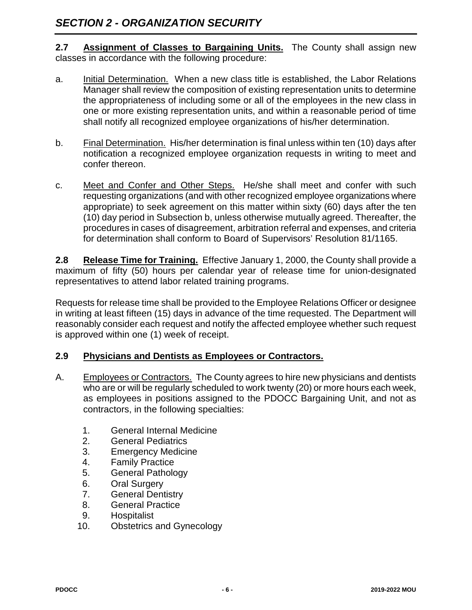**2.7 Assignment of Classes to Bargaining Units.** The County shall assign new classes in accordance with the following procedure:

- a. Initial Determination. When a new class title is established, the Labor Relations Manager shall review the composition of existing representation units to determine the appropriateness of including some or all of the employees in the new class in one or more existing representation units, and within a reasonable period of time shall notify all recognized employee organizations of his/her determination.
- b. Final Determination. His/her determination is final unless within ten (10) days after notification a recognized employee organization requests in writing to meet and confer thereon.
- c. Meet and Confer and Other Steps. He/she shall meet and confer with such requesting organizations (and with other recognized employee organizations where appropriate) to seek agreement on this matter within sixty (60) days after the ten (10) day period in Subsection b, unless otherwise mutually agreed. Thereafter, the procedures in cases of disagreement, arbitration referral and expenses, and criteria for determination shall conform to Board of Supervisors' Resolution 81/1165.

**2.8 Release Time for Training.** Effective January 1, 2000, the County shall provide a maximum of fifty (50) hours per calendar year of release time for union-designated representatives to attend labor related training programs.

Requests for release time shall be provided to the Employee Relations Officer or designee in writing at least fifteen (15) days in advance of the time requested. The Department will reasonably consider each request and notify the affected employee whether such request is approved within one (1) week of receipt.

#### **2.9 Physicians and Dentists as Employees or Contractors.**

- A. Employees or Contractors. The County agrees to hire new physicians and dentists who are or will be regularly scheduled to work twenty (20) or more hours each week, as employees in positions assigned to the PDOCC Bargaining Unit, and not as contractors, in the following specialties:
	- 1. General Internal Medicine
	- 2. General Pediatrics
	- 3. Emergency Medicine
	- 4. Family Practice
	- 5. General Pathology
	- 6. Oral Surgery
	- 7. General Dentistry
	- 8. General Practice
	- 9. Hospitalist
	- 10. Obstetrics and Gynecology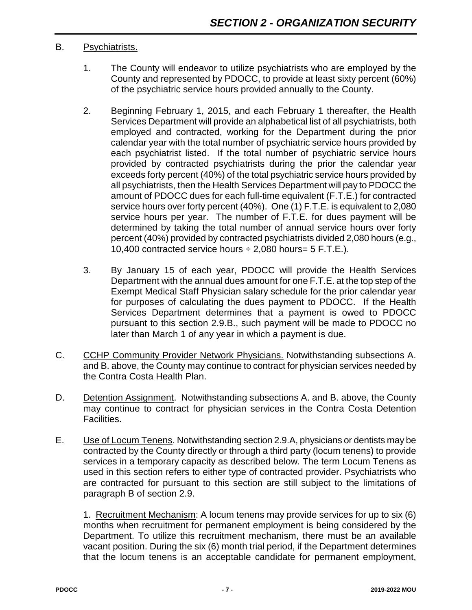#### B. Psychiatrists.

- 1. The County will endeavor to utilize psychiatrists who are employed by the County and represented by PDOCC, to provide at least sixty percent (60%) of the psychiatric service hours provided annually to the County.
- 2. Beginning February 1, 2015, and each February 1 thereafter, the Health Services Department will provide an alphabetical list of all psychiatrists, both employed and contracted, working for the Department during the prior calendar year with the total number of psychiatric service hours provided by each psychiatrist listed. If the total number of psychiatric service hours provided by contracted psychiatrists during the prior the calendar year exceeds forty percent (40%) of the total psychiatric service hours provided by all psychiatrists, then the Health Services Department will pay to PDOCC the amount of PDOCC dues for each full-time equivalent (F.T.E.) for contracted service hours over forty percent (40%). One (1) F.T.E. is equivalent to 2,080 service hours per year. The number of F.T.E. for dues payment will be determined by taking the total number of annual service hours over forty percent (40%) provided by contracted psychiatrists divided 2,080 hours (e.g., 10,400 contracted service hours  $\div$  2,080 hours= 5 F.T.E.).
- 3. By January 15 of each year, PDOCC will provide the Health Services Department with the annual dues amount for one F.T.E. at the top step of the Exempt Medical Staff Physician salary schedule for the prior calendar year for purposes of calculating the dues payment to PDOCC. If the Health Services Department determines that a payment is owed to PDOCC pursuant to this section 2.9.B., such payment will be made to PDOCC no later than March 1 of any year in which a payment is due.
- C. CCHP Community Provider Network Physicians. Notwithstanding subsections A. and B. above, the County may continue to contract for physician services needed by the Contra Costa Health Plan.
- D. Detention Assignment. Notwithstanding subsections A. and B. above, the County may continue to contract for physician services in the Contra Costa Detention Facilities.
- E. Use of Locum Tenens. Notwithstanding section 2.9.A, physicians or dentists may be contracted by the County directly or through a third party (locum tenens) to provide services in a temporary capacity as described below. The term Locum Tenens as used in this section refers to either type of contracted provider. Psychiatrists who are contracted for pursuant to this section are still subject to the limitations of paragraph B of section 2.9.

1. Recruitment Mechanism: A locum tenens may provide services for up to six (6) months when recruitment for permanent employment is being considered by the Department. To utilize this recruitment mechanism, there must be an available vacant position. During the six (6) month trial period, if the Department determines that the locum tenens is an acceptable candidate for permanent employment,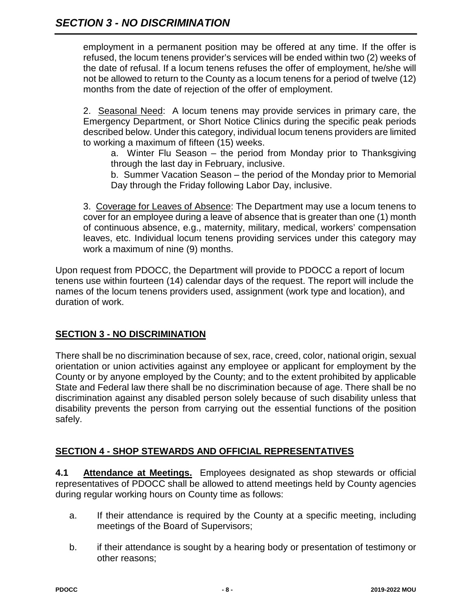employment in a permanent position may be offered at any time. If the offer is refused, the locum tenens provider's services will be ended within two (2) weeks of the date of refusal. If a locum tenens refuses the offer of employment, he/she will not be allowed to return to the County as a locum tenens for a period of twelve (12) months from the date of rejection of the offer of employment.

2. Seasonal Need: A locum tenens may provide services in primary care, the Emergency Department, or Short Notice Clinics during the specific peak periods described below. Under this category, individual locum tenens providers are limited to working a maximum of fifteen (15) weeks.

a. Winter Flu Season – the period from Monday prior to Thanksgiving through the last day in February, inclusive.

b. Summer Vacation Season – the period of the Monday prior to Memorial Day through the Friday following Labor Day, inclusive.

3. Coverage for Leaves of Absence: The Department may use a locum tenens to cover for an employee during a leave of absence that is greater than one (1) month of continuous absence, e.g., maternity, military, medical, workers' compensation leaves, etc. Individual locum tenens providing services under this category may work a maximum of nine (9) months.

Upon request from PDOCC, the Department will provide to PDOCC a report of locum tenens use within fourteen (14) calendar days of the request. The report will include the names of the locum tenens providers used, assignment (work type and location), and duration of work.

#### **SECTION 3 - NO DISCRIMINATION**

There shall be no discrimination because of sex, race, creed, color, national origin, sexual orientation or union activities against any employee or applicant for employment by the County or by anyone employed by the County; and to the extent prohibited by applicable State and Federal law there shall be no discrimination because of age. There shall be no discrimination against any disabled person solely because of such disability unless that disability prevents the person from carrying out the essential functions of the position safely.

#### **SECTION 4 - SHOP STEWARDS AND OFFICIAL REPRESENTATIVES**

**4.1 Attendance at Meetings.** Employees designated as shop stewards or official representatives of PDOCC shall be allowed to attend meetings held by County agencies during regular working hours on County time as follows:

- a. If their attendance is required by the County at a specific meeting, including meetings of the Board of Supervisors;
- b. if their attendance is sought by a hearing body or presentation of testimony or other reasons;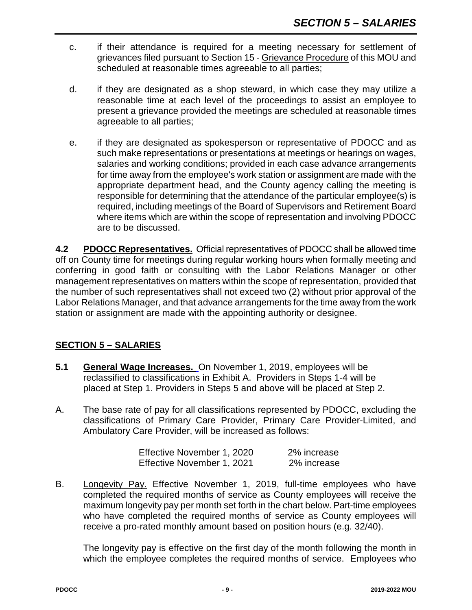- c. if their attendance is required for a meeting necessary for settlement of grievances filed pursuant to Section 15 - Grievance Procedure of this MOU and scheduled at reasonable times agreeable to all parties;
- d. if they are designated as a shop steward, in which case they may utilize a reasonable time at each level of the proceedings to assist an employee to present a grievance provided the meetings are scheduled at reasonable times agreeable to all parties;
- e. if they are designated as spokesperson or representative of PDOCC and as such make representations or presentations at meetings or hearings on wages, salaries and working conditions; provided in each case advance arrangements for time away from the employee's work station or assignment are made with the appropriate department head, and the County agency calling the meeting is responsible for determining that the attendance of the particular employee(s) is required, including meetings of the Board of Supervisors and Retirement Board where items which are within the scope of representation and involving PDOCC are to be discussed.

**4.2 PDOCC Representatives.** Official representatives of PDOCC shall be allowed time off on County time for meetings during regular working hours when formally meeting and conferring in good faith or consulting with the Labor Relations Manager or other management representatives on matters within the scope of representation, provided that the number of such representatives shall not exceed two (2) without prior approval of the Labor Relations Manager, and that advance arrangements for the time away from the work station or assignment are made with the appointing authority or designee.

#### **SECTION 5 – SALARIES**

- **5.1 General Wage Increases.** On November 1, 2019, employees will be reclassified to classifications in Exhibit A. Providers in Steps 1-4 will be placed at Step 1. Providers in Steps 5 and above will be placed at Step 2.
- A. The base rate of pay for all classifications represented by PDOCC, excluding the classifications of Primary Care Provider, Primary Care Provider-Limited, and Ambulatory Care Provider, will be increased as follows:

| Effective November 1, 2020 | 2% increase |
|----------------------------|-------------|
| Effective November 1, 2021 | 2% increase |

B. Longevity Pay. Effective November 1, 2019, full-time employees who have completed the required months of service as County employees will receive the maximum longevity pay per month set forth in the chart below. Part-time employees who have completed the required months of service as County employees will receive a pro-rated monthly amount based on position hours (e.g. 32/40).

The longevity pay is effective on the first day of the month following the month in which the employee completes the required months of service. Employees who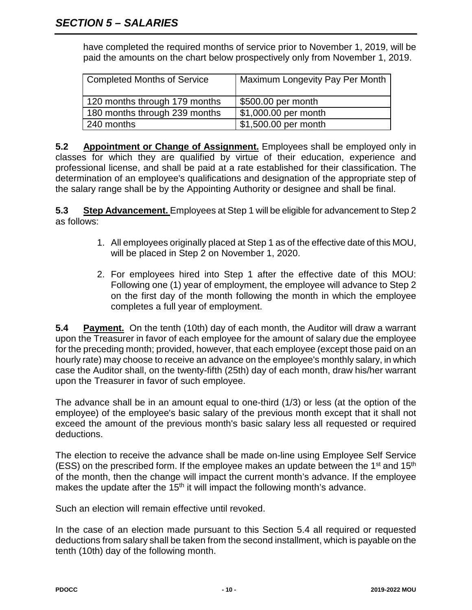have completed the required months of service prior to November 1, 2019, will be paid the amounts on the chart below prospectively only from November 1, 2019.

| Completed Months of Service   | Maximum Longevity Pay Per Month |
|-------------------------------|---------------------------------|
| 120 months through 179 months | \$500.00 per month              |
| 180 months through 239 months | \$1,000.00 per month            |
| 240 months                    | \$1,500.00 per month            |

**5.2 Appointment or Change of Assignment.** Employees shall be employed only in classes for which they are qualified by virtue of their education, experience and professional license, and shall be paid at a rate established for their classification. The determination of an employee's qualifications and designation of the appropriate step of the salary range shall be by the Appointing Authority or designee and shall be final.

**5.3 Step Advancement.** Employees at Step 1 will be eligible for advancement to Step 2 as follows:

- 1. All employees originally placed at Step 1 as of the effective date of this MOU, will be placed in Step 2 on November 1, 2020.
- 2. For employees hired into Step 1 after the effective date of this MOU: Following one (1) year of employment, the employee will advance to Step 2 on the first day of the month following the month in which the employee completes a full year of employment.

**5.4 Payment.** On the tenth (10th) day of each month, the Auditor will draw a warrant upon the Treasurer in favor of each employee for the amount of salary due the employee for the preceding month; provided, however, that each employee (except those paid on an hourly rate) may choose to receive an advance on the employee's monthly salary, in which case the Auditor shall, on the twenty-fifth (25th) day of each month, draw his/her warrant upon the Treasurer in favor of such employee.

The advance shall be in an amount equal to one-third (1/3) or less (at the option of the employee) of the employee's basic salary of the previous month except that it shall not exceed the amount of the previous month's basic salary less all requested or required deductions.

The election to receive the advance shall be made on-line using Employee Self Service (ESS) on the prescribed form. If the employee makes an update between the  $1<sup>st</sup>$  and  $15<sup>th</sup>$ of the month, then the change will impact the current month's advance. If the employee makes the update after the  $15<sup>th</sup>$  it will impact the following month's advance.

Such an election will remain effective until revoked.

In the case of an election made pursuant to this Section 5.4 all required or requested deductions from salary shall be taken from the second installment, which is payable on the tenth (10th) day of the following month.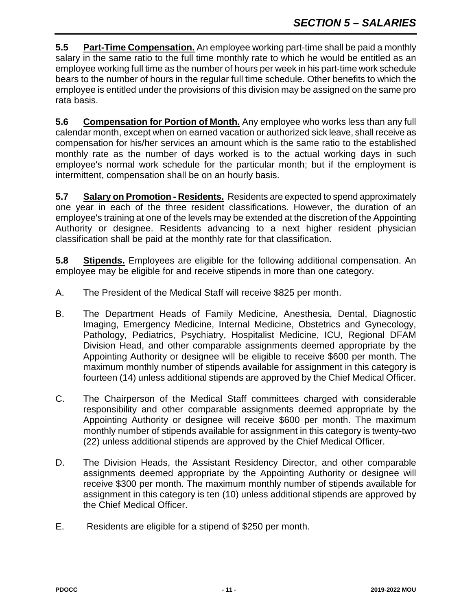**5.5 Part-Time Compensation.** An employee working part-time shall be paid a monthly salary in the same ratio to the full time monthly rate to which he would be entitled as an employee working full time as the number of hours per week in his part-time work schedule bears to the number of hours in the regular full time schedule. Other benefits to which the employee is entitled under the provisions of this division may be assigned on the same pro rata basis.

**5.6 Compensation for Portion of Month.** Any employee who works less than any full calendar month, except when on earned vacation or authorized sick leave, shall receive as compensation for his/her services an amount which is the same ratio to the established monthly rate as the number of days worked is to the actual working days in such employee's normal work schedule for the particular month; but if the employment is intermittent, compensation shall be on an hourly basis.

**5.7 Salary on Promotion - Residents.** Residents are expected to spend approximately one year in each of the three resident classifications. However, the duration of an employee's training at one of the levels may be extended at the discretion of the Appointing Authority or designee. Residents advancing to a next higher resident physician classification shall be paid at the monthly rate for that classification.

**5.8 Stipends.** Employees are eligible for the following additional compensation. An employee may be eligible for and receive stipends in more than one category.

- A. The President of the Medical Staff will receive \$825 per month.
- B. The Department Heads of Family Medicine, Anesthesia, Dental, Diagnostic Imaging, Emergency Medicine, Internal Medicine, Obstetrics and Gynecology, Pathology, Pediatrics, Psychiatry, Hospitalist Medicine, ICU, Regional DFAM Division Head, and other comparable assignments deemed appropriate by the Appointing Authority or designee will be eligible to receive \$600 per month. The maximum monthly number of stipends available for assignment in this category is fourteen (14) unless additional stipends are approved by the Chief Medical Officer.
- C. The Chairperson of the Medical Staff committees charged with considerable responsibility and other comparable assignments deemed appropriate by the Appointing Authority or designee will receive \$600 per month. The maximum monthly number of stipends available for assignment in this category is twenty-two (22) unless additional stipends are approved by the Chief Medical Officer.
- D. The Division Heads, the Assistant Residency Director, and other comparable assignments deemed appropriate by the Appointing Authority or designee will receive \$300 per month. The maximum monthly number of stipends available for assignment in this category is ten (10) unless additional stipends are approved by the Chief Medical Officer.
- E. Residents are eligible for a stipend of \$250 per month.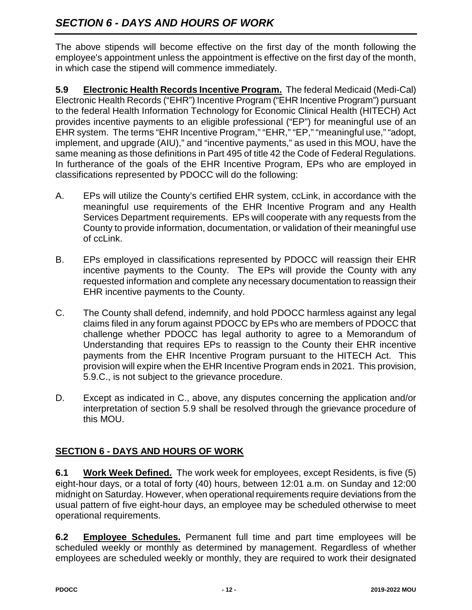# *SECTION 6 - DAYS AND HOURS OF WORK*

The above stipends will become effective on the first day of the month following the employee's appointment unless the appointment is effective on the first day of the month, in which case the stipend will commence immediately.

**5.9 Electronic Health Records Incentive Program.** The federal Medicaid (Medi-Cal) Electronic Health Records ("EHR") Incentive Program ("EHR Incentive Program") pursuant to the federal Health Information Technology for Economic Clinical Health (HITECH) Act provides incentive payments to an eligible professional ("EP") for meaningful use of an EHR system. The terms "EHR Incentive Program," "EHR," "EP," "meaningful use," "adopt, implement, and upgrade (AIU)," and "incentive payments," as used in this MOU, have the same meaning as those definitions in Part 495 of title 42 the Code of Federal Regulations. In furtherance of the goals of the EHR Incentive Program, EPs who are employed in classifications represented by PDOCC will do the following:

- A. EPs will utilize the County's certified EHR system, ccLink, in accordance with the meaningful use requirements of the EHR Incentive Program and any Health Services Department requirements. EPs will cooperate with any requests from the County to provide information, documentation, or validation of their meaningful use of ccLink.
- B. EPs employed in classifications represented by PDOCC will reassign their EHR incentive payments to the County. The EPs will provide the County with any requested information and complete any necessary documentation to reassign their EHR incentive payments to the County.
- C. The County shall defend, indemnify, and hold PDOCC harmless against any legal claims filed in any forum against PDOCC by EPs who are members of PDOCC that challenge whether PDOCC has legal authority to agree to a Memorandum of Understanding that requires EPs to reassign to the County their EHR incentive payments from the EHR Incentive Program pursuant to the HITECH Act. This provision will expire when the EHR Incentive Program ends in 2021. This provision, 5.9.C., is not subject to the grievance procedure.
- D. Except as indicated in C., above, any disputes concerning the application and/or interpretation of section 5.9 shall be resolved through the grievance procedure of this MOU.

### **SECTION 6 - DAYS AND HOURS OF WORK**

**6.1 Work Week Defined.** The work week for employees, except Residents, is five (5) eight-hour days, or a total of forty (40) hours, between 12:01 a.m. on Sunday and 12:00 midnight on Saturday. However, when operational requirements require deviations from the usual pattern of five eight-hour days, an employee may be scheduled otherwise to meet operational requirements.

**6.2 Employee Schedules.** Permanent full time and part time employees will be scheduled weekly or monthly as determined by management. Regardless of whether employees are scheduled weekly or monthly, they are required to work their designated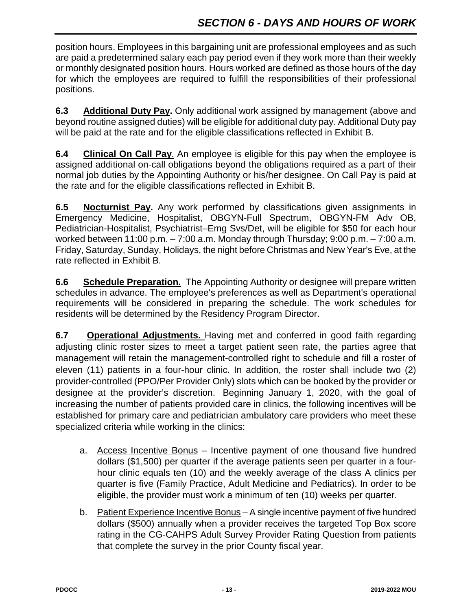position hours. Employees in this bargaining unit are professional employees and as such are paid a predetermined salary each pay period even if they work more than their weekly or monthly designated position hours. Hours worked are defined as those hours of the day for which the employees are required to fulfill the responsibilities of their professional positions.

**6.3 Additional Duty Pay.** Only additional work assigned by management (above and beyond routine assigned duties) will be eligible for additional duty pay. Additional Duty pay will be paid at the rate and for the eligible classifications reflected in Exhibit B.

**6.4 Clinical On Call Pay**. An employee is eligible for this pay when the employee is assigned additional on-call obligations beyond the obligations required as a part of their normal job duties by the Appointing Authority or his/her designee. On Call Pay is paid at the rate and for the eligible classifications reflected in Exhibit B.

**6.5 Nocturnist Pay.** Any work performed by classifications given assignments in Emergency Medicine, Hospitalist, OBGYN-Full Spectrum, OBGYN-FM Adv OB, Pediatrician-Hospitalist, Psychiatrist–Emg Svs/Det, will be eligible for \$50 for each hour worked between 11:00 p.m. – 7:00 a.m. Monday through Thursday; 9:00 p.m. – 7:00 a.m. Friday, Saturday, Sunday, Holidays, the night before Christmas and New Year's Eve, at the rate reflected in Exhibit B.

**6.6 Schedule Preparation.** The Appointing Authority or designee will prepare written schedules in advance. The employee's preferences as well as Department's operational requirements will be considered in preparing the schedule. The work schedules for residents will be determined by the Residency Program Director.

**6.7 Operational Adjustments.** Having met and conferred in good faith regarding adjusting clinic roster sizes to meet a target patient seen rate, the parties agree that management will retain the management-controlled right to schedule and fill a roster of eleven (11) patients in a four-hour clinic. In addition, the roster shall include two (2) provider-controlled (PPO/Per Provider Only) slots which can be booked by the provider or designee at the provider's discretion. Beginning January 1, 2020, with the goal of increasing the number of patients provided care in clinics, the following incentives will be established for primary care and pediatrician ambulatory care providers who meet these specialized criteria while working in the clinics:

- a. Access Incentive Bonus Incentive payment of one thousand five hundred dollars (\$1,500) per quarter if the average patients seen per quarter in a fourhour clinic equals ten (10) and the weekly average of the class A clinics per quarter is five (Family Practice, Adult Medicine and Pediatrics). In order to be eligible, the provider must work a minimum of ten (10) weeks per quarter.
- b. Patient Experience Incentive Bonus A single incentive payment of five hundred dollars (\$500) annually when a provider receives the targeted Top Box score rating in the CG-CAHPS Adult Survey Provider Rating Question from patients that complete the survey in the prior County fiscal year.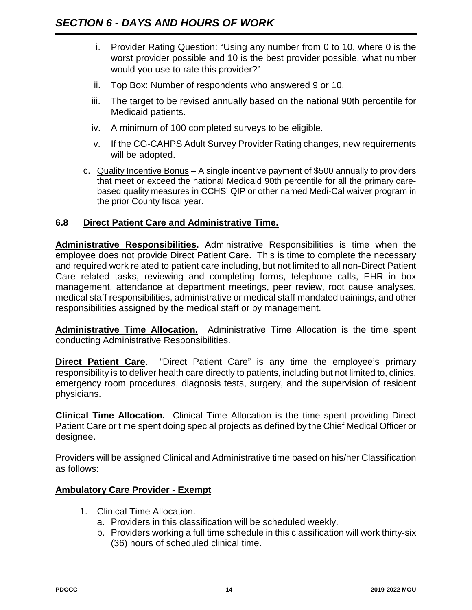- i. Provider Rating Question: "Using any number from 0 to 10, where 0 is the worst provider possible and 10 is the best provider possible, what number would you use to rate this provider?"
- ii. Top Box: Number of respondents who answered 9 or 10.
- iii. The target to be revised annually based on the national 90th percentile for Medicaid patients.
- iv. A minimum of 100 completed surveys to be eligible.
- v. If the CG-CAHPS Adult Survey Provider Rating changes, new requirements will be adopted.
- c. Quality Incentive Bonus A single incentive payment of \$500 annually to providers that meet or exceed the national Medicaid 90th percentile for all the primary carebased quality measures in CCHS' QIP or other named Medi-Cal waiver program in the prior County fiscal year.

#### **6.8 Direct Patient Care and Administrative Time.**

**Administrative Responsibilities.** Administrative Responsibilities is time when the employee does not provide Direct Patient Care. This is time to complete the necessary and required work related to patient care including, but not limited to all non-Direct Patient Care related tasks, reviewing and completing forms, telephone calls, EHR in box management, attendance at department meetings, peer review, root cause analyses, medical staff responsibilities, administrative or medical staff mandated trainings, and other responsibilities assigned by the medical staff or by management.

**Administrative Time Allocation.** Administrative Time Allocation is the time spent conducting Administrative Responsibilities.

**Direct Patient Care.** "Direct Patient Care" is any time the employee's primary responsibility is to deliver health care directly to patients, including but not limited to, clinics, emergency room procedures, diagnosis tests, surgery, and the supervision of resident physicians.

**Clinical Time Allocation.** Clinical Time Allocation is the time spent providing Direct Patient Care or time spent doing special projects as defined by the Chief Medical Officer or designee.

Providers will be assigned Clinical and Administrative time based on his/her Classification as follows:

#### **Ambulatory Care Provider - Exempt**

- 1. Clinical Time Allocation.
	- a. Providers in this classification will be scheduled weekly.
	- b. Providers working a full time schedule in this classification will work thirty-six (36) hours of scheduled clinical time.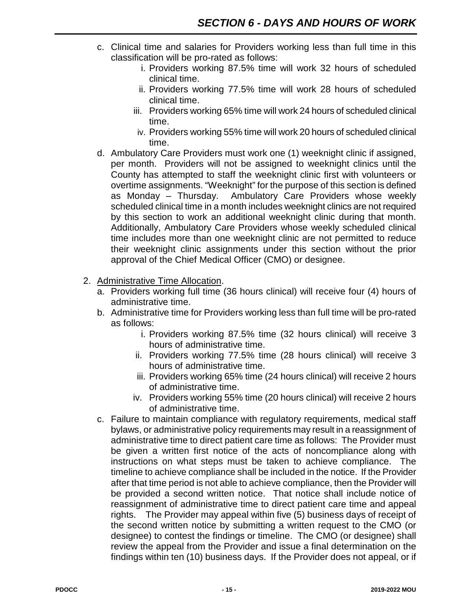- c. Clinical time and salaries for Providers working less than full time in this classification will be pro-rated as follows:
	- i. Providers working 87.5% time will work 32 hours of scheduled clinical time.
	- ii. Providers working 77.5% time will work 28 hours of scheduled clinical time.
	- iii. Providers working 65% time will work 24 hours of scheduled clinical time.
	- iv. Providers working 55% time will work 20 hours of scheduled clinical time.
- d. Ambulatory Care Providers must work one (1) weeknight clinic if assigned, per month. Providers will not be assigned to weeknight clinics until the County has attempted to staff the weeknight clinic first with volunteers or overtime assignments. "Weeknight" for the purpose of this section is defined as Monday – Thursday. Ambulatory Care Providers whose weekly scheduled clinical time in a month includes weeknight clinics are not required by this section to work an additional weeknight clinic during that month. Additionally, Ambulatory Care Providers whose weekly scheduled clinical time includes more than one weeknight clinic are not permitted to reduce their weeknight clinic assignments under this section without the prior approval of the Chief Medical Officer (CMO) or designee.
- 2. Administrative Time Allocation.
	- a. Providers working full time (36 hours clinical) will receive four (4) hours of administrative time.
	- b. Administrative time for Providers working less than full time will be pro-rated as follows:
		- i. Providers working 87.5% time (32 hours clinical) will receive 3 hours of administrative time.
		- ii. Providers working 77.5% time (28 hours clinical) will receive 3 hours of administrative time.
		- iii. Providers working 65% time (24 hours clinical) will receive 2 hours of administrative time.
		- iv. Providers working 55% time (20 hours clinical) will receive 2 hours of administrative time.
	- c. Failure to maintain compliance with regulatory requirements, medical staff bylaws, or administrative policy requirements may result in a reassignment of administrative time to direct patient care time as follows: The Provider must be given a written first notice of the acts of noncompliance along with instructions on what steps must be taken to achieve compliance. The timeline to achieve compliance shall be included in the notice. If the Provider after that time period is not able to achieve compliance, then the Provider will be provided a second written notice. That notice shall include notice of reassignment of administrative time to direct patient care time and appeal rights. The Provider may appeal within five (5) business days of receipt of the second written notice by submitting a written request to the CMO (or designee) to contest the findings or timeline. The CMO (or designee) shall review the appeal from the Provider and issue a final determination on the findings within ten (10) business days. If the Provider does not appeal, or if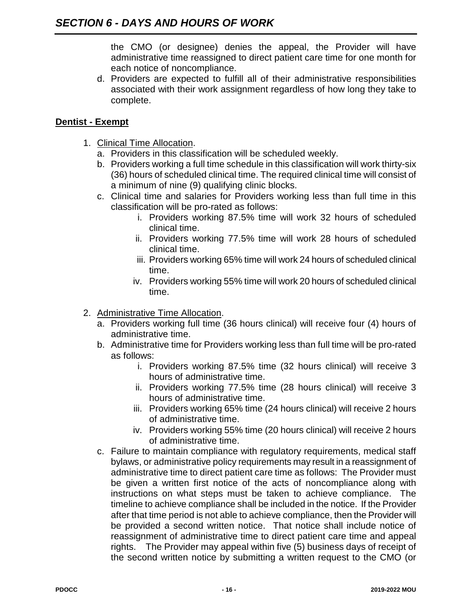the CMO (or designee) denies the appeal, the Provider will have administrative time reassigned to direct patient care time for one month for each notice of noncompliance.

d. Providers are expected to fulfill all of their administrative responsibilities associated with their work assignment regardless of how long they take to complete.

#### **Dentist - Exempt**

- 1. Clinical Time Allocation.
	- a. Providers in this classification will be scheduled weekly.
	- b. Providers working a full time schedule in this classification will work thirty-six (36) hours of scheduled clinical time. The required clinical time will consist of a minimum of nine (9) qualifying clinic blocks.
	- c. Clinical time and salaries for Providers working less than full time in this classification will be pro-rated as follows:
		- i. Providers working 87.5% time will work 32 hours of scheduled clinical time.
		- ii. Providers working 77.5% time will work 28 hours of scheduled clinical time.
		- iii. Providers working 65% time will work 24 hours of scheduled clinical time.
		- iv. Providers working 55% time will work 20 hours of scheduled clinical time.
- 2. Administrative Time Allocation.
	- a. Providers working full time (36 hours clinical) will receive four (4) hours of administrative time.
	- b. Administrative time for Providers working less than full time will be pro-rated as follows:
		- i. Providers working 87.5% time (32 hours clinical) will receive 3 hours of administrative time.
		- ii. Providers working 77.5% time (28 hours clinical) will receive 3 hours of administrative time.
		- iii. Providers working 65% time (24 hours clinical) will receive 2 hours of administrative time.
		- iv. Providers working 55% time (20 hours clinical) will receive 2 hours of administrative time.
	- c. Failure to maintain compliance with regulatory requirements, medical staff bylaws, or administrative policy requirements may result in a reassignment of administrative time to direct patient care time as follows: The Provider must be given a written first notice of the acts of noncompliance along with instructions on what steps must be taken to achieve compliance. The timeline to achieve compliance shall be included in the notice. If the Provider after that time period is not able to achieve compliance, then the Provider will be provided a second written notice. That notice shall include notice of reassignment of administrative time to direct patient care time and appeal rights. The Provider may appeal within five (5) business days of receipt of the second written notice by submitting a written request to the CMO (or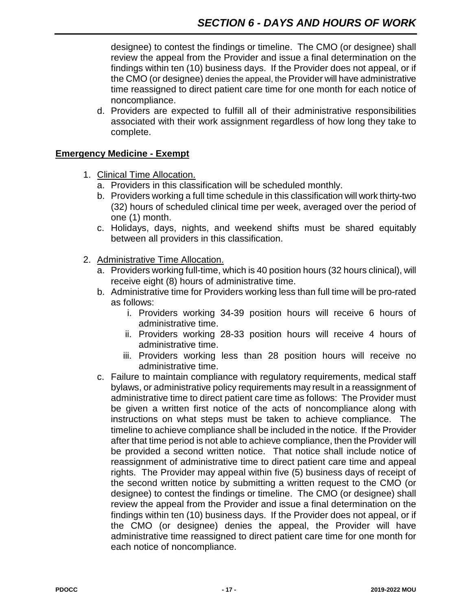designee) to contest the findings or timeline. The CMO (or designee) shall review the appeal from the Provider and issue a final determination on the findings within ten (10) business days. If the Provider does not appeal, or if the CMO (or designee) denies the appeal, the Provider will have administrative time reassigned to direct patient care time for one month for each notice of noncompliance.

d. Providers are expected to fulfill all of their administrative responsibilities associated with their work assignment regardless of how long they take to complete.

#### **Emergency Medicine - Exempt**

- 1. Clinical Time Allocation.
	- a. Providers in this classification will be scheduled monthly.
	- b. Providers working a full time schedule in this classification will work thirty-two (32) hours of scheduled clinical time per week, averaged over the period of one (1) month.
	- c. Holidays, days, nights, and weekend shifts must be shared equitably between all providers in this classification.
- 2. Administrative Time Allocation.
	- a. Providers working full-time, which is 40 position hours (32 hours clinical), will receive eight (8) hours of administrative time.
	- b. Administrative time for Providers working less than full time will be pro-rated as follows:
		- i. Providers working 34-39 position hours will receive 6 hours of administrative time.
		- ii. Providers working 28-33 position hours will receive 4 hours of administrative time.
		- iii. Providers working less than 28 position hours will receive no administrative time.
	- c. Failure to maintain compliance with regulatory requirements, medical staff bylaws, or administrative policy requirements may result in a reassignment of administrative time to direct patient care time as follows: The Provider must be given a written first notice of the acts of noncompliance along with instructions on what steps must be taken to achieve compliance. The timeline to achieve compliance shall be included in the notice. If the Provider after that time period is not able to achieve compliance, then the Provider will be provided a second written notice. That notice shall include notice of reassignment of administrative time to direct patient care time and appeal rights. The Provider may appeal within five (5) business days of receipt of the second written notice by submitting a written request to the CMO (or designee) to contest the findings or timeline. The CMO (or designee) shall review the appeal from the Provider and issue a final determination on the findings within ten (10) business days. If the Provider does not appeal, or if the CMO (or designee) denies the appeal, the Provider will have administrative time reassigned to direct patient care time for one month for each notice of noncompliance.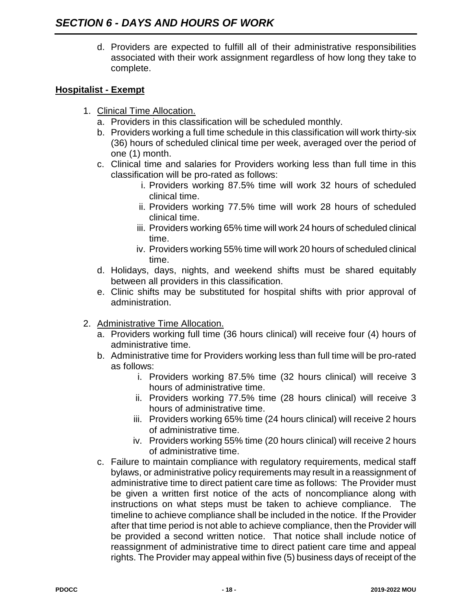d. Providers are expected to fulfill all of their administrative responsibilities associated with their work assignment regardless of how long they take to complete.

#### **Hospitalist - Exempt**

- 1. Clinical Time Allocation.
	- a. Providers in this classification will be scheduled monthly.
	- b. Providers working a full time schedule in this classification will work thirty-six (36) hours of scheduled clinical time per week, averaged over the period of one (1) month.
	- c. Clinical time and salaries for Providers working less than full time in this classification will be pro-rated as follows:
		- i. Providers working 87.5% time will work 32 hours of scheduled clinical time.
		- ii. Providers working 77.5% time will work 28 hours of scheduled clinical time.
		- iii. Providers working 65% time will work 24 hours of scheduled clinical time.
		- iv. Providers working 55% time will work 20 hours of scheduled clinical time.
	- d. Holidays, days, nights, and weekend shifts must be shared equitably between all providers in this classification.
	- e. Clinic shifts may be substituted for hospital shifts with prior approval of administration.
- 2. Administrative Time Allocation.
	- a. Providers working full time (36 hours clinical) will receive four (4) hours of administrative time.
	- b. Administrative time for Providers working less than full time will be pro-rated as follows:
		- i. Providers working 87.5% time (32 hours clinical) will receive 3 hours of administrative time.
		- ii. Providers working 77.5% time (28 hours clinical) will receive 3 hours of administrative time.
		- iii. Providers working 65% time (24 hours clinical) will receive 2 hours of administrative time.
		- iv. Providers working 55% time (20 hours clinical) will receive 2 hours of administrative time.
	- c. Failure to maintain compliance with regulatory requirements, medical staff bylaws, or administrative policy requirements may result in a reassignment of administrative time to direct patient care time as follows: The Provider must be given a written first notice of the acts of noncompliance along with instructions on what steps must be taken to achieve compliance. The timeline to achieve compliance shall be included in the notice. If the Provider after that time period is not able to achieve compliance, then the Provider will be provided a second written notice. That notice shall include notice of reassignment of administrative time to direct patient care time and appeal rights. The Provider may appeal within five (5) business days of receipt of the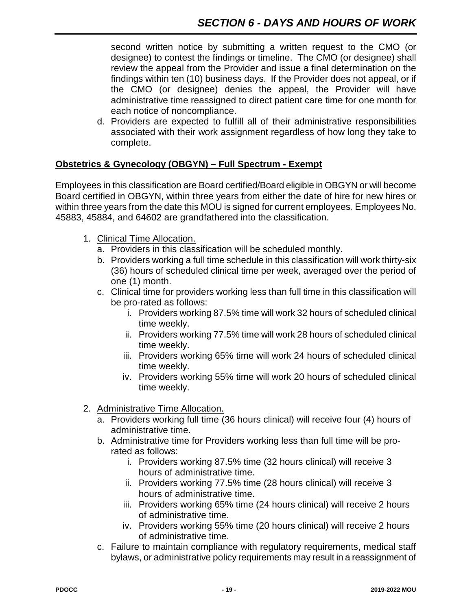second written notice by submitting a written request to the CMO (or designee) to contest the findings or timeline. The CMO (or designee) shall review the appeal from the Provider and issue a final determination on the findings within ten (10) business days. If the Provider does not appeal, or if the CMO (or designee) denies the appeal, the Provider will have administrative time reassigned to direct patient care time for one month for each notice of noncompliance.

d. Providers are expected to fulfill all of their administrative responsibilities associated with their work assignment regardless of how long they take to complete.

#### **Obstetrics & Gynecology (OBGYN) – Full Spectrum - Exempt**

Employees in this classification are Board certified/Board eligible in OBGYN or will become Board certified in OBGYN, within three years from either the date of hire for new hires or within three years from the date this MOU is signed for current employees*.* Employees No. 45883, 45884, and 64602 are grandfathered into the classification.

- 1. Clinical Time Allocation.
	- a. Providers in this classification will be scheduled monthly.
	- b. Providers working a full time schedule in this classification will work thirty-six (36) hours of scheduled clinical time per week, averaged over the period of one (1) month.
	- c. Clinical time for providers working less than full time in this classification will be pro-rated as follows:
		- i. Providers working 87.5% time will work 32 hours of scheduled clinical time weekly.
		- ii. Providers working 77.5% time will work 28 hours of scheduled clinical time weekly.
		- iii. Providers working 65% time will work 24 hours of scheduled clinical time weekly.
		- iv. Providers working 55% time will work 20 hours of scheduled clinical time weekly.
- 2. Administrative Time Allocation.
	- a. Providers working full time (36 hours clinical) will receive four (4) hours of administrative time.
	- b. Administrative time for Providers working less than full time will be prorated as follows:
		- i. Providers working 87.5% time (32 hours clinical) will receive 3 hours of administrative time.
		- ii. Providers working 77.5% time (28 hours clinical) will receive 3 hours of administrative time.
		- iii. Providers working 65% time (24 hours clinical) will receive 2 hours of administrative time.
		- iv. Providers working 55% time (20 hours clinical) will receive 2 hours of administrative time.
	- c. Failure to maintain compliance with regulatory requirements, medical staff bylaws, or administrative policy requirements may result in a reassignment of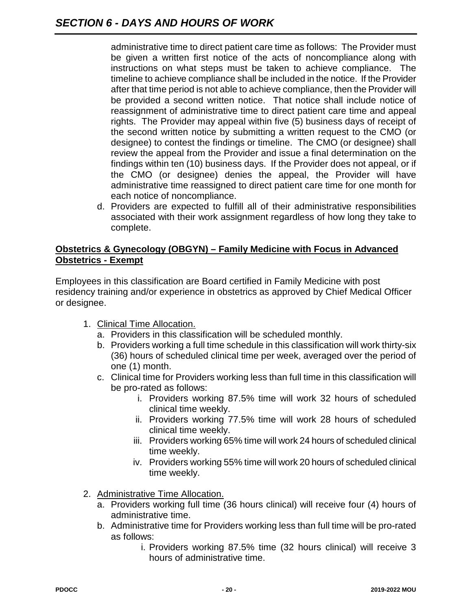administrative time to direct patient care time as follows: The Provider must be given a written first notice of the acts of noncompliance along with instructions on what steps must be taken to achieve compliance. The timeline to achieve compliance shall be included in the notice. If the Provider after that time period is not able to achieve compliance, then the Provider will be provided a second written notice. That notice shall include notice of reassignment of administrative time to direct patient care time and appeal rights. The Provider may appeal within five (5) business days of receipt of the second written notice by submitting a written request to the CMO (or designee) to contest the findings or timeline. The CMO (or designee) shall review the appeal from the Provider and issue a final determination on the findings within ten (10) business days. If the Provider does not appeal, or if the CMO (or designee) denies the appeal, the Provider will have administrative time reassigned to direct patient care time for one month for each notice of noncompliance.

d. Providers are expected to fulfill all of their administrative responsibilities associated with their work assignment regardless of how long they take to complete.

#### **Obstetrics & Gynecology (OBGYN) – Family Medicine with Focus in Advanced Obstetrics - Exempt**

Employees in this classification are Board certified in Family Medicine with post residency training and/or experience in obstetrics as approved by Chief Medical Officer or designee.

- 1. Clinical Time Allocation.
	- a. Providers in this classification will be scheduled monthly.
	- b. Providers working a full time schedule in this classification will work thirty-six (36) hours of scheduled clinical time per week, averaged over the period of one (1) month.
	- c. Clinical time for Providers working less than full time in this classification will be pro-rated as follows:
		- i. Providers working 87.5% time will work 32 hours of scheduled clinical time weekly.
		- ii. Providers working 77.5% time will work 28 hours of scheduled clinical time weekly.
		- iii. Providers working 65% time will work 24 hours of scheduled clinical time weekly.
		- iv. Providers working 55% time will work 20 hours of scheduled clinical time weekly.
- 2. Administrative Time Allocation.
	- a. Providers working full time (36 hours clinical) will receive four (4) hours of administrative time.
	- b. Administrative time for Providers working less than full time will be pro-rated as follows:
		- i. Providers working 87.5% time (32 hours clinical) will receive 3 hours of administrative time.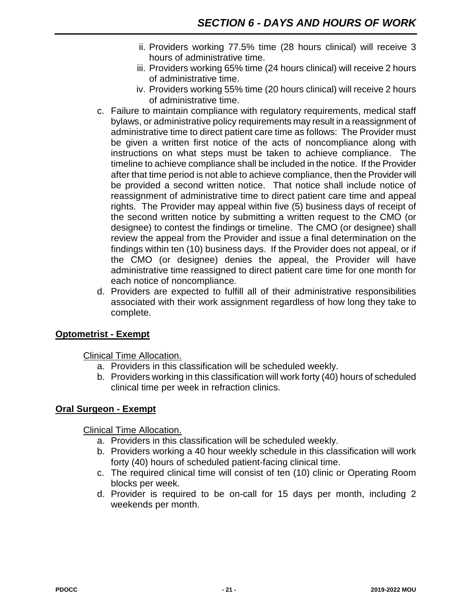- ii. Providers working 77.5% time (28 hours clinical) will receive 3 hours of administrative time.
- iii. Providers working 65% time (24 hours clinical) will receive 2 hours of administrative time.
- iv. Providers working 55% time (20 hours clinical) will receive 2 hours of administrative time.
- c. Failure to maintain compliance with regulatory requirements, medical staff bylaws, or administrative policy requirements may result in a reassignment of administrative time to direct patient care time as follows: The Provider must be given a written first notice of the acts of noncompliance along with instructions on what steps must be taken to achieve compliance. The timeline to achieve compliance shall be included in the notice. If the Provider after that time period is not able to achieve compliance, then the Provider will be provided a second written notice. That notice shall include notice of reassignment of administrative time to direct patient care time and appeal rights. The Provider may appeal within five (5) business days of receipt of the second written notice by submitting a written request to the CMO (or designee) to contest the findings or timeline. The CMO (or designee) shall review the appeal from the Provider and issue a final determination on the findings within ten (10) business days. If the Provider does not appeal, or if the CMO (or designee) denies the appeal, the Provider will have administrative time reassigned to direct patient care time for one month for each notice of noncompliance.
- d. Providers are expected to fulfill all of their administrative responsibilities associated with their work assignment regardless of how long they take to complete.

#### **Optometrist - Exempt**

Clinical Time Allocation.

- a. Providers in this classification will be scheduled weekly.
- b. Providers working in this classification will work forty (40) hours of scheduled clinical time per week in refraction clinics.

#### **Oral Surgeon - Exempt**

Clinical Time Allocation.

- a. Providers in this classification will be scheduled weekly.
- b. Providers working a 40 hour weekly schedule in this classification will work forty (40) hours of scheduled patient-facing clinical time.
- c. The required clinical time will consist of ten (10) clinic or Operating Room blocks per week.
- d. Provider is required to be on-call for 15 days per month, including 2 weekends per month.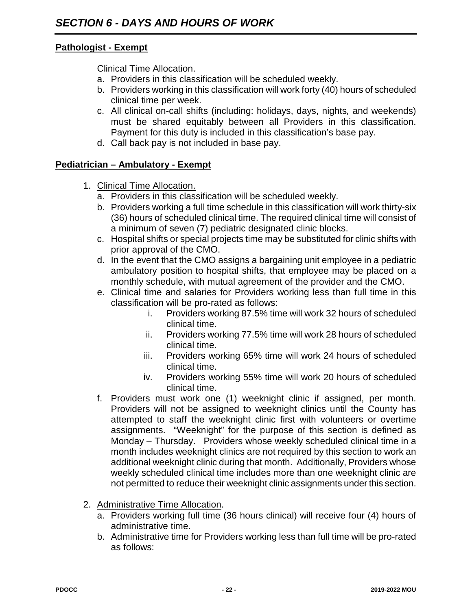#### **Pathologist - Exempt**

Clinical Time Allocation.

- a. Providers in this classification will be scheduled weekly.
- b. Providers working in this classification will work forty (40) hours of scheduled clinical time per week.
- c. All clinical on-call shifts (including: holidays, days, nights*,* and weekends) must be shared equitably between all Providers in this classification. Payment for this duty is included in this classification's base pay.
- d. Call back pay is not included in base pay.

#### **Pediatrician – Ambulatory - Exempt**

- 1. Clinical Time Allocation.
	- a. Providers in this classification will be scheduled weekly.
	- b. Providers working a full time schedule in this classification will work thirty-six (36) hours of scheduled clinical time. The required clinical time will consist of a minimum of seven (7) pediatric designated clinic blocks.
	- c. Hospital shifts or special projects time may be substituted for clinic shifts with prior approval of the CMO.
	- d. In the event that the CMO assigns a bargaining unit employee in a pediatric ambulatory position to hospital shifts, that employee may be placed on a monthly schedule, with mutual agreement of the provider and the CMO.
	- e. Clinical time and salaries for Providers working less than full time in this classification will be pro-rated as follows:
		- i. Providers working 87.5% time will work 32 hours of scheduled clinical time.
		- ii. Providers working 77.5% time will work 28 hours of scheduled clinical time.
		- iii. Providers working 65% time will work 24 hours of scheduled clinical time.
		- iv. Providers working 55% time will work 20 hours of scheduled clinical time.
	- f. Providers must work one (1) weeknight clinic if assigned, per month. Providers will not be assigned to weeknight clinics until the County has attempted to staff the weeknight clinic first with volunteers or overtime assignments. "Weeknight" for the purpose of this section is defined as Monday – Thursday. Providers whose weekly scheduled clinical time in a month includes weeknight clinics are not required by this section to work an additional weeknight clinic during that month. Additionally, Providers whose weekly scheduled clinical time includes more than one weeknight clinic are not permitted to reduce their weeknight clinic assignments under this section.
- 2. Administrative Time Allocation.
	- a. Providers working full time (36 hours clinical) will receive four (4) hours of administrative time.
	- b. Administrative time for Providers working less than full time will be pro-rated as follows: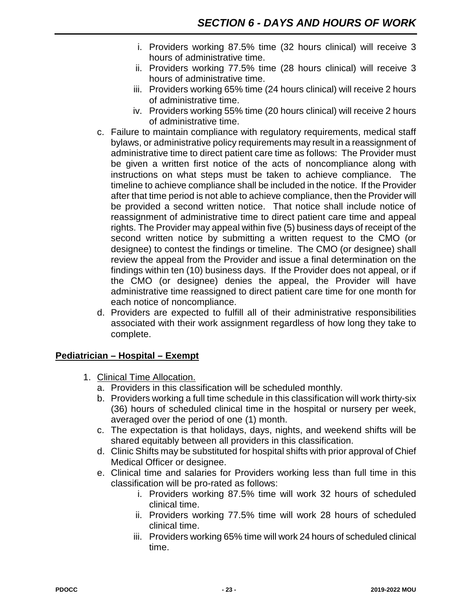- i. Providers working 87.5% time (32 hours clinical) will receive 3 hours of administrative time.
- ii. Providers working 77.5% time (28 hours clinical) will receive 3 hours of administrative time.
- iii. Providers working 65% time (24 hours clinical) will receive 2 hours of administrative time.
- iv. Providers working 55% time (20 hours clinical) will receive 2 hours of administrative time.
- c. Failure to maintain compliance with regulatory requirements, medical staff bylaws, or administrative policy requirements may result in a reassignment of administrative time to direct patient care time as follows: The Provider must be given a written first notice of the acts of noncompliance along with instructions on what steps must be taken to achieve compliance. The timeline to achieve compliance shall be included in the notice. If the Provider after that time period is not able to achieve compliance, then the Provider will be provided a second written notice. That notice shall include notice of reassignment of administrative time to direct patient care time and appeal rights. The Provider may appeal within five (5) business days of receipt of the second written notice by submitting a written request to the CMO (or designee) to contest the findings or timeline. The CMO (or designee) shall review the appeal from the Provider and issue a final determination on the findings within ten (10) business days. If the Provider does not appeal, or if the CMO (or designee) denies the appeal, the Provider will have administrative time reassigned to direct patient care time for one month for each notice of noncompliance.
- d. Providers are expected to fulfill all of their administrative responsibilities associated with their work assignment regardless of how long they take to complete.

#### **Pediatrician – Hospital – Exempt**

- 1. Clinical Time Allocation.
	- a. Providers in this classification will be scheduled monthly.
	- b. Providers working a full time schedule in this classification will work thirty-six (36) hours of scheduled clinical time in the hospital or nursery per week, averaged over the period of one (1) month.
	- c. The expectation is that holidays, days, nights, and weekend shifts will be shared equitably between all providers in this classification.
	- d. Clinic Shifts may be substituted for hospital shifts with prior approval of Chief Medical Officer or designee.
	- e. Clinical time and salaries for Providers working less than full time in this classification will be pro-rated as follows:
		- i. Providers working 87.5% time will work 32 hours of scheduled clinical time.
		- ii. Providers working 77.5% time will work 28 hours of scheduled clinical time.
		- iii. Providers working 65% time will work 24 hours of scheduled clinical time.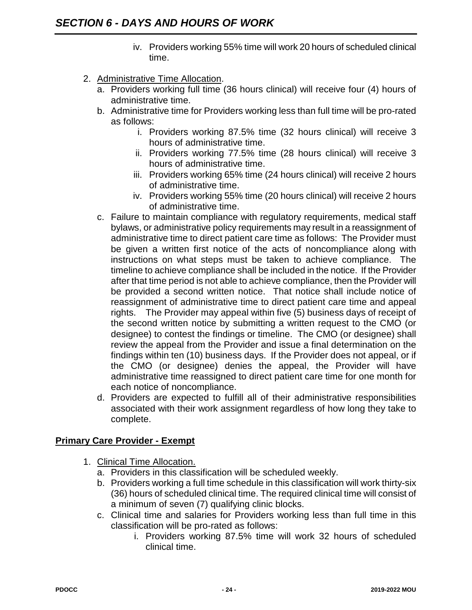- iv. Providers working 55% time will work 20 hours of scheduled clinical time.
- 2. Administrative Time Allocation.
	- a. Providers working full time (36 hours clinical) will receive four (4) hours of administrative time.
	- b. Administrative time for Providers working less than full time will be pro-rated as follows:
		- i. Providers working 87.5% time (32 hours clinical) will receive 3 hours of administrative time.
		- ii. Providers working 77.5% time (28 hours clinical) will receive 3 hours of administrative time.
		- iii. Providers working 65% time (24 hours clinical) will receive 2 hours of administrative time.
		- iv. Providers working 55% time (20 hours clinical) will receive 2 hours of administrative time.
	- c. Failure to maintain compliance with regulatory requirements, medical staff bylaws, or administrative policy requirements may result in a reassignment of administrative time to direct patient care time as follows: The Provider must be given a written first notice of the acts of noncompliance along with instructions on what steps must be taken to achieve compliance. The timeline to achieve compliance shall be included in the notice. If the Provider after that time period is not able to achieve compliance, then the Provider will be provided a second written notice. That notice shall include notice of reassignment of administrative time to direct patient care time and appeal rights. The Provider may appeal within five (5) business days of receipt of the second written notice by submitting a written request to the CMO (or designee) to contest the findings or timeline. The CMO (or designee) shall review the appeal from the Provider and issue a final determination on the findings within ten (10) business days. If the Provider does not appeal, or if the CMO (or designee) denies the appeal, the Provider will have administrative time reassigned to direct patient care time for one month for each notice of noncompliance.
	- d. Providers are expected to fulfill all of their administrative responsibilities associated with their work assignment regardless of how long they take to complete.

#### **Primary Care Provider - Exempt**

- 1. Clinical Time Allocation.
	- a. Providers in this classification will be scheduled weekly.
	- b. Providers working a full time schedule in this classification will work thirty-six (36) hours of scheduled clinical time. The required clinical time will consist of a minimum of seven (7) qualifying clinic blocks.
	- c. Clinical time and salaries for Providers working less than full time in this classification will be pro-rated as follows:
		- i. Providers working 87.5% time will work 32 hours of scheduled clinical time.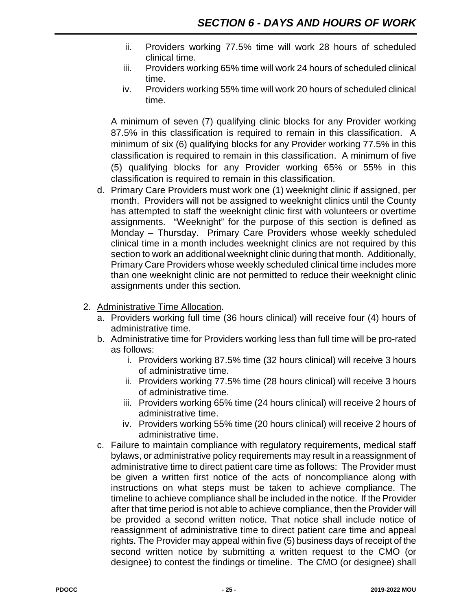- ii. Providers working 77.5% time will work 28 hours of scheduled clinical time.
- iii. Providers working 65% time will work 24 hours of scheduled clinical time.
- iv. Providers working 55% time will work 20 hours of scheduled clinical time.

A minimum of seven (7) qualifying clinic blocks for any Provider working 87.5% in this classification is required to remain in this classification. A minimum of six (6) qualifying blocks for any Provider working 77.5% in this classification is required to remain in this classification. A minimum of five (5) qualifying blocks for any Provider working 65% or 55% in this classification is required to remain in this classification.

- d. Primary Care Providers must work one (1) weeknight clinic if assigned, per month. Providers will not be assigned to weeknight clinics until the County has attempted to staff the weeknight clinic first with volunteers or overtime assignments. "Weeknight" for the purpose of this section is defined as Monday – Thursday. Primary Care Providers whose weekly scheduled clinical time in a month includes weeknight clinics are not required by this section to work an additional weeknight clinic during that month. Additionally, Primary Care Providers whose weekly scheduled clinical time includes more than one weeknight clinic are not permitted to reduce their weeknight clinic assignments under this section.
- 2. Administrative Time Allocation.
	- a. Providers working full time (36 hours clinical) will receive four (4) hours of administrative time.
	- b. Administrative time for Providers working less than full time will be pro-rated as follows:
		- i. Providers working 87.5% time (32 hours clinical) will receive 3 hours of administrative time.
		- ii. Providers working 77.5% time (28 hours clinical) will receive 3 hours of administrative time.
		- iii. Providers working 65% time (24 hours clinical) will receive 2 hours of administrative time.
		- iv. Providers working 55% time (20 hours clinical) will receive 2 hours of administrative time.
	- c. Failure to maintain compliance with regulatory requirements, medical staff bylaws, or administrative policy requirements may result in a reassignment of administrative time to direct patient care time as follows: The Provider must be given a written first notice of the acts of noncompliance along with instructions on what steps must be taken to achieve compliance. The timeline to achieve compliance shall be included in the notice. If the Provider after that time period is not able to achieve compliance, then the Provider will be provided a second written notice. That notice shall include notice of reassignment of administrative time to direct patient care time and appeal rights. The Provider may appeal within five (5) business days of receipt of the second written notice by submitting a written request to the CMO (or designee) to contest the findings or timeline. The CMO (or designee) shall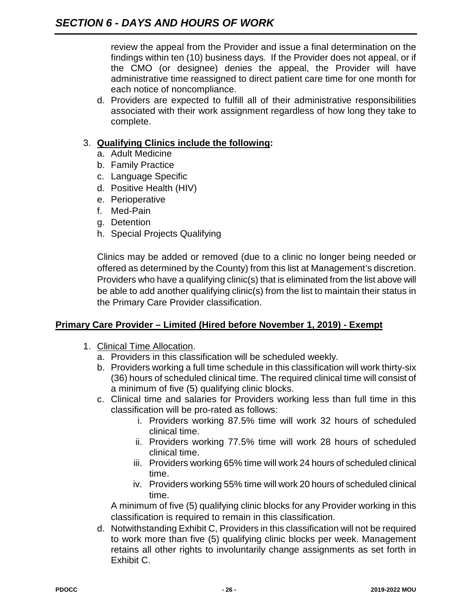review the appeal from the Provider and issue a final determination on the findings within ten (10) business days. If the Provider does not appeal, or if the CMO (or designee) denies the appeal, the Provider will have administrative time reassigned to direct patient care time for one month for each notice of noncompliance.

d. Providers are expected to fulfill all of their administrative responsibilities associated with their work assignment regardless of how long they take to complete.

#### 3. **Qualifying Clinics include the following:**

- a. Adult Medicine
- b. Family Practice
- c. Language Specific
- d. Positive Health (HIV)
- e. Perioperative
- f. Med-Pain
- g. Detention
- h. Special Projects Qualifying

Clinics may be added or removed (due to a clinic no longer being needed or offered as determined by the County) from this list at Management's discretion. Providers who have a qualifying clinic(s) that is eliminated from the list above will be able to add another qualifying clinic(s) from the list to maintain their status in the Primary Care Provider classification.

#### **Primary Care Provider – Limited (Hired before November 1, 2019) - Exempt**

- 1. Clinical Time Allocation.
	- a. Providers in this classification will be scheduled weekly.
	- b. Providers working a full time schedule in this classification will work thirty-six (36) hours of scheduled clinical time. The required clinical time will consist of a minimum of five (5) qualifying clinic blocks.
	- c. Clinical time and salaries for Providers working less than full time in this classification will be pro-rated as follows:
		- i. Providers working 87.5% time will work 32 hours of scheduled clinical time.
		- ii. Providers working 77.5% time will work 28 hours of scheduled clinical time.
		- iii. Providers working 65% time will work 24 hours of scheduled clinical time.
		- iv. Providers working 55% time will work 20 hours of scheduled clinical time.

A minimum of five (5) qualifying clinic blocks for any Provider working in this classification is required to remain in this classification.

d. Notwithstanding Exhibit C, Providers in this classification will not be required to work more than five (5) qualifying clinic blocks per week. Management retains all other rights to involuntarily change assignments as set forth in Exhibit C.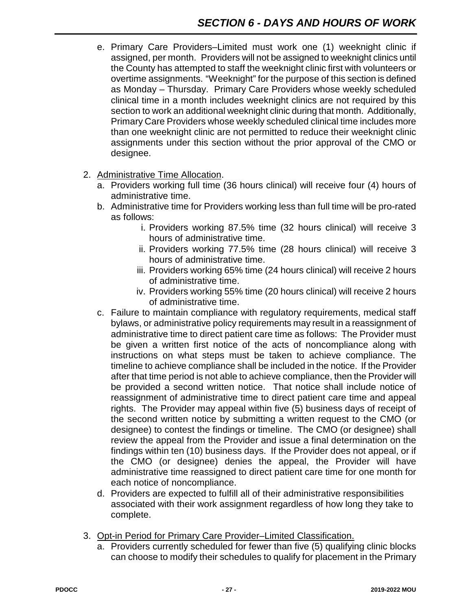- e. Primary Care Providers–Limited must work one (1) weeknight clinic if assigned, per month. Providers will not be assigned to weeknight clinics until the County has attempted to staff the weeknight clinic first with volunteers or overtime assignments. "Weeknight" for the purpose of this section is defined as Monday – Thursday. Primary Care Providers whose weekly scheduled clinical time in a month includes weeknight clinics are not required by this section to work an additional weeknight clinic during that month. Additionally, Primary Care Providers whose weekly scheduled clinical time includes more than one weeknight clinic are not permitted to reduce their weeknight clinic assignments under this section without the prior approval of the CMO or designee.
- 2. Administrative Time Allocation.
	- a. Providers working full time (36 hours clinical) will receive four (4) hours of administrative time.
	- b. Administrative time for Providers working less than full time will be pro-rated as follows:
		- i. Providers working 87.5% time (32 hours clinical) will receive 3 hours of administrative time.
		- ii. Providers working 77.5% time (28 hours clinical) will receive 3 hours of administrative time.
		- iii. Providers working 65% time (24 hours clinical) will receive 2 hours of administrative time.
		- iv. Providers working 55% time (20 hours clinical) will receive 2 hours of administrative time.
	- c. Failure to maintain compliance with regulatory requirements, medical staff bylaws, or administrative policy requirements may result in a reassignment of administrative time to direct patient care time as follows: The Provider must be given a written first notice of the acts of noncompliance along with instructions on what steps must be taken to achieve compliance. The timeline to achieve compliance shall be included in the notice. If the Provider after that time period is not able to achieve compliance, then the Provider will be provided a second written notice. That notice shall include notice of reassignment of administrative time to direct patient care time and appeal rights. The Provider may appeal within five (5) business days of receipt of the second written notice by submitting a written request to the CMO (or designee) to contest the findings or timeline. The CMO (or designee) shall review the appeal from the Provider and issue a final determination on the findings within ten (10) business days. If the Provider does not appeal, or if the CMO (or designee) denies the appeal, the Provider will have administrative time reassigned to direct patient care time for one month for each notice of noncompliance.
	- d. Providers are expected to fulfill all of their administrative responsibilities associated with their work assignment regardless of how long they take to complete.
- 3. Opt-in Period for Primary Care Provider–Limited Classification.
	- a. Providers currently scheduled for fewer than five (5) qualifying clinic blocks can choose to modify their schedules to qualify for placement in the Primary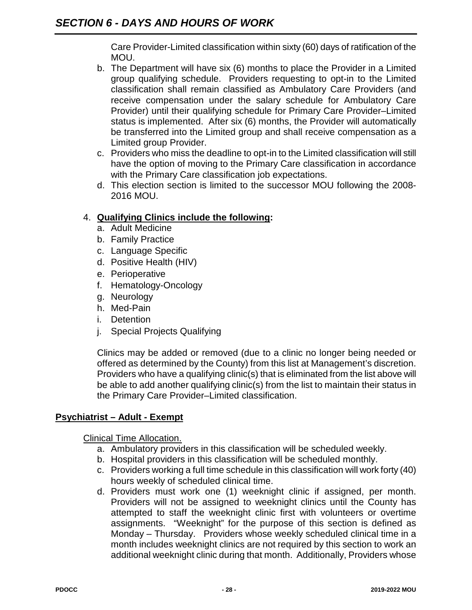Care Provider-Limited classification within sixty (60) days of ratification of the MOU.

- b. The Department will have six (6) months to place the Provider in a Limited group qualifying schedule. Providers requesting to opt-in to the Limited classification shall remain classified as Ambulatory Care Providers (and receive compensation under the salary schedule for Ambulatory Care Provider) until their qualifying schedule for Primary Care Provider–Limited status is implemented. After six (6) months, the Provider will automatically be transferred into the Limited group and shall receive compensation as a Limited group Provider.
- c. Providers who miss the deadline to opt-in to the Limited classification will still have the option of moving to the Primary Care classification in accordance with the Primary Care classification job expectations.
- d. This election section is limited to the successor MOU following the 2008- 2016 MOU.

#### 4. **Qualifying Clinics include the following:**

- a. Adult Medicine
- b. Family Practice
- c. Language Specific
- d. Positive Health (HIV)
- e. Perioperative
- f. Hematology-Oncology
- g. Neurology
- h. Med-Pain
- i. Detention
- j. Special Projects Qualifying

Clinics may be added or removed (due to a clinic no longer being needed or offered as determined by the County) from this list at Management's discretion. Providers who have a qualifying clinic(s) that is eliminated from the list above will be able to add another qualifying clinic(s) from the list to maintain their status in the Primary Care Provider–Limited classification.

#### **Psychiatrist – Adult - Exempt**

Clinical Time Allocation.

- a. Ambulatory providers in this classification will be scheduled weekly.
- b. Hospital providers in this classification will be scheduled monthly.
- c. Providers working a full time schedule in this classification will work forty (40) hours weekly of scheduled clinical time.
- d. Providers must work one (1) weeknight clinic if assigned, per month. Providers will not be assigned to weeknight clinics until the County has attempted to staff the weeknight clinic first with volunteers or overtime assignments. "Weeknight" for the purpose of this section is defined as Monday – Thursday. Providers whose weekly scheduled clinical time in a month includes weeknight clinics are not required by this section to work an additional weeknight clinic during that month. Additionally, Providers whose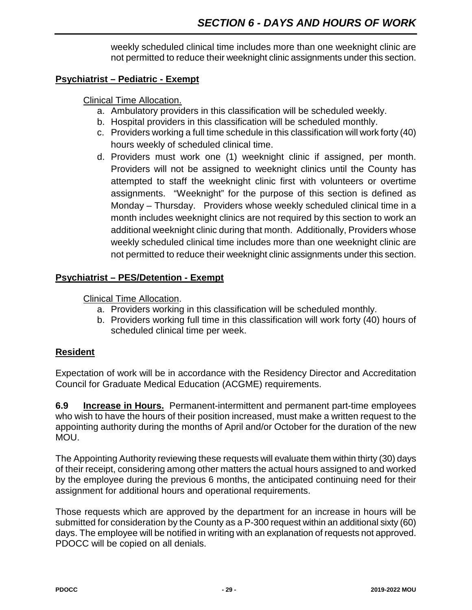weekly scheduled clinical time includes more than one weeknight clinic are not permitted to reduce their weeknight clinic assignments under this section.

#### **Psychiatrist – Pediatric - Exempt**

#### Clinical Time Allocation.

- a. Ambulatory providers in this classification will be scheduled weekly.
- b. Hospital providers in this classification will be scheduled monthly.
- c. Providers working a full time schedule in this classification will work forty (40) hours weekly of scheduled clinical time.
- d. Providers must work one (1) weeknight clinic if assigned, per month. Providers will not be assigned to weeknight clinics until the County has attempted to staff the weeknight clinic first with volunteers or overtime assignments. "Weeknight" for the purpose of this section is defined as Monday – Thursday. Providers whose weekly scheduled clinical time in a month includes weeknight clinics are not required by this section to work an additional weeknight clinic during that month. Additionally, Providers whose weekly scheduled clinical time includes more than one weeknight clinic are not permitted to reduce their weeknight clinic assignments under this section.

#### **Psychiatrist – PES/Detention - Exempt**

Clinical Time Allocation.

- a. Providers working in this classification will be scheduled monthly.
- b. Providers working full time in this classification will work forty (40) hours of scheduled clinical time per week.

#### **Resident**

Expectation of work will be in accordance with the Residency Director and Accreditation Council for Graduate Medical Education (ACGME) requirements.

**6.9 Increase in Hours.** Permanent-intermittent and permanent part-time employees who wish to have the hours of their position increased, must make a written request to the appointing authority during the months of April and/or October for the duration of the new MOU.

The Appointing Authority reviewing these requests will evaluate them within thirty (30) days of their receipt, considering among other matters the actual hours assigned to and worked by the employee during the previous 6 months, the anticipated continuing need for their assignment for additional hours and operational requirements.

Those requests which are approved by the department for an increase in hours will be submitted for consideration by the County as a P-300 request within an additional sixty (60) days. The employee will be notified in writing with an explanation of requests not approved. PDOCC will be copied on all denials.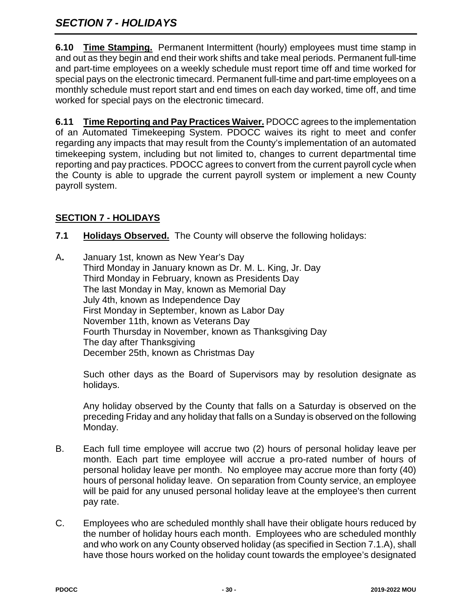## *SECTION 7 - HOLIDAYS*

**6.10 Time Stamping.** Permanent Intermittent (hourly) employees must time stamp in and out as they begin and end their work shifts and take meal periods. Permanent full-time and part-time employees on a weekly schedule must report time off and time worked for special pays on the electronic timecard. Permanent full-time and part-time employees on a monthly schedule must report start and end times on each day worked, time off, and time worked for special pays on the electronic timecard.

**6.11 Time Reporting and Pay Practices Waiver.** PDOCC agrees to the implementation of an Automated Timekeeping System. PDOCC waives its right to meet and confer regarding any impacts that may result from the County's implementation of an automated timekeeping system, including but not limited to, changes to current departmental time reporting and pay practices. PDOCC agrees to convert from the current payroll cycle when the County is able to upgrade the current payroll system or implement a new County payroll system.

#### **SECTION 7 - HOLIDAYS**

- **7.1 Holidays Observed.** The County will observe the following holidays:
- A**.** January 1st, known as New Year's Day Third Monday in January known as Dr. M. L. King, Jr. Day Third Monday in February, known as Presidents Day The last Monday in May, known as Memorial Day July 4th, known as Independence Day First Monday in September, known as Labor Day November 11th, known as Veterans Day Fourth Thursday in November, known as Thanksgiving Day The day after Thanksgiving December 25th, known as Christmas Day

Such other days as the Board of Supervisors may by resolution designate as holidays.

Any holiday observed by the County that falls on a Saturday is observed on the preceding Friday and any holiday that falls on a Sunday is observed on the following Monday.

- B. Each full time employee will accrue two (2) hours of personal holiday leave per month. Each part time employee will accrue a pro-rated number of hours of personal holiday leave per month. No employee may accrue more than forty (40) hours of personal holiday leave. On separation from County service, an employee will be paid for any unused personal holiday leave at the employee's then current pay rate.
- C. Employees who are scheduled monthly shall have their obligate hours reduced by the number of holiday hours each month. Employees who are scheduled monthly and who work on any County observed holiday (as specified in Section 7.1.A), shall have those hours worked on the holiday count towards the employee's designated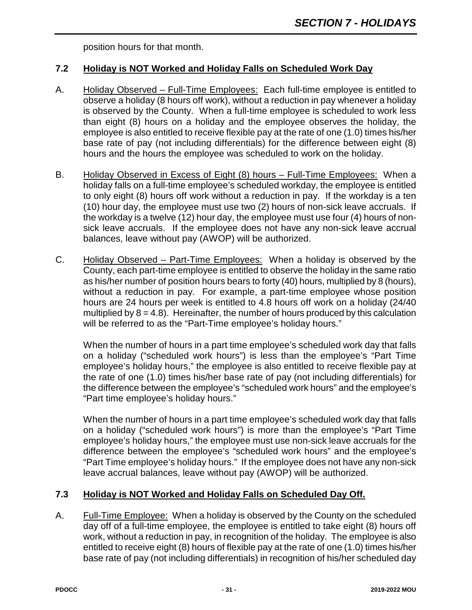position hours for that month.

#### **7.2 Holiday is NOT Worked and Holiday Falls on Scheduled Work Day**

- A. Holiday Observed Full-Time Employees: Each full-time employee is entitled to observe a holiday (8 hours off work), without a reduction in pay whenever a holiday is observed by the County. When a full-time employee is scheduled to work less than eight (8) hours on a holiday and the employee observes the holiday, the employee is also entitled to receive flexible pay at the rate of one (1.0) times his/her base rate of pay (not including differentials) for the difference between eight (8) hours and the hours the employee was scheduled to work on the holiday.
- B. Holiday Observed in Excess of Eight (8) hours Full-Time Employees: When a holiday falls on a full-time employee's scheduled workday, the employee is entitled to only eight (8) hours off work without a reduction in pay. If the workday is a ten (10) hour day, the employee must use two (2) hours of non-sick leave accruals. If the workday is a twelve (12) hour day, the employee must use four (4) hours of nonsick leave accruals. If the employee does not have any non-sick leave accrual balances, leave without pay (AWOP) will be authorized.
- C. Holiday Observed Part-Time Employees: When a holiday is observed by the County, each part-time employee is entitled to observe the holiday in the same ratio as his/her number of position hours bears to forty (40) hours, multiplied by 8 (hours), without a reduction in pay. For example, a part-time employee whose position hours are 24 hours per week is entitled to 4.8 hours off work on a holiday (24/40 multiplied by  $8 = 4.8$ ). Hereinafter, the number of hours produced by this calculation will be referred to as the "Part-Time employee's holiday hours."

When the number of hours in a part time employee's scheduled work day that falls on a holiday ("scheduled work hours") is less than the employee's "Part Time employee's holiday hours," the employee is also entitled to receive flexible pay at the rate of one (1.0) times his/her base rate of pay (not including differentials) for the difference between the employee's "scheduled work hours" and the employee's "Part time employee's holiday hours."

When the number of hours in a part time employee's scheduled work day that falls on a holiday ("scheduled work hours") is more than the employee's "Part Time employee's holiday hours," the employee must use non-sick leave accruals for the difference between the employee's "scheduled work hours" and the employee's "Part Time employee's holiday hours." If the employee does not have any non-sick leave accrual balances, leave without pay (AWOP) will be authorized.

#### **7.3 Holiday is NOT Worked and Holiday Falls on Scheduled Day Off.**

A. Full-Time Employee: When a holiday is observed by the County on the scheduled day off of a full-time employee, the employee is entitled to take eight (8) hours off work, without a reduction in pay, in recognition of the holiday. The employee is also entitled to receive eight (8) hours of flexible pay at the rate of one (1.0) times his/her base rate of pay (not including differentials) in recognition of his/her scheduled day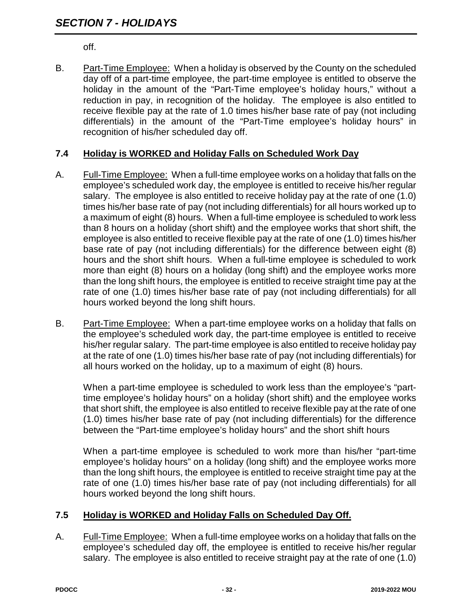off.

B. Part-Time Employee: When a holiday is observed by the County on the scheduled day off of a part-time employee, the part-time employee is entitled to observe the holiday in the amount of the "Part-Time employee's holiday hours," without a reduction in pay, in recognition of the holiday. The employee is also entitled to receive flexible pay at the rate of 1.0 times his/her base rate of pay (not including differentials) in the amount of the "Part-Time employee's holiday hours" in recognition of his/her scheduled day off.

#### **7.4 Holiday is WORKED and Holiday Falls on Scheduled Work Day**

- A. Full-Time Employee: When a full-time employee works on a holiday that falls on the employee's scheduled work day, the employee is entitled to receive his/her regular salary. The employee is also entitled to receive holiday pay at the rate of one (1.0) times his/her base rate of pay (not including differentials) for all hours worked up to a maximum of eight (8) hours. When a full-time employee is scheduled to work less than 8 hours on a holiday (short shift) and the employee works that short shift, the employee is also entitled to receive flexible pay at the rate of one (1.0) times his/her base rate of pay (not including differentials) for the difference between eight (8) hours and the short shift hours. When a full-time employee is scheduled to work more than eight (8) hours on a holiday (long shift) and the employee works more than the long shift hours, the employee is entitled to receive straight time pay at the rate of one (1.0) times his/her base rate of pay (not including differentials) for all hours worked beyond the long shift hours.
- B. Part-Time Employee: When a part-time employee works on a holiday that falls on the employee's scheduled work day, the part-time employee is entitled to receive his/her regular salary. The part-time employee is also entitled to receive holiday pay at the rate of one (1.0) times his/her base rate of pay (not including differentials) for all hours worked on the holiday, up to a maximum of eight (8) hours.

When a part-time employee is scheduled to work less than the employee's "parttime employee's holiday hours" on a holiday (short shift) and the employee works that short shift, the employee is also entitled to receive flexible pay at the rate of one (1.0) times his/her base rate of pay (not including differentials) for the difference between the "Part-time employee's holiday hours" and the short shift hours

When a part-time employee is scheduled to work more than his/her "part-time employee's holiday hours" on a holiday (long shift) and the employee works more than the long shift hours, the employee is entitled to receive straight time pay at the rate of one (1.0) times his/her base rate of pay (not including differentials) for all hours worked beyond the long shift hours.

#### **7.5 Holiday is WORKED and Holiday Falls on Scheduled Day Off.**

A. Full-Time Employee: When a full-time employee works on a holiday that falls on the employee's scheduled day off, the employee is entitled to receive his/her regular salary. The employee is also entitled to receive straight pay at the rate of one (1.0)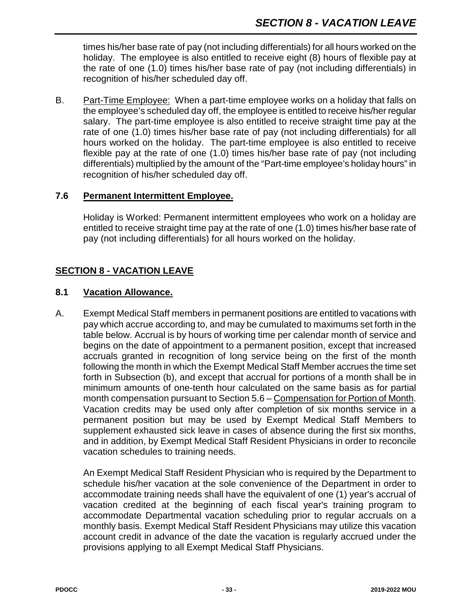times his/her base rate of pay (not including differentials) for all hours worked on the holiday. The employee is also entitled to receive eight (8) hours of flexible pay at the rate of one (1.0) times his/her base rate of pay (not including differentials) in recognition of his/her scheduled day off.

B. Part-Time Employee: When a part-time employee works on a holiday that falls on the employee's scheduled day off, the employee is entitled to receive his/her regular salary. The part-time employee is also entitled to receive straight time pay at the rate of one (1.0) times his/her base rate of pay (not including differentials) for all hours worked on the holiday. The part-time employee is also entitled to receive flexible pay at the rate of one (1.0) times his/her base rate of pay (not including differentials) multiplied by the amount of the "Part-time employee's holiday hours" in recognition of his/her scheduled day off.

#### **7.6 Permanent Intermittent Employee.**

Holiday is Worked: Permanent intermittent employees who work on a holiday are entitled to receive straight time pay at the rate of one (1.0) times his/her base rate of pay (not including differentials) for all hours worked on the holiday.

#### **SECTION 8 - VACATION LEAVE**

#### **8.1 Vacation Allowance.**

A. Exempt Medical Staff members in permanent positions are entitled to vacations with pay which accrue according to, and may be cumulated to maximums set forth in the table below. Accrual is by hours of working time per calendar month of service and begins on the date of appointment to a permanent position, except that increased accruals granted in recognition of long service being on the first of the month following the month in which the Exempt Medical Staff Member accrues the time set forth in Subsection (b), and except that accrual for portions of a month shall be in minimum amounts of one-tenth hour calculated on the same basis as for partial month compensation pursuant to Section 5.6 – Compensation for Portion of Month. Vacation credits may be used only after completion of six months service in a permanent position but may be used by Exempt Medical Staff Members to supplement exhausted sick leave in cases of absence during the first six months, and in addition, by Exempt Medical Staff Resident Physicians in order to reconcile vacation schedules to training needs.

An Exempt Medical Staff Resident Physician who is required by the Department to schedule his/her vacation at the sole convenience of the Department in order to accommodate training needs shall have the equivalent of one (1) year's accrual of vacation credited at the beginning of each fiscal year's training program to accommodate Departmental vacation scheduling prior to regular accruals on a monthly basis. Exempt Medical Staff Resident Physicians may utilize this vacation account credit in advance of the date the vacation is regularly accrued under the provisions applying to all Exempt Medical Staff Physicians.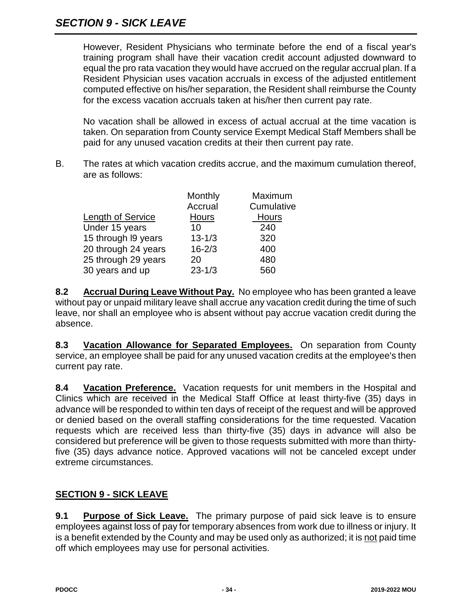However, Resident Physicians who terminate before the end of a fiscal year's training program shall have their vacation credit account adjusted downward to equal the pro rata vacation they would have accrued on the regular accrual plan. If a Resident Physician uses vacation accruals in excess of the adjusted entitlement computed effective on his/her separation, the Resident shall reimburse the County for the excess vacation accruals taken at his/her then current pay rate.

No vacation shall be allowed in excess of actual accrual at the time vacation is taken. On separation from County service Exempt Medical Staff Members shall be paid for any unused vacation credits at their then current pay rate.

B. The rates at which vacation credits accrue, and the maximum cumulation thereof, are as follows:

|                          | Monthly      | Maximum    |
|--------------------------|--------------|------------|
|                          | Accrual      | Cumulative |
| <b>Length of Service</b> | <b>Hours</b> | Hours      |
| Under 15 years           | 10           | 240        |
| 15 through I9 years      | $13 - 1/3$   | 320        |
| 20 through 24 years      | $16 - 2/3$   | 400        |
| 25 through 29 years      | 20           | 480        |
| 30 years and up          | $23 - 1/3$   | 560        |

**8.2 Accrual During Leave Without Pay.** No employee who has been granted a leave without pay or unpaid military leave shall accrue any vacation credit during the time of such leave, nor shall an employee who is absent without pay accrue vacation credit during the absence.

**8.3 Vacation Allowance for Separated Employees.** On separation from County service, an employee shall be paid for any unused vacation credits at the employee's then current pay rate.

**8.4 Vacation Preference.** Vacation requests for unit members in the Hospital and Clinics which are received in the Medical Staff Office at least thirty-five (35) days in advance will be responded to within ten days of receipt of the request and will be approved or denied based on the overall staffing considerations for the time requested. Vacation requests which are received less than thirty-five (35) days in advance will also be considered but preference will be given to those requests submitted with more than thirtyfive (35) days advance notice. Approved vacations will not be canceled except under extreme circumstances.

## **SECTION 9 - SICK LEAVE**

**9.1 Purpose of Sick Leave.** The primary purpose of paid sick leave is to ensure employees against loss of pay for temporary absences from work due to illness or injury. It is a benefit extended by the County and may be used only as authorized; it is not paid time off which employees may use for personal activities.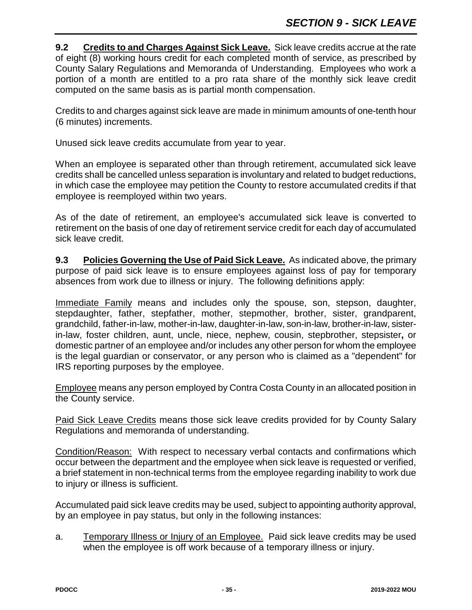**9.2 Credits to and Charges Against Sick Leave.** Sick leave credits accrue at the rate of eight (8) working hours credit for each completed month of service, as prescribed by County Salary Regulations and Memoranda of Understanding. Employees who work a portion of a month are entitled to a pro rata share of the monthly sick leave credit computed on the same basis as is partial month compensation.

Credits to and charges against sick leave are made in minimum amounts of one-tenth hour (6 minutes) increments.

Unused sick leave credits accumulate from year to year.

When an employee is separated other than through retirement, accumulated sick leave credits shall be cancelled unless separation is involuntary and related to budget reductions, in which case the employee may petition the County to restore accumulated credits if that employee is reemployed within two years.

As of the date of retirement, an employee's accumulated sick leave is converted to retirement on the basis of one day of retirement service credit for each day of accumulated sick leave credit.

**9.3 Policies Governing the Use of Paid Sick Leave.** As indicated above, the primary purpose of paid sick leave is to ensure employees against loss of pay for temporary absences from work due to illness or injury. The following definitions apply:

Immediate Family means and includes only the spouse, son, stepson, daughter, stepdaughter, father, stepfather, mother, stepmother, brother, sister, grandparent, grandchild, father-in-law, mother-in-law, daughter-in-law, son-in-law, brother-in-law, sisterin-law, foster children, aunt, uncle, niece, nephew, cousin, stepbrother, stepsister**,** or domestic partner of an employee and/or includes any other person for whom the employee is the legal guardian or conservator, or any person who is claimed as a "dependent" for IRS reporting purposes by the employee.

Employee means any person employed by Contra Costa County in an allocated position in the County service.

Paid Sick Leave Credits means those sick leave credits provided for by County Salary Regulations and memoranda of understanding.

Condition/Reason: With respect to necessary verbal contacts and confirmations which occur between the department and the employee when sick leave is requested or verified, a brief statement in non-technical terms from the employee regarding inability to work due to injury or illness is sufficient.

Accumulated paid sick leave credits may be used, subject to appointing authority approval, by an employee in pay status, but only in the following instances:

a. Temporary Illness or Injury of an Employee. Paid sick leave credits may be used when the employee is off work because of a temporary illness or injury.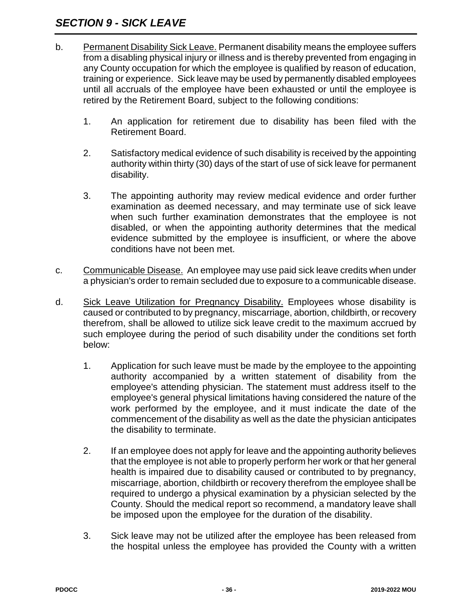## *SECTION 9 - SICK LEAVE*

- b. Permanent Disability Sick Leave. Permanent disability means the employee suffers from a disabling physical injury or illness and is thereby prevented from engaging in any County occupation for which the employee is qualified by reason of education, training or experience. Sick leave may be used by permanently disabled employees until all accruals of the employee have been exhausted or until the employee is retired by the Retirement Board, subject to the following conditions:
	- 1. An application for retirement due to disability has been filed with the Retirement Board.
	- 2. Satisfactory medical evidence of such disability is received by the appointing authority within thirty (30) days of the start of use of sick leave for permanent disability.
	- 3. The appointing authority may review medical evidence and order further examination as deemed necessary, and may terminate use of sick leave when such further examination demonstrates that the employee is not disabled, or when the appointing authority determines that the medical evidence submitted by the employee is insufficient, or where the above conditions have not been met.
- c. Communicable Disease. An employee may use paid sick leave credits when under a physician's order to remain secluded due to exposure to a communicable disease.
- d. Sick Leave Utilization for Pregnancy Disability. Employees whose disability is caused or contributed to by pregnancy, miscarriage, abortion, childbirth, or recovery therefrom, shall be allowed to utilize sick leave credit to the maximum accrued by such employee during the period of such disability under the conditions set forth below:
	- 1. Application for such leave must be made by the employee to the appointing authority accompanied by a written statement of disability from the employee's attending physician. The statement must address itself to the employee's general physical limitations having considered the nature of the work performed by the employee, and it must indicate the date of the commencement of the disability as well as the date the physician anticipates the disability to terminate.
	- 2. If an employee does not apply for leave and the appointing authority believes that the employee is not able to properly perform her work or that her general health is impaired due to disability caused or contributed to by pregnancy, miscarriage, abortion, childbirth or recovery therefrom the employee shall be required to undergo a physical examination by a physician selected by the County. Should the medical report so recommend, a mandatory leave shall be imposed upon the employee for the duration of the disability.
	- 3. Sick leave may not be utilized after the employee has been released from the hospital unless the employee has provided the County with a written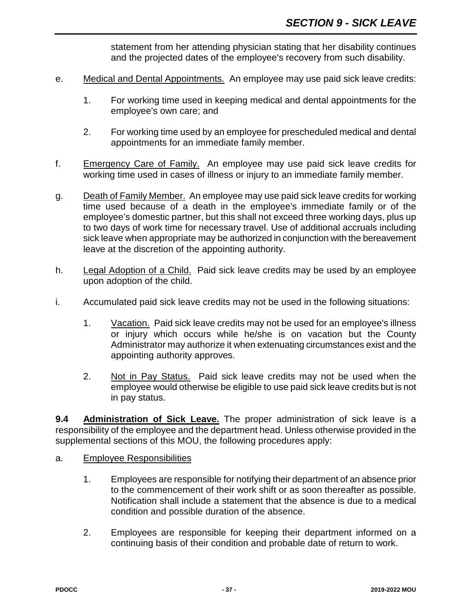statement from her attending physician stating that her disability continues and the projected dates of the employee's recovery from such disability.

- e. Medical and Dental Appointments. An employee may use paid sick leave credits:
	- 1. For working time used in keeping medical and dental appointments for the employee's own care; and
	- 2. For working time used by an employee for prescheduled medical and dental appointments for an immediate family member.
- f. Emergency Care of Family. An employee may use paid sick leave credits for working time used in cases of illness or injury to an immediate family member.
- g. Death of Family Member. An employee may use paid sick leave credits for working time used because of a death in the employee's immediate family or of the employee's domestic partner, but this shall not exceed three working days, plus up to two days of work time for necessary travel. Use of additional accruals including sick leave when appropriate may be authorized in conjunction with the bereavement leave at the discretion of the appointing authority.
- h. Legal Adoption of a Child. Paid sick leave credits may be used by an employee upon adoption of the child.
- i. Accumulated paid sick leave credits may not be used in the following situations:
	- 1. Vacation. Paid sick leave credits may not be used for an employee's illness or injury which occurs while he/she is on vacation but the County Administrator may authorize it when extenuating circumstances exist and the appointing authority approves.
	- 2. Not in Pay Status. Paid sick leave credits may not be used when the employee would otherwise be eligible to use paid sick leave credits but is not in pay status.

**9.4 Administration of Sick Leave.** The proper administration of sick leave is a responsibility of the employee and the department head. Unless otherwise provided in the supplemental sections of this MOU, the following procedures apply:

- a. Employee Responsibilities
	- 1. Employees are responsible for notifying their department of an absence prior to the commencement of their work shift or as soon thereafter as possible. Notification shall include a statement that the absence is due to a medical condition and possible duration of the absence.
	- 2. Employees are responsible for keeping their department informed on a continuing basis of their condition and probable date of return to work.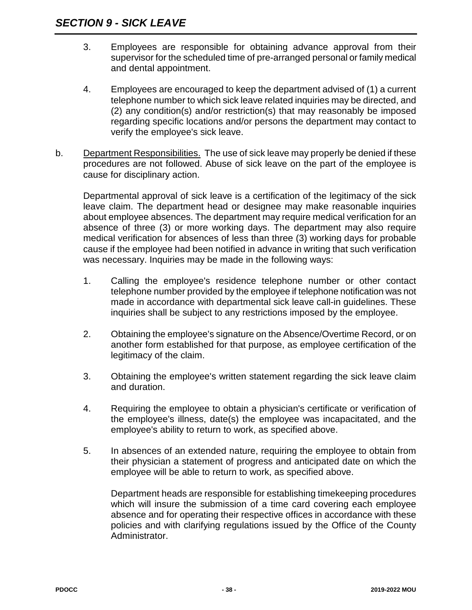- 3. Employees are responsible for obtaining advance approval from their supervisor for the scheduled time of pre-arranged personal or family medical and dental appointment.
- 4. Employees are encouraged to keep the department advised of (1) a current telephone number to which sick leave related inquiries may be directed, and (2) any condition(s) and/or restriction(s) that may reasonably be imposed regarding specific locations and/or persons the department may contact to verify the employee's sick leave.
- b. Department Responsibilities. The use of sick leave may properly be denied if these procedures are not followed. Abuse of sick leave on the part of the employee is cause for disciplinary action.

Departmental approval of sick leave is a certification of the legitimacy of the sick leave claim. The department head or designee may make reasonable inquiries about employee absences. The department may require medical verification for an absence of three (3) or more working days. The department may also require medical verification for absences of less than three (3) working days for probable cause if the employee had been notified in advance in writing that such verification was necessary. Inquiries may be made in the following ways:

- 1. Calling the employee's residence telephone number or other contact telephone number provided by the employee if telephone notification was not made in accordance with departmental sick leave call-in guidelines. These inquiries shall be subject to any restrictions imposed by the employee.
- 2. Obtaining the employee's signature on the Absence/Overtime Record, or on another form established for that purpose, as employee certification of the legitimacy of the claim.
- 3. Obtaining the employee's written statement regarding the sick leave claim and duration.
- 4. Requiring the employee to obtain a physician's certificate or verification of the employee's illness, date(s) the employee was incapacitated, and the employee's ability to return to work, as specified above.
- 5. In absences of an extended nature, requiring the employee to obtain from their physician a statement of progress and anticipated date on which the employee will be able to return to work, as specified above.

Department heads are responsible for establishing timekeeping procedures which will insure the submission of a time card covering each employee absence and for operating their respective offices in accordance with these policies and with clarifying regulations issued by the Office of the County Administrator.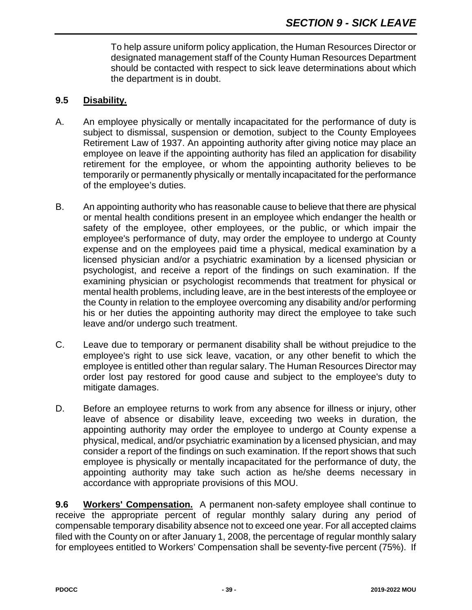To help assure uniform policy application, the Human Resources Director or designated management staff of the County Human Resources Department should be contacted with respect to sick leave determinations about which the department is in doubt.

#### **9.5 Disability.**

- A. An employee physically or mentally incapacitated for the performance of duty is subject to dismissal, suspension or demotion, subject to the County Employees Retirement Law of 1937. An appointing authority after giving notice may place an employee on leave if the appointing authority has filed an application for disability retirement for the employee, or whom the appointing authority believes to be temporarily or permanently physically or mentally incapacitated for the performance of the employee's duties.
- B. An appointing authority who has reasonable cause to believe that there are physical or mental health conditions present in an employee which endanger the health or safety of the employee, other employees, or the public, or which impair the employee's performance of duty, may order the employee to undergo at County expense and on the employees paid time a physical, medical examination by a licensed physician and/or a psychiatric examination by a licensed physician or psychologist, and receive a report of the findings on such examination. If the examining physician or psychologist recommends that treatment for physical or mental health problems, including leave, are in the best interests of the employee or the County in relation to the employee overcoming any disability and/or performing his or her duties the appointing authority may direct the employee to take such leave and/or undergo such treatment.
- C. Leave due to temporary or permanent disability shall be without prejudice to the employee's right to use sick leave, vacation, or any other benefit to which the employee is entitled other than regular salary. The Human Resources Director may order lost pay restored for good cause and subject to the employee's duty to mitigate damages.
- D. Before an employee returns to work from any absence for illness or injury, other leave of absence or disability leave, exceeding two weeks in duration, the appointing authority may order the employee to undergo at County expense a physical, medical, and/or psychiatric examination by a licensed physician, and may consider a report of the findings on such examination. If the report shows that such employee is physically or mentally incapacitated for the performance of duty, the appointing authority may take such action as he/she deems necessary in accordance with appropriate provisions of this MOU.

**9.6 Workers' Compensation.** A permanent non-safety employee shall continue to receive the appropriate percent of regular monthly salary during any period of compensable temporary disability absence not to exceed one year. For all accepted claims filed with the County on or after January 1, 2008, the percentage of regular monthly salary for employees entitled to Workers' Compensation shall be seventy-five percent (75%). If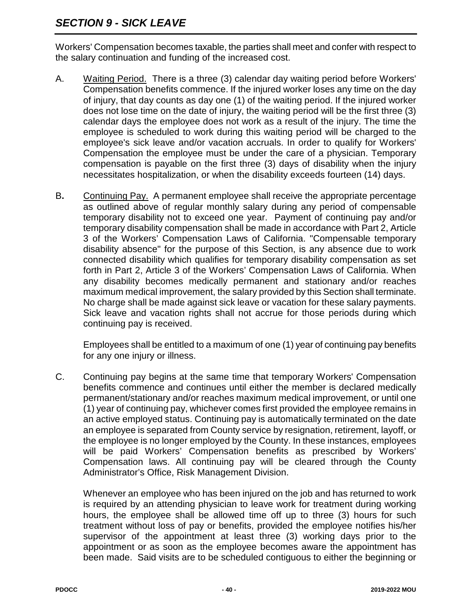## *SECTION 9 - SICK LEAVE*

Workers' Compensation becomes taxable, the parties shall meet and confer with respect to the salary continuation and funding of the increased cost.

- A. Waiting Period. There is a three (3) calendar day waiting period before Workers' Compensation benefits commence. If the injured worker loses any time on the day of injury, that day counts as day one (1) of the waiting period. If the injured worker does not lose time on the date of injury, the waiting period will be the first three (3) calendar days the employee does not work as a result of the injury. The time the employee is scheduled to work during this waiting period will be charged to the employee's sick leave and/or vacation accruals. In order to qualify for Workers' Compensation the employee must be under the care of a physician. Temporary compensation is payable on the first three (3) days of disability when the injury necessitates hospitalization, or when the disability exceeds fourteen (14) days.
- B**.** Continuing Pay. A permanent employee shall receive the appropriate percentage as outlined above of regular monthly salary during any period of compensable temporary disability not to exceed one year. Payment of continuing pay and/or temporary disability compensation shall be made in accordance with Part 2, Article 3 of the Workers' Compensation Laws of California. "Compensable temporary disability absence" for the purpose of this Section, is any absence due to work connected disability which qualifies for temporary disability compensation as set forth in Part 2, Article 3 of the Workers' Compensation Laws of California. When any disability becomes medically permanent and stationary and/or reaches maximum medical improvement, the salary provided by this Section shall terminate. No charge shall be made against sick leave or vacation for these salary payments. Sick leave and vacation rights shall not accrue for those periods during which continuing pay is received.

Employees shall be entitled to a maximum of one (1) year of continuing pay benefits for any one injury or illness.

C. Continuing pay begins at the same time that temporary Workers' Compensation benefits commence and continues until either the member is declared medically permanent/stationary and/or reaches maximum medical improvement, or until one (1) year of continuing pay, whichever comes first provided the employee remains in an active employed status. Continuing pay is automatically terminated on the date an employee is separated from County service by resignation, retirement, layoff, or the employee is no longer employed by the County. In these instances, employees will be paid Workers' Compensation benefits as prescribed by Workers' Compensation laws. All continuing pay will be cleared through the County Administrator's Office, Risk Management Division.

Whenever an employee who has been injured on the job and has returned to work is required by an attending physician to leave work for treatment during working hours, the employee shall be allowed time off up to three (3) hours for such treatment without loss of pay or benefits, provided the employee notifies his/her supervisor of the appointment at least three (3) working days prior to the appointment or as soon as the employee becomes aware the appointment has been made. Said visits are to be scheduled contiguous to either the beginning or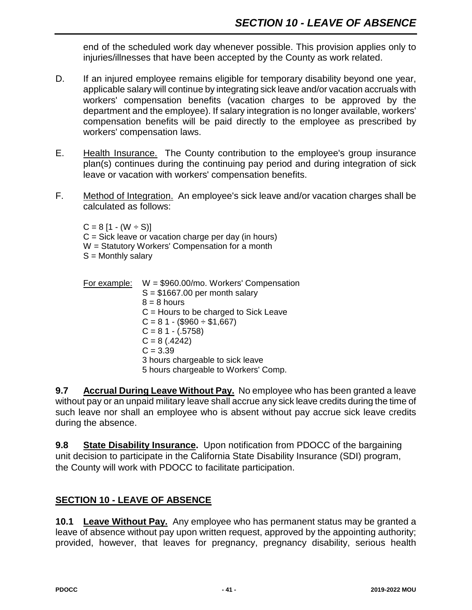end of the scheduled work day whenever possible. This provision applies only to injuries/illnesses that have been accepted by the County as work related.

- D. If an injured employee remains eligible for temporary disability beyond one year, applicable salary will continue by integrating sick leave and/or vacation accruals with workers' compensation benefits (vacation charges to be approved by the department and the employee). If salary integration is no longer available, workers' compensation benefits will be paid directly to the employee as prescribed by workers' compensation laws.
- E. Health Insurance. The County contribution to the employee's group insurance plan(s) continues during the continuing pay period and during integration of sick leave or vacation with workers' compensation benefits.
- F. Method of Integration. An employee's sick leave and/or vacation charges shall be calculated as follows:

 $C = 8 [1 - (W \div S)]$  $C =$  Sick leave or vacation charge per day (in hours) W = Statutory Workers' Compensation for a month  $S =$  Monthly salary

For example: W = \$960.00/mo. Workers' Compensation  $S = $1667.00$  per month salary  $8 = 8$  hours C = Hours to be charged to Sick Leave  $C = 81 - (1960 \div 1667)$  $C = 81 - (.5758)$  $C = 8(.4242)$  $C = 3.39$ 3 hours chargeable to sick leave 5 hours chargeable to Workers' Comp.

**9.7 Accrual During Leave Without Pay.** No employee who has been granted a leave without pay or an unpaid military leave shall accrue any sick leave credits during the time of such leave nor shall an employee who is absent without pay accrue sick leave credits during the absence.

**9.8 State Disability Insurance.** Upon notification from PDOCC of the bargaining unit decision to participate in the California State Disability Insurance (SDI) program, the County will work with PDOCC to facilitate participation.

## **SECTION 10 - LEAVE OF ABSENCE**

**10.1 Leave Without Pay.** Any employee who has permanent status may be granted a leave of absence without pay upon written request, approved by the appointing authority; provided, however, that leaves for pregnancy, pregnancy disability, serious health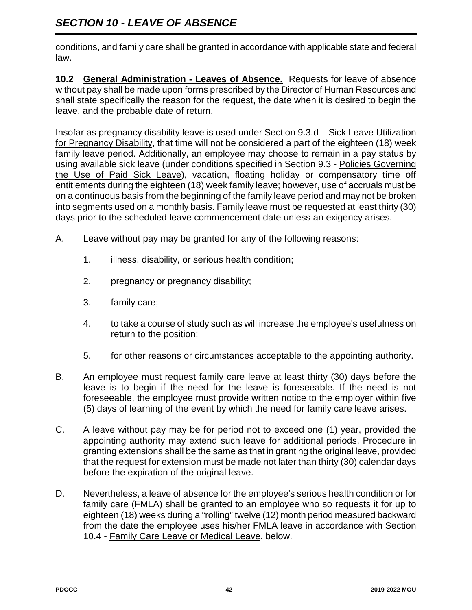conditions, and family care shall be granted in accordance with applicable state and federal law.

**10.2 General Administration - Leaves of Absence.** Requests for leave of absence without pay shall be made upon forms prescribed by the Director of Human Resources and shall state specifically the reason for the request, the date when it is desired to begin the leave, and the probable date of return.

Insofar as pregnancy disability leave is used under Section 9.3.d – Sick Leave Utilization for Pregnancy Disability, that time will not be considered a part of the eighteen (18) week family leave period. Additionally, an employee may choose to remain in a pay status by using available sick leave (under conditions specified in Section 9.3 - Policies Governing the Use of Paid Sick Leave), vacation, floating holiday or compensatory time off entitlements during the eighteen (18) week family leave; however, use of accruals must be on a continuous basis from the beginning of the family leave period and may not be broken into segments used on a monthly basis. Family leave must be requested at least thirty (30) days prior to the scheduled leave commencement date unless an exigency arises.

- A. Leave without pay may be granted for any of the following reasons:
	- 1. illness, disability, or serious health condition;
	- 2. pregnancy or pregnancy disability;
	- 3. family care;
	- 4. to take a course of study such as will increase the employee's usefulness on return to the position;
	- 5. for other reasons or circumstances acceptable to the appointing authority.
- B. An employee must request family care leave at least thirty (30) days before the leave is to begin if the need for the leave is foreseeable. If the need is not foreseeable, the employee must provide written notice to the employer within five (5) days of learning of the event by which the need for family care leave arises.
- C. A leave without pay may be for period not to exceed one (1) year, provided the appointing authority may extend such leave for additional periods. Procedure in granting extensions shall be the same as that in granting the original leave, provided that the request for extension must be made not later than thirty (30) calendar days before the expiration of the original leave.
- D. Nevertheless, a leave of absence for the employee's serious health condition or for family care (FMLA) shall be granted to an employee who so requests it for up to eighteen (18) weeks during a "rolling" twelve (12) month period measured backward from the date the employee uses his/her FMLA leave in accordance with Section 10.4 - Family Care Leave or Medical Leave, below.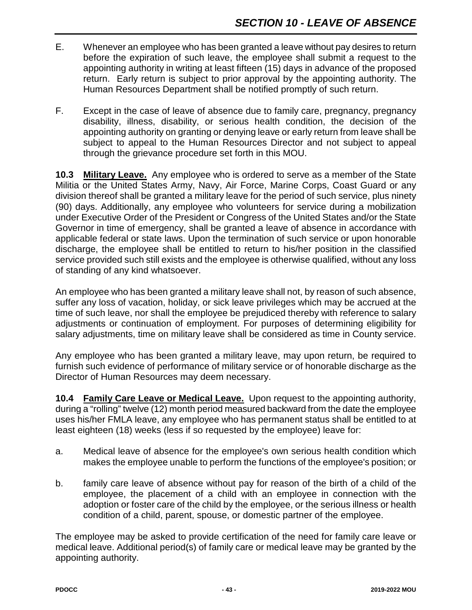- E. Whenever an employee who has been granted a leave without pay desires to return before the expiration of such leave, the employee shall submit a request to the appointing authority in writing at least fifteen (15) days in advance of the proposed return. Early return is subject to prior approval by the appointing authority. The Human Resources Department shall be notified promptly of such return.
- F. Except in the case of leave of absence due to family care, pregnancy, pregnancy disability, illness, disability, or serious health condition, the decision of the appointing authority on granting or denying leave or early return from leave shall be subject to appeal to the Human Resources Director and not subject to appeal through the grievance procedure set forth in this MOU.

**10.3 Military Leave.** Any employee who is ordered to serve as a member of the State Militia or the United States Army, Navy, Air Force, Marine Corps, Coast Guard or any division thereof shall be granted a military leave for the period of such service, plus ninety (90) days. Additionally, any employee who volunteers for service during a mobilization under Executive Order of the President or Congress of the United States and/or the State Governor in time of emergency, shall be granted a leave of absence in accordance with applicable federal or state laws. Upon the termination of such service or upon honorable discharge, the employee shall be entitled to return to his/her position in the classified service provided such still exists and the employee is otherwise qualified, without any loss of standing of any kind whatsoever.

An employee who has been granted a military leave shall not, by reason of such absence, suffer any loss of vacation, holiday, or sick leave privileges which may be accrued at the time of such leave, nor shall the employee be prejudiced thereby with reference to salary adjustments or continuation of employment. For purposes of determining eligibility for salary adjustments, time on military leave shall be considered as time in County service.

Any employee who has been granted a military leave, may upon return, be required to furnish such evidence of performance of military service or of honorable discharge as the Director of Human Resources may deem necessary.

**10.4 Family Care Leave or Medical Leave.** Upon request to the appointing authority, during a "rolling" twelve (12) month period measured backward from the date the employee uses his/her FMLA leave, any employee who has permanent status shall be entitled to at least eighteen (18) weeks (less if so requested by the employee) leave for:

- a. Medical leave of absence for the employee's own serious health condition which makes the employee unable to perform the functions of the employee's position; or
- b. family care leave of absence without pay for reason of the birth of a child of the employee, the placement of a child with an employee in connection with the adoption or foster care of the child by the employee, or the serious illness or health condition of a child, parent, spouse, or domestic partner of the employee.

The employee may be asked to provide certification of the need for family care leave or medical leave. Additional period(s) of family care or medical leave may be granted by the appointing authority.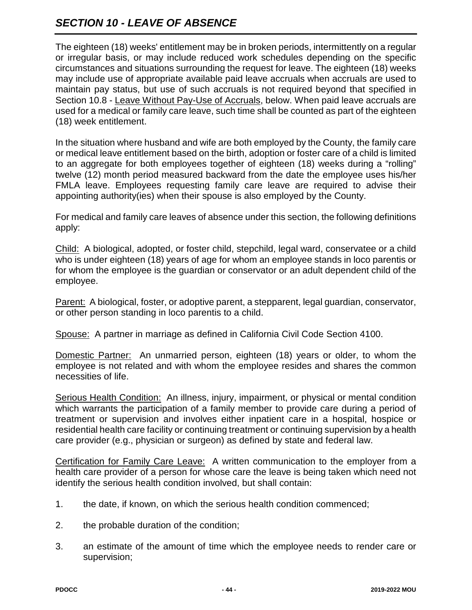# *SECTION 10 - LEAVE OF ABSENCE*

The eighteen (18) weeks' entitlement may be in broken periods, intermittently on a regular or irregular basis, or may include reduced work schedules depending on the specific circumstances and situations surrounding the request for leave. The eighteen (18) weeks may include use of appropriate available paid leave accruals when accruals are used to maintain pay status, but use of such accruals is not required beyond that specified in Section 10.8 - Leave Without Pay-Use of Accruals, below. When paid leave accruals are used for a medical or family care leave, such time shall be counted as part of the eighteen (18) week entitlement.

In the situation where husband and wife are both employed by the County, the family care or medical leave entitlement based on the birth, adoption or foster care of a child is limited to an aggregate for both employees together of eighteen (18) weeks during a "rolling" twelve (12) month period measured backward from the date the employee uses his/her FMLA leave. Employees requesting family care leave are required to advise their appointing authority(ies) when their spouse is also employed by the County.

For medical and family care leaves of absence under this section, the following definitions apply:

Child: A biological, adopted, or foster child, stepchild, legal ward, conservatee or a child who is under eighteen (18) years of age for whom an employee stands in loco parentis or for whom the employee is the guardian or conservator or an adult dependent child of the employee.

Parent: A biological, foster, or adoptive parent, a stepparent, legal guardian, conservator, or other person standing in loco parentis to a child.

Spouse: A partner in marriage as defined in California Civil Code Section 4100.

Domestic Partner: An unmarried person, eighteen (18) years or older, to whom the employee is not related and with whom the employee resides and shares the common necessities of life.

Serious Health Condition: An illness, injury, impairment, or physical or mental condition which warrants the participation of a family member to provide care during a period of treatment or supervision and involves either inpatient care in a hospital, hospice or residential health care facility or continuing treatment or continuing supervision by a health care provider (e.g., physician or surgeon) as defined by state and federal law.

Certification for Family Care Leave: A written communication to the employer from a health care provider of a person for whose care the leave is being taken which need not identify the serious health condition involved, but shall contain:

- 1. the date, if known, on which the serious health condition commenced;
- 2. the probable duration of the condition;
- 3. an estimate of the amount of time which the employee needs to render care or supervision;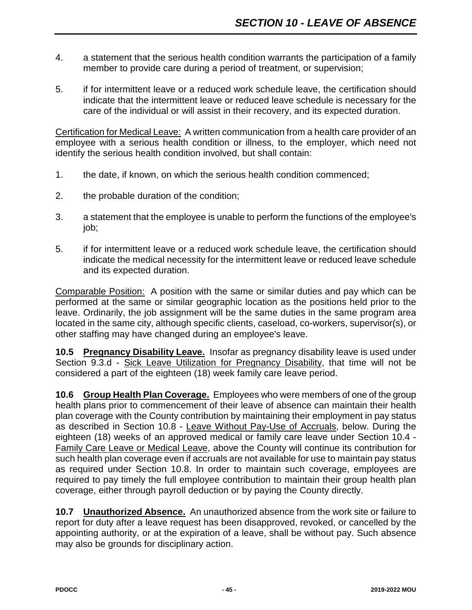- 4. a statement that the serious health condition warrants the participation of a family member to provide care during a period of treatment, or supervision;
- 5. if for intermittent leave or a reduced work schedule leave, the certification should indicate that the intermittent leave or reduced leave schedule is necessary for the care of the individual or will assist in their recovery, and its expected duration.

Certification for Medical Leave: A written communication from a health care provider of an employee with a serious health condition or illness, to the employer, which need not identify the serious health condition involved, but shall contain:

- 1. the date, if known, on which the serious health condition commenced;
- 2. the probable duration of the condition;
- 3. a statement that the employee is unable to perform the functions of the employee's job;
- 5. if for intermittent leave or a reduced work schedule leave, the certification should indicate the medical necessity for the intermittent leave or reduced leave schedule and its expected duration.

Comparable Position: A position with the same or similar duties and pay which can be performed at the same or similar geographic location as the positions held prior to the leave. Ordinarily, the job assignment will be the same duties in the same program area located in the same city, although specific clients, caseload, co-workers, supervisor(s), or other staffing may have changed during an employee's leave.

**10.5 Pregnancy Disability Leave.** Insofar as pregnancy disability leave is used under Section 9.3.d - Sick Leave Utilization for Pregnancy Disability, that time will not be considered a part of the eighteen (18) week family care leave period.

**10.6 Group Health Plan Coverage.** Employees who were members of one of the group health plans prior to commencement of their leave of absence can maintain their health plan coverage with the County contribution by maintaining their employment in pay status as described in Section 10.8 - Leave Without Pay-Use of Accruals, below. During the eighteen (18) weeks of an approved medical or family care leave under Section 10.4 - Family Care Leave or Medical Leave, above the County will continue its contribution for such health plan coverage even if accruals are not available for use to maintain pay status as required under Section 10.8. In order to maintain such coverage, employees are required to pay timely the full employee contribution to maintain their group health plan coverage, either through payroll deduction or by paying the County directly.

**10.7 Unauthorized Absence.** An unauthorized absence from the work site or failure to report for duty after a leave request has been disapproved, revoked, or cancelled by the appointing authority, or at the expiration of a leave, shall be without pay. Such absence may also be grounds for disciplinary action.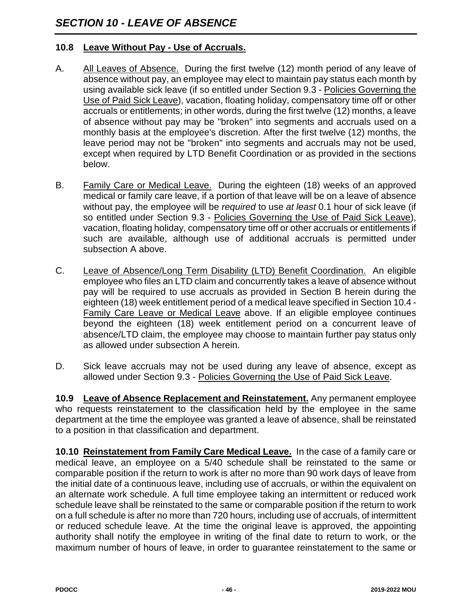### **10.8 Leave Without Pay - Use of Accruals.**

- A. All Leaves of Absence. During the first twelve (12) month period of any leave of absence without pay, an employee may elect to maintain pay status each month by using available sick leave (if so entitled under Section 9.3 - Policies Governing the Use of Paid Sick Leave), vacation, floating holiday, compensatory time off or other accruals or entitlements; in other words, during the first twelve (12) months, a leave of absence without pay may be "broken" into segments and accruals used on a monthly basis at the employee's discretion. After the first twelve (12) months, the leave period may not be "broken" into segments and accruals may not be used, except when required by LTD Benefit Coordination or as provided in the sections below.
- B. Family Care or Medical Leave. During the eighteen (18) weeks of an approved medical or family care leave, if a portion of that leave will be on a leave of absence without pay, the employee will be *required* to use *at least* 0.1 hour of sick leave (if so entitled under Section 9.3 - Policies Governing the Use of Paid Sick Leave), vacation, floating holiday, compensatory time off or other accruals or entitlements if such are available, although use of additional accruals is permitted under subsection A above.
- C. Leave of Absence/Long Term Disability (LTD) Benefit Coordination. An eligible employee who files an LTD claim and concurrently takes a leave of absence without pay will be required to use accruals as provided in Section B herein during the eighteen (18) week entitlement period of a medical leave specified in Section 10.4 - Family Care Leave or Medical Leave above. If an eligible employee continues beyond the eighteen (18) week entitlement period on a concurrent leave of absence/LTD claim, the employee may choose to maintain further pay status only as allowed under subsection A herein.
- D. Sick leave accruals may not be used during any leave of absence, except as allowed under Section 9.3 - Policies Governing the Use of Paid Sick Leave.

**10.9 Leave of Absence Replacement and Reinstatement.** Any permanent employee who requests reinstatement to the classification held by the employee in the same department at the time the employee was granted a leave of absence, shall be reinstated to a position in that classification and department.

**10.10 Reinstatement from Family Care Medical Leave.** In the case of a family care or medical leave, an employee on a 5/40 schedule shall be reinstated to the same or comparable position if the return to work is after no more than 90 work days of leave from the initial date of a continuous leave, including use of accruals, or within the equivalent on an alternate work schedule. A full time employee taking an intermittent or reduced work schedule leave shall be reinstated to the same or comparable position if the return to work on a full schedule is after no more than 720 hours, including use of accruals, of intermittent or reduced schedule leave. At the time the original leave is approved, the appointing authority shall notify the employee in writing of the final date to return to work, or the maximum number of hours of leave, in order to guarantee reinstatement to the same or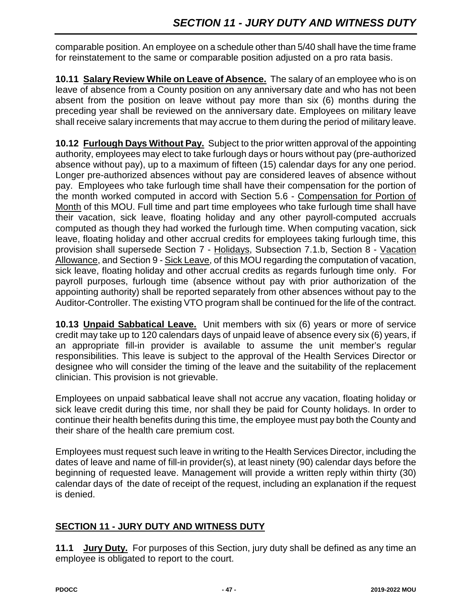comparable position. An employee on a schedule other than 5/40 shall have the time frame for reinstatement to the same or comparable position adjusted on a pro rata basis.

**10.11 Salary Review While on Leave of Absence.** The salary of an employee who is on leave of absence from a County position on any anniversary date and who has not been absent from the position on leave without pay more than six (6) months during the preceding year shall be reviewed on the anniversary date. Employees on military leave shall receive salary increments that may accrue to them during the period of military leave.

**10.12 Furlough Days Without Pay.** Subject to the prior written approval of the appointing authority, employees may elect to take furlough days or hours without pay (pre-authorized absence without pay), up to a maximum of fifteen (15) calendar days for any one period. Longer pre-authorized absences without pay are considered leaves of absence without pay. Employees who take furlough time shall have their compensation for the portion of the month worked computed in accord with Section 5.6 - Compensation for Portion of Month of this MOU. Full time and part time employees who take furlough time shall have their vacation, sick leave, floating holiday and any other payroll-computed accruals computed as though they had worked the furlough time. When computing vacation, sick leave, floating holiday and other accrual credits for employees taking furlough time, this provision shall supersede Section 7 - Holidays, Subsection 7.1.b, Section 8 - Vacation Allowance, and Section 9 - Sick Leave, of this MOU regarding the computation of vacation, sick leave, floating holiday and other accrual credits as regards furlough time only. For payroll purposes, furlough time (absence without pay with prior authorization of the appointing authority) shall be reported separately from other absences without pay to the Auditor-Controller. The existing VTO program shall be continued for the life of the contract.

**10.13 Unpaid Sabbatical Leave.** Unit members with six (6) years or more of service credit may take up to 120 calendars days of unpaid leave of absence every six (6) years, if an appropriate fill-in provider is available to assume the unit member's regular responsibilities. This leave is subject to the approval of the Health Services Director or designee who will consider the timing of the leave and the suitability of the replacement clinician. This provision is not grievable.

Employees on unpaid sabbatical leave shall not accrue any vacation, floating holiday or sick leave credit during this time, nor shall they be paid for County holidays. In order to continue their health benefits during this time, the employee must pay both the County and their share of the health care premium cost.

Employees must request such leave in writing to the Health Services Director, including the dates of leave and name of fill-in provider(s), at least ninety (90) calendar days before the beginning of requested leave. Management will provide a written reply within thirty (30) calendar days of the date of receipt of the request, including an explanation if the request is denied.

## **SECTION 11 - JURY DUTY AND WITNESS DUTY**

**11.1 Jury Duty.** For purposes of this Section, jury duty shall be defined as any time an employee is obligated to report to the court.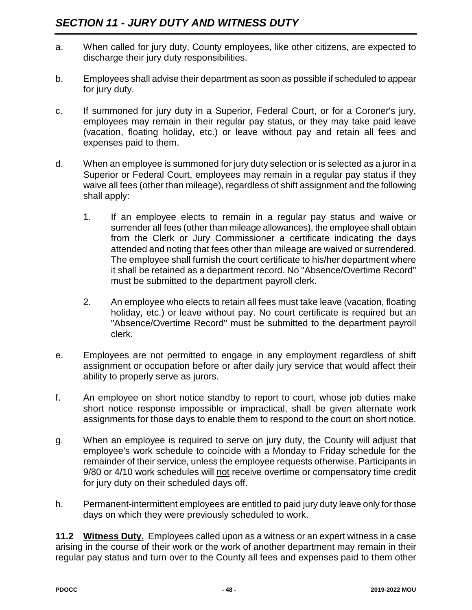- a. When called for jury duty, County employees, like other citizens, are expected to discharge their jury duty responsibilities.
- b. Employees shall advise their department as soon as possible if scheduled to appear for jury duty.
- c. If summoned for jury duty in a Superior, Federal Court, or for a Coroner's jury, employees may remain in their regular pay status, or they may take paid leave (vacation, floating holiday, etc.) or leave without pay and retain all fees and expenses paid to them.
- d. When an employee is summoned for jury duty selection or is selected as a juror in a Superior or Federal Court, employees may remain in a regular pay status if they waive all fees (other than mileage), regardless of shift assignment and the following shall apply:
	- 1. If an employee elects to remain in a regular pay status and waive or surrender all fees (other than mileage allowances), the employee shall obtain from the Clerk or Jury Commissioner a certificate indicating the days attended and noting that fees other than mileage are waived or surrendered. The employee shall furnish the court certificate to his/her department where it shall be retained as a department record. No "Absence/Overtime Record" must be submitted to the department payroll clerk.
	- 2. An employee who elects to retain all fees must take leave (vacation, floating holiday, etc.) or leave without pay. No court certificate is required but an "Absence/Overtime Record" must be submitted to the department payroll clerk.
- e. Employees are not permitted to engage in any employment regardless of shift assignment or occupation before or after daily jury service that would affect their ability to properly serve as jurors.
- f. An employee on short notice standby to report to court, whose job duties make short notice response impossible or impractical, shall be given alternate work assignments for those days to enable them to respond to the court on short notice.
- g. When an employee is required to serve on jury duty, the County will adjust that employee's work schedule to coincide with a Monday to Friday schedule for the remainder of their service, unless the employee requests otherwise. Participants in 9/80 or 4/10 work schedules will not receive overtime or compensatory time credit for jury duty on their scheduled days off.
- h. Permanent-intermittent employees are entitled to paid jury duty leave only for those days on which they were previously scheduled to work.

**11.2 Witness Duty.** Employees called upon as a witness or an expert witness in a case arising in the course of their work or the work of another department may remain in their regular pay status and turn over to the County all fees and expenses paid to them other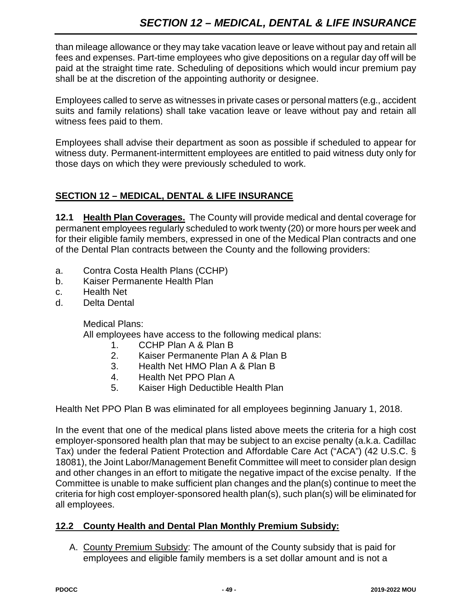than mileage allowance or they may take vacation leave or leave without pay and retain all fees and expenses. Part-time employees who give depositions on a regular day off will be paid at the straight time rate. Scheduling of depositions which would incur premium pay shall be at the discretion of the appointing authority or designee.

Employees called to serve as witnesses in private cases or personal matters (e.g., accident suits and family relations) shall take vacation leave or leave without pay and retain all witness fees paid to them.

Employees shall advise their department as soon as possible if scheduled to appear for witness duty. Permanent-intermittent employees are entitled to paid witness duty only for those days on which they were previously scheduled to work.

## **SECTION 12 – MEDICAL, DENTAL & LIFE INSURANCE**

**12.1 Health Plan Coverages.** The County will provide medical and dental coverage for permanent employees regularly scheduled to work twenty (20) or more hours per week and for their eligible family members, expressed in one of the Medical Plan contracts and one of the Dental Plan contracts between the County and the following providers:

- a. Contra Costa Health Plans (CCHP)
- b. Kaiser Permanente Health Plan
- c. Health Net
- d. Delta Dental

Medical Plans:

All employees have access to the following medical plans:

- 1. CCHP Plan A & Plan B
- 2. Kaiser Permanente Plan A & Plan B
- 3. Health Net HMO Plan A & Plan B
- 4. Health Net PPO Plan A
- 5. Kaiser High Deductible Health Plan

Health Net PPO Plan B was eliminated for all employees beginning January 1, 2018.

In the event that one of the medical plans listed above meets the criteria for a high cost employer-sponsored health plan that may be subject to an excise penalty (a.k.a. Cadillac Tax) under the federal Patient Protection and Affordable Care Act ("ACA") (42 U.S.C. § 18081), the Joint Labor/Management Benefit Committee will meet to consider plan design and other changes in an effort to mitigate the negative impact of the excise penalty. If the Committee is unable to make sufficient plan changes and the plan(s) continue to meet the criteria for high cost employer-sponsored health plan(s), such plan(s) will be eliminated for all employees.

## **12.2 County Health and Dental Plan Monthly Premium Subsidy:**

A. County Premium Subsidy: The amount of the County subsidy that is paid for employees and eligible family members is a set dollar amount and is not a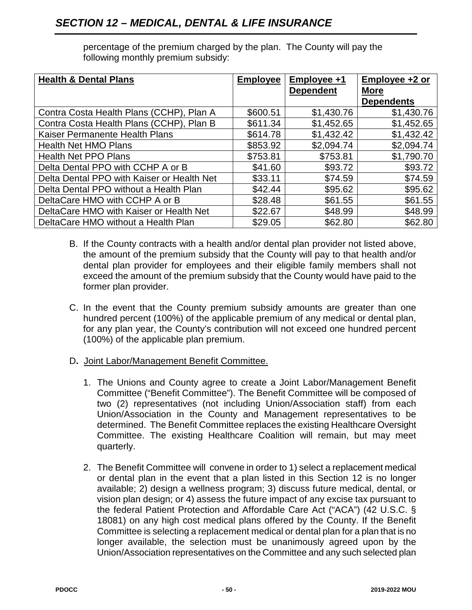| <b>Health &amp; Dental Plans</b>           | <b>Employee</b> | Employee +1      | Employee +2 or    |
|--------------------------------------------|-----------------|------------------|-------------------|
|                                            |                 | <b>Dependent</b> | <b>More</b>       |
|                                            |                 |                  | <b>Dependents</b> |
| Contra Costa Health Plans (CCHP), Plan A   | \$600.51        | \$1,430.76       | \$1,430.76        |
| Contra Costa Health Plans (CCHP), Plan B   | \$611.34        | \$1,452.65       | \$1,452.65        |
| Kaiser Permanente Health Plans             | \$614.78        | \$1,432.42       | \$1,432.42        |
| <b>Health Net HMO Plans</b>                | \$853.92        | \$2,094.74       | \$2,094.74        |
| <b>Health Net PPO Plans</b>                | \$753.81        | \$753.81         | \$1,790.70        |
| Delta Dental PPO with CCHP A or B          | \$41.60         | \$93.72          | \$93.72           |
| Delta Dental PPO with Kaiser or Health Net | \$33.11         | \$74.59          | \$74.59           |
| Delta Dental PPO without a Health Plan     | \$42.44         | \$95.62          | \$95.62           |
| DeltaCare HMO with CCHP A or B             | \$28.48         | \$61.55          | \$61.55           |
| DeltaCare HMO with Kaiser or Health Net    | \$22.67         | \$48.99          | \$48.99           |
| DeltaCare HMO without a Health Plan        | \$29.05         | \$62.80          | \$62.80           |

percentage of the premium charged by the plan. The County will pay the following monthly premium subsidy:

- B. If the County contracts with a health and/or dental plan provider not listed above, the amount of the premium subsidy that the County will pay to that health and/or dental plan provider for employees and their eligible family members shall not exceed the amount of the premium subsidy that the County would have paid to the former plan provider.
- C. In the event that the County premium subsidy amounts are greater than one hundred percent (100%) of the applicable premium of any medical or dental plan, for any plan year, the County's contribution will not exceed one hundred percent (100%) of the applicable plan premium.
- D**.** Joint Labor/Management Benefit Committee.
	- 1. The Unions and County agree to create a Joint Labor/Management Benefit Committee ("Benefit Committee"). The Benefit Committee will be composed of two (2) representatives (not including Union/Association staff) from each Union/Association in the County and Management representatives to be determined. The Benefit Committee replaces the existing Healthcare Oversight Committee. The existing Healthcare Coalition will remain, but may meet quarterly.
	- 2. The Benefit Committee will convene in order to 1) select a replacement medical or dental plan in the event that a plan listed in this Section 12 is no longer available; 2) design a wellness program; 3) discuss future medical, dental, or vision plan design; or 4) assess the future impact of any excise tax pursuant to the federal Patient Protection and Affordable Care Act ("ACA") (42 U.S.C. § 18081) on any high cost medical plans offered by the County. If the Benefit Committee is selecting a replacement medical or dental plan for a plan that is no longer available, the selection must be unanimously agreed upon by the Union/Association representatives on the Committee and any such selected plan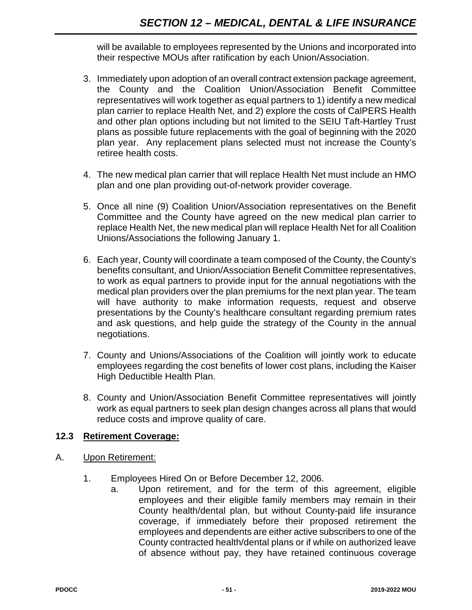will be available to employees represented by the Unions and incorporated into their respective MOUs after ratification by each Union/Association.

- 3. Immediately upon adoption of an overall contract extension package agreement, the County and the Coalition Union/Association Benefit Committee representatives will work together as equal partners to 1) identify a new medical plan carrier to replace Health Net, and 2) explore the costs of CalPERS Health and other plan options including but not limited to the SEIU Taft-Hartley Trust plans as possible future replacements with the goal of beginning with the 2020 plan year. Any replacement plans selected must not increase the County's retiree health costs.
- 4. The new medical plan carrier that will replace Health Net must include an HMO plan and one plan providing out-of-network provider coverage.
- 5. Once all nine (9) Coalition Union/Association representatives on the Benefit Committee and the County have agreed on the new medical plan carrier to replace Health Net, the new medical plan will replace Health Net for all Coalition Unions/Associations the following January 1.
- 6. Each year, County will coordinate a team composed of the County, the County's benefits consultant, and Union/Association Benefit Committee representatives, to work as equal partners to provide input for the annual negotiations with the medical plan providers over the plan premiums for the next plan year. The team will have authority to make information requests, request and observe presentations by the County's healthcare consultant regarding premium rates and ask questions, and help guide the strategy of the County in the annual negotiations.
- 7. County and Unions/Associations of the Coalition will jointly work to educate employees regarding the cost benefits of lower cost plans, including the Kaiser High Deductible Health Plan.
- 8. County and Union/Association Benefit Committee representatives will jointly work as equal partners to seek plan design changes across all plans that would reduce costs and improve quality of care.

#### **12.3 Retirement Coverage:**

- A. Upon Retirement:
	- 1. Employees Hired On or Before December 12, 2006.
		- a. Upon retirement, and for the term of this agreement, eligible employees and their eligible family members may remain in their County health/dental plan, but without County-paid life insurance coverage, if immediately before their proposed retirement the employees and dependents are either active subscribers to one of the County contracted health/dental plans or if while on authorized leave of absence without pay, they have retained continuous coverage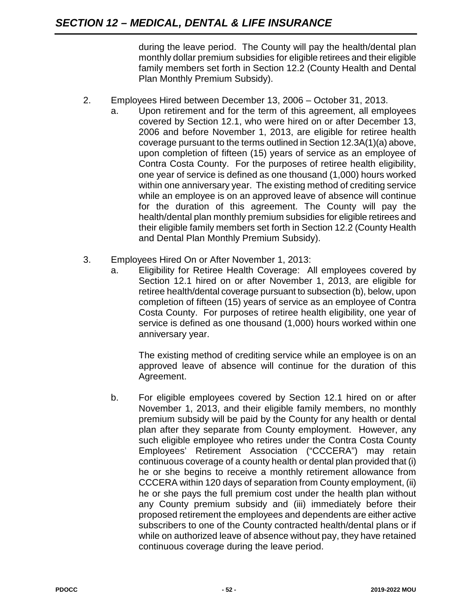during the leave period. The County will pay the health/dental plan monthly dollar premium subsidies for eligible retirees and their eligible family members set forth in Section 12.2 (County Health and Dental Plan Monthly Premium Subsidy).

#### 2. Employees Hired between December 13, 2006 – October 31, 2013.

- a. Upon retirement and for the term of this agreement, all employees covered by Section 12.1, who were hired on or after December 13, 2006 and before November 1, 2013, are eligible for retiree health coverage pursuant to the terms outlined in Section 12.3A(1)(a) above, upon completion of fifteen (15) years of service as an employee of Contra Costa County. For the purposes of retiree health eligibility, one year of service is defined as one thousand (1,000) hours worked within one anniversary year. The existing method of crediting service while an employee is on an approved leave of absence will continue for the duration of this agreement. The County will pay the health/dental plan monthly premium subsidies for eligible retirees and their eligible family members set forth in Section 12.2 (County Health and Dental Plan Monthly Premium Subsidy).
- 3. Employees Hired On or After November 1, 2013:
	- a. Eligibility for Retiree Health Coverage: All employees covered by Section 12.1 hired on or after November 1, 2013, are eligible for retiree health/dental coverage pursuant to subsection (b), below, upon completion of fifteen (15) years of service as an employee of Contra Costa County. For purposes of retiree health eligibility, one year of service is defined as one thousand (1,000) hours worked within one anniversary year.

The existing method of crediting service while an employee is on an approved leave of absence will continue for the duration of this Agreement.

b. For eligible employees covered by Section 12.1 hired on or after November 1, 2013, and their eligible family members, no monthly premium subsidy will be paid by the County for any health or dental plan after they separate from County employment. However, any such eligible employee who retires under the Contra Costa County Employees' Retirement Association ("CCCERA") may retain continuous coverage of a county health or dental plan provided that (i) he or she begins to receive a monthly retirement allowance from CCCERA within 120 days of separation from County employment, (ii) he or she pays the full premium cost under the health plan without any County premium subsidy and (iii) immediately before their proposed retirement the employees and dependents are either active subscribers to one of the County contracted health/dental plans or if while on authorized leave of absence without pay, they have retained continuous coverage during the leave period.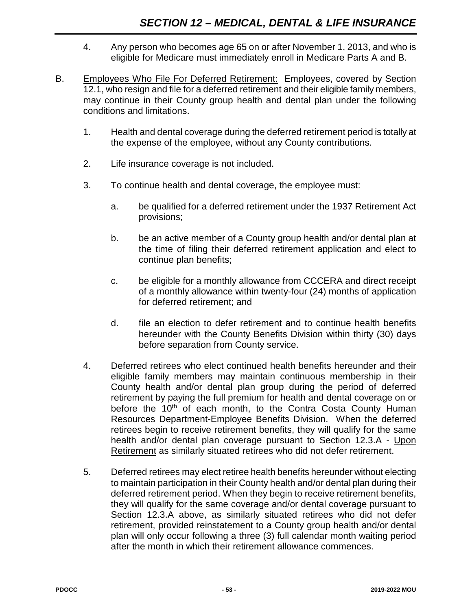- 4. Any person who becomes age 65 on or after November 1, 2013, and who is eligible for Medicare must immediately enroll in Medicare Parts A and B.
- B. Employees Who File For Deferred Retirement: Employees, covered by Section 12.1, who resign and file for a deferred retirement and their eligible family members, may continue in their County group health and dental plan under the following conditions and limitations.
	- 1. Health and dental coverage during the deferred retirement period is totally at the expense of the employee, without any County contributions.
	- 2. Life insurance coverage is not included.
	- 3. To continue health and dental coverage, the employee must:
		- a. be qualified for a deferred retirement under the 1937 Retirement Act provisions;
		- b. be an active member of a County group health and/or dental plan at the time of filing their deferred retirement application and elect to continue plan benefits;
		- c. be eligible for a monthly allowance from CCCERA and direct receipt of a monthly allowance within twenty-four (24) months of application for deferred retirement; and
		- d. file an election to defer retirement and to continue health benefits hereunder with the County Benefits Division within thirty (30) days before separation from County service.
	- 4. Deferred retirees who elect continued health benefits hereunder and their eligible family members may maintain continuous membership in their County health and/or dental plan group during the period of deferred retirement by paying the full premium for health and dental coverage on or before the 10<sup>th</sup> of each month, to the Contra Costa County Human Resources Department-Employee Benefits Division. When the deferred retirees begin to receive retirement benefits, they will qualify for the same health and/or dental plan coverage pursuant to Section 12.3.A - Upon Retirement as similarly situated retirees who did not defer retirement.
	- 5. Deferred retirees may elect retiree health benefits hereunder without electing to maintain participation in their County health and/or dental plan during their deferred retirement period. When they begin to receive retirement benefits, they will qualify for the same coverage and/or dental coverage pursuant to Section 12.3.A above, as similarly situated retirees who did not defer retirement, provided reinstatement to a County group health and/or dental plan will only occur following a three (3) full calendar month waiting period after the month in which their retirement allowance commences.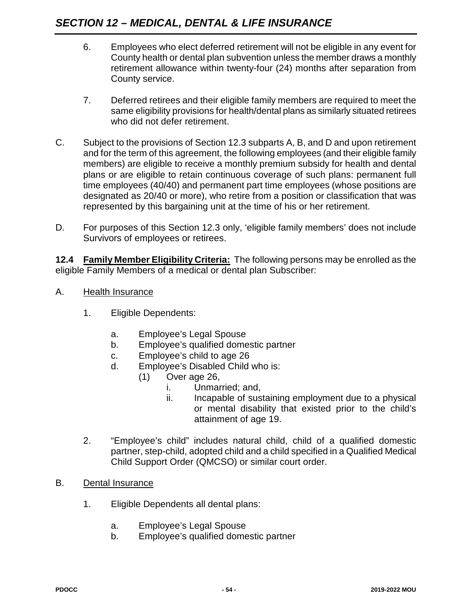- 6. Employees who elect deferred retirement will not be eligible in any event for County health or dental plan subvention unless the member draws a monthly retirement allowance within twenty-four (24) months after separation from County service.
- 7. Deferred retirees and their eligible family members are required to meet the same eligibility provisions for health/dental plans as similarly situated retirees who did not defer retirement.
- C. Subject to the provisions of Section 12.3 subparts A, B, and D and upon retirement and for the term of this agreement, the following employees (and their eligible family members) are eligible to receive a monthly premium subsidy for health and dental plans or are eligible to retain continuous coverage of such plans: permanent full time employees (40/40) and permanent part time employees (whose positions are designated as 20/40 or more), who retire from a position or classification that was represented by this bargaining unit at the time of his or her retirement.
- D. For purposes of this Section 12.3 only, 'eligible family members' does not include Survivors of employees or retirees.

**12.4 Family Member Eligibility Criteria:** The following persons may be enrolled as the eligible Family Members of a medical or dental plan Subscriber:

- A. Health Insurance
	- 1. Eligible Dependents:
		- a. Employee's Legal Spouse
		- b. Employee's qualified domestic partner
		- c. Employee's child to age 26
		- d. Employee's Disabled Child who is:
			- (1) Over age 26,
				- i. Unmarried; and,
				- ii. Incapable of sustaining employment due to a physical or mental disability that existed prior to the child's attainment of age 19.
	- 2. "Employee's child" includes natural child, child of a qualified domestic partner, step-child, adopted child and a child specified in a Qualified Medical Child Support Order (QMCSO) or similar court order.
- B. Dental Insurance
	- 1. Eligible Dependents all dental plans:
		- a. Employee's Legal Spouse
		- b. Employee's qualified domestic partner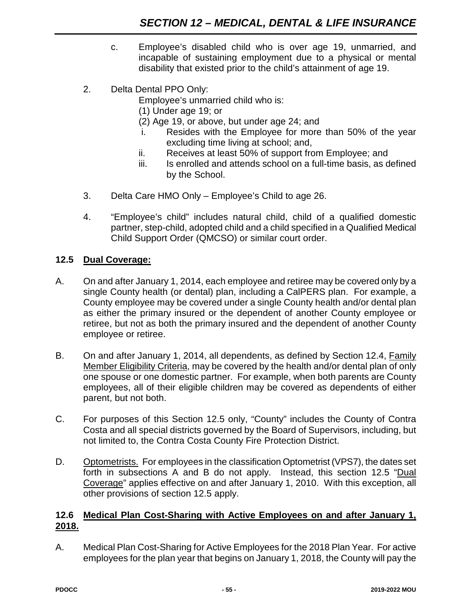- c. Employee's disabled child who is over age 19, unmarried, and incapable of sustaining employment due to a physical or mental disability that existed prior to the child's attainment of age 19.
- 2. Delta Dental PPO Only:

Employee's unmarried child who is:

- (1) Under age 19; or
- (2) Age 19, or above, but under age 24; and
- i. Resides with the Employee for more than 50% of the year excluding time living at school; and,
- ii. Receives at least 50% of support from Employee; and
- iii. Is enrolled and attends school on a full-time basis, as defined by the School.
- 3. Delta Care HMO Only Employee's Child to age 26.
- 4. "Employee's child" includes natural child, child of a qualified domestic partner, step-child, adopted child and a child specified in a Qualified Medical Child Support Order (QMCSO) or similar court order.

## **12.5 Dual Coverage:**

- A. On and after January 1, 2014, each employee and retiree may be covered only by a single County health (or dental) plan, including a CalPERS plan. For example, a County employee may be covered under a single County health and/or dental plan as either the primary insured or the dependent of another County employee or retiree, but not as both the primary insured and the dependent of another County employee or retiree.
- B. On and after January 1, 2014, all dependents, as defined by Section 12.4, Family Member Eligibility Criteria, may be covered by the health and/or dental plan of only one spouse or one domestic partner. For example, when both parents are County employees, all of their eligible children may be covered as dependents of either parent, but not both.
- C. For purposes of this Section 12.5 only, "County" includes the County of Contra Costa and all special districts governed by the Board of Supervisors, including, but not limited to, the Contra Costa County Fire Protection District.
- D. Optometrists. For employees in the classification Optometrist (VPS7), the dates set forth in subsections A and B do not apply. Instead, this section 12.5 "Dual Coverage" applies effective on and after January 1, 2010. With this exception, all other provisions of section 12.5 apply.

#### **12.6 Medical Plan Cost-Sharing with Active Employees on and after January 1, 2018.**

A. Medical Plan Cost-Sharing for Active Employees for the 2018 Plan Year. For active employees for the plan year that begins on January 1, 2018, the County will pay the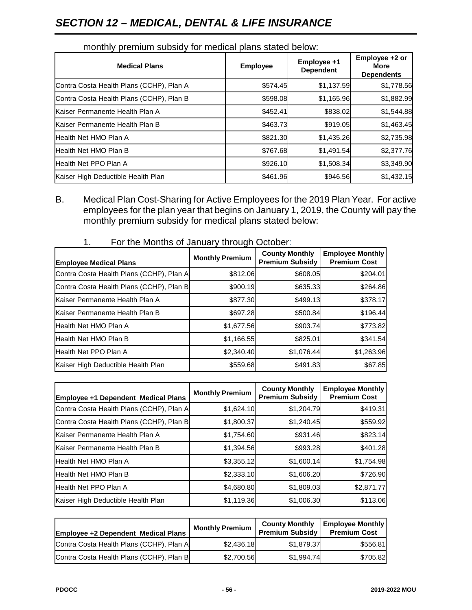# *SECTION 12 – MEDICAL, DENTAL & LIFE INSURANCE*

| <b>Medical Plans</b>                     | <b>Employee</b> | Employee +1<br><b>Dependent</b> | Employee +2 or<br>More<br><b>Dependents</b> |
|------------------------------------------|-----------------|---------------------------------|---------------------------------------------|
| Contra Costa Health Plans (CCHP), Plan A | \$574.45        | \$1,137.59                      | \$1,778.56                                  |
| Contra Costa Health Plans (CCHP), Plan B | \$598.08        | \$1,165.96                      | \$1,882.99                                  |
| Kaiser Permanente Health Plan A          | \$452.41        | \$838.02                        | \$1,544.88                                  |
| Kaiser Permanente Health Plan B          | \$463.73        | \$919.05                        | \$1,463.45                                  |
| Health Net HMO Plan A                    | \$821.30        | \$1,435.26                      | \$2,735.98                                  |
| Health Net HMO Plan B                    | \$767.68        | \$1,491.54                      | \$2,377.76                                  |
| Health Net PPO Plan A                    | \$926.10        | \$1,508.34                      | \$3,349.90                                  |
| Kaiser High Deductible Health Plan       | \$461.96        | \$946.56                        | \$1,432.15                                  |

#### monthly premium subsidy for medical plans stated below:

B. Medical Plan Cost-Sharing for Active Employees for the 2019 Plan Year. For active employees for the plan year that begins on January 1, 2019, the County will pay the monthly premium subsidy for medical plans stated below:

| <b>Employee Medical Plans</b>            | <b>Monthly Premium</b> | <b>County Monthly</b><br><b>Premium Subsidy</b> | <b>Employee Monthly</b><br><b>Premium Cost</b> |
|------------------------------------------|------------------------|-------------------------------------------------|------------------------------------------------|
| Contra Costa Health Plans (CCHP), Plan A | \$812.06               | \$608.05                                        | \$204.01                                       |
| Contra Costa Health Plans (CCHP), Plan B | \$900.19               | \$635.33                                        | \$264.86                                       |
| Kaiser Permanente Health Plan A          | \$877.30               | \$499.13                                        | \$378.17                                       |
| Kaiser Permanente Health Plan B          | \$697.28               | \$500.84                                        | \$196.44                                       |
| Health Net HMO Plan A                    | \$1,677.56             | \$903.74                                        | \$773.82                                       |
| <b>Health Net HMO Plan B</b>             | \$1,166.55             | \$825.01                                        | \$341.54                                       |
| Health Net PPO Plan A                    | \$2,340.40             | \$1,076.44                                      | \$1,263.96                                     |
| Kaiser High Deductible Health Plan       | \$559.68               | \$491.83                                        | \$67.85                                        |

1. For the Months of January through October:

| Employee +1 Dependent Medical Plans      | <b>Monthly Premium</b> | <b>County Monthly</b><br><b>Premium Subsidy</b> | <b>Employee Monthly</b><br><b>Premium Cost</b> |
|------------------------------------------|------------------------|-------------------------------------------------|------------------------------------------------|
| Contra Costa Health Plans (CCHP), Plan A | \$1,624.10             | \$1,204.79                                      | \$419.31                                       |
| Contra Costa Health Plans (CCHP), Plan B | \$1,800.37             | \$1,240.45                                      | \$559.92                                       |
| Kaiser Permanente Health Plan A          | \$1,754.60             | \$931.46                                        | \$823.14                                       |
| Kaiser Permanente Health Plan B          | \$1,394.56             | \$993.28                                        | \$401.28                                       |
| Health Net HMO Plan A                    | \$3,355.12             | \$1,600.14                                      | \$1,754.98                                     |
| Health Net HMO Plan B                    | \$2,333.10             | \$1,606.20                                      | \$726.90                                       |
| Health Net PPO Plan A                    | \$4,680.80             | \$1,809.03                                      | \$2,871.77                                     |
| Kaiser High Deductible Health Plan       | \$1,119.36             | \$1,006.30                                      | \$113.06                                       |

| <b>Employee +2 Dependent Medical Plans</b> | <b>Monthly Premium</b> | <b>County Monthly</b><br><b>Premium Subsidy</b> | <b>Employee Monthly</b><br><b>Premium Cost</b> |
|--------------------------------------------|------------------------|-------------------------------------------------|------------------------------------------------|
| Contra Costa Health Plans (CCHP), Plan A   | \$2.436.18             | \$1.879.37                                      | \$556.81                                       |
| Contra Costa Health Plans (CCHP), Plan B   | \$2.700.56             | \$1.994.74                                      | \$705.82                                       |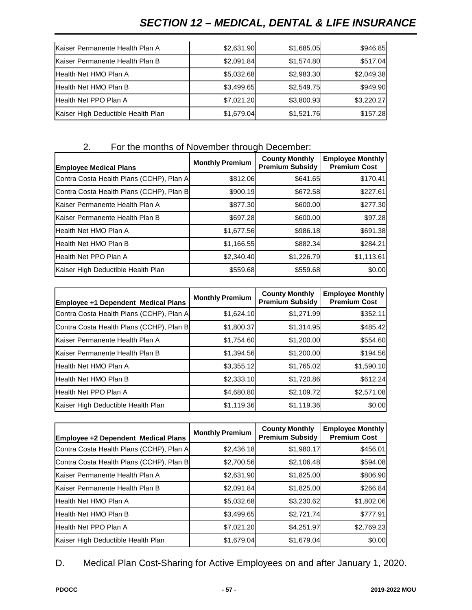# *SECTION 12 – MEDICAL, DENTAL & LIFE INSURANCE*

| Kaiser Permanente Health Plan A    | \$2,631.90 | \$1,685.05 | \$946.85   |
|------------------------------------|------------|------------|------------|
| Kaiser Permanente Health Plan B    | \$2,091.84 | \$1,574.80 | \$517.04   |
| Health Net HMO Plan A              | \$5,032.68 | \$2,983.30 | \$2,049.38 |
| Health Net HMO Plan B              | \$3,499.65 | \$2,549.75 | \$949.90   |
| Health Net PPO Plan A              | \$7,021.20 | \$3,800.93 | \$3,220.27 |
| Kaiser High Deductible Health Plan | \$1,679.04 | \$1,521.76 | \$157.28   |

## 2. For the months of November through December:

| <b>Employee Medical Plans</b>            | <b>Monthly Premium</b> | <b>County Monthly</b><br><b>Premium Subsidy</b> | <b>Employee Monthly</b><br><b>Premium Cost</b> |
|------------------------------------------|------------------------|-------------------------------------------------|------------------------------------------------|
| Contra Costa Health Plans (CCHP), Plan A | \$812.06               | \$641.65                                        | \$170.41                                       |
| Contra Costa Health Plans (CCHP), Plan B | \$900.19               | \$672.58                                        | \$227.61                                       |
| Kaiser Permanente Health Plan A          | \$877.30               | \$600.00                                        | \$277.30                                       |
| Kaiser Permanente Health Plan B          | \$697.28               | \$600.00                                        | \$97.28                                        |
| Health Net HMO Plan A                    | \$1,677.56             | \$986.18                                        | \$691.38                                       |
| Health Net HMO Plan B                    | \$1,166.55             | \$882.34                                        | \$284.21                                       |
| Health Net PPO Plan A                    | \$2,340.40             | \$1,226.79                                      | \$1,113.61                                     |
| Kaiser High Deductible Health Plan       | \$559.68               | \$559.68                                        | \$0.00                                         |

| Employee +1 Dependent Medical Plans      | <b>Monthly Premium</b> | <b>County Monthly</b><br><b>Premium Subsidy</b> | <b>Employee Monthly</b><br><b>Premium Cost</b> |
|------------------------------------------|------------------------|-------------------------------------------------|------------------------------------------------|
| Contra Costa Health Plans (CCHP), Plan A | \$1,624.10             | \$1,271.99                                      | \$352.11                                       |
| Contra Costa Health Plans (CCHP), Plan B | \$1,800.37             | \$1,314.95                                      | \$485.42                                       |
| Kaiser Permanente Health Plan A          | \$1,754.60             | \$1,200.00                                      | \$554.60                                       |
| Kaiser Permanente Health Plan B          | \$1,394.56             | \$1,200.00                                      | \$194.56                                       |
| Health Net HMO Plan A                    | \$3,355.12             | \$1,765.02                                      | \$1,590.10                                     |
| Health Net HMO Plan B                    | \$2,333.10             | \$1,720.86                                      | \$612.24                                       |
| Health Net PPO Plan A                    | \$4,680.80             | \$2,109.72                                      | \$2,571.08                                     |
| Kaiser High Deductible Health Plan       | \$1,119.36             | \$1,119.36                                      | \$0.00                                         |

| Employee +2 Dependent Medical Plans      | <b>Monthly Premium</b> | <b>County Monthly</b><br><b>Premium Subsidy</b> | <b>Employee Monthly</b><br><b>Premium Cost</b> |
|------------------------------------------|------------------------|-------------------------------------------------|------------------------------------------------|
| Contra Costa Health Plans (CCHP), Plan A | \$2,436.18             | \$1,980.17                                      | \$456.01                                       |
| Contra Costa Health Plans (CCHP), Plan B | \$2,700.56             | \$2,106.48                                      | \$594.08                                       |
| Kaiser Permanente Health Plan A          | \$2,631.90             | \$1,825.00                                      | \$806.90                                       |
| Kaiser Permanente Health Plan B          | \$2,091.84             | \$1,825.00                                      | \$266.84                                       |
| Health Net HMO Plan A                    | \$5,032.68             | \$3,230.62                                      | \$1,802.06                                     |
| Health Net HMO Plan B                    | \$3,499.65             | \$2,721.74                                      | \$777.91                                       |
| Health Net PPO Plan A                    | \$7,021.20             | \$4,251.97                                      | \$2,769.23                                     |
| Kaiser High Deductible Health Plan       | \$1,679.04             | \$1,679.04                                      | \$0.00                                         |

D. Medical Plan Cost-Sharing for Active Employees on and after January 1, 2020.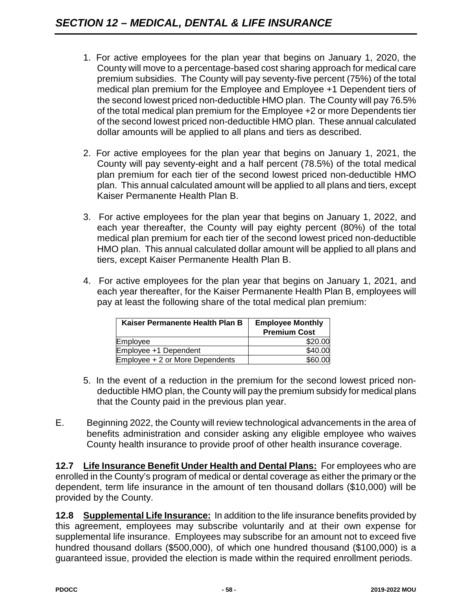- 1. For active employees for the plan year that begins on January 1, 2020, the County will move to a percentage-based cost sharing approach for medical care premium subsidies. The County will pay seventy-five percent (75%) of the total medical plan premium for the Employee and Employee +1 Dependent tiers of the second lowest priced non-deductible HMO plan. The County will pay 76.5% of the total medical plan premium for the Employee +2 or more Dependents tier of the second lowest priced non-deductible HMO plan. These annual calculated dollar amounts will be applied to all plans and tiers as described.
- 2. For active employees for the plan year that begins on January 1, 2021, the County will pay seventy-eight and a half percent (78.5%) of the total medical plan premium for each tier of the second lowest priced non-deductible HMO plan. This annual calculated amount will be applied to all plans and tiers, except Kaiser Permanente Health Plan B.
- 3. For active employees for the plan year that begins on January 1, 2022, and each year thereafter, the County will pay eighty percent (80%) of the total medical plan premium for each tier of the second lowest priced non-deductible HMO plan. This annual calculated dollar amount will be applied to all plans and tiers, except Kaiser Permanente Health Plan B.
- 4. For active employees for the plan year that begins on January 1, 2021, and each year thereafter, for the Kaiser Permanente Health Plan B, employees will pay at least the following share of the total medical plan premium:

| Kaiser Permanente Health Plan B | <b>Employee Monthly</b><br><b>Premium Cost</b> |
|---------------------------------|------------------------------------------------|
| Employee                        | \$20.00                                        |
| Employee +1 Dependent           | \$40.00                                        |
| Employee + 2 or More Dependents | \$60.00                                        |

- 5. In the event of a reduction in the premium for the second lowest priced nondeductible HMO plan, the County will pay the premium subsidy for medical plans that the County paid in the previous plan year.
- E. Beginning 2022, the County will review technological advancements in the area of benefits administration and consider asking any eligible employee who waives County health insurance to provide proof of other health insurance coverage.

**12.7 Life Insurance Benefit Under Health and Dental Plans:** For employees who are enrolled in the County's program of medical or dental coverage as either the primary or the dependent, term life insurance in the amount of ten thousand dollars (\$10,000) will be provided by the County.

**12.8 Supplemental Life Insurance:** In addition to the life insurance benefits provided by this agreement, employees may subscribe voluntarily and at their own expense for supplemental life insurance. Employees may subscribe for an amount not to exceed five hundred thousand dollars (\$500,000), of which one hundred thousand (\$100,000) is a guaranteed issue, provided the election is made within the required enrollment periods.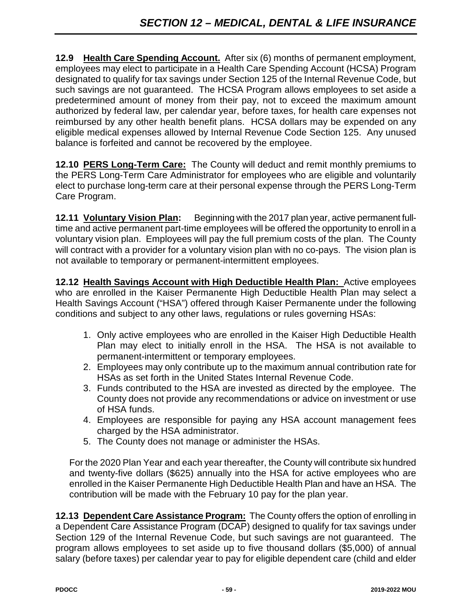**12.9 Health Care Spending Account.** After six (6) months of permanent employment, employees may elect to participate in a Health Care Spending Account (HCSA) Program designated to qualify for tax savings under Section 125 of the Internal Revenue Code, but such savings are not guaranteed. The HCSA Program allows employees to set aside a predetermined amount of money from their pay, not to exceed the maximum amount authorized by federal law, per calendar year, before taxes, for health care expenses not reimbursed by any other health benefit plans. HCSA dollars may be expended on any eligible medical expenses allowed by Internal Revenue Code Section 125. Any unused balance is forfeited and cannot be recovered by the employee.

**12.10 PERS Long-Term Care:** The County will deduct and remit monthly premiums to the PERS Long-Term Care Administrator for employees who are eligible and voluntarily elect to purchase long-term care at their personal expense through the PERS Long-Term Care Program.

**12.11 Voluntary Vision Plan:** Beginning with the 2017 plan year, active permanent fulltime and active permanent part-time employees will be offered the opportunity to enroll in a voluntary vision plan. Employees will pay the full premium costs of the plan. The County will contract with a provider for a voluntary vision plan with no co-pays. The vision plan is not available to temporary or permanent-intermittent employees.

**12.12 Health Savings Account with High Deductible Health Plan:** Active employees who are enrolled in the Kaiser Permanente High Deductible Health Plan may select a Health Savings Account ("HSA") offered through Kaiser Permanente under the following conditions and subject to any other laws, regulations or rules governing HSAs:

- 1. Only active employees who are enrolled in the Kaiser High Deductible Health Plan may elect to initially enroll in the HSA. The HSA is not available to permanent-intermittent or temporary employees.
- 2. Employees may only contribute up to the maximum annual contribution rate for HSAs as set forth in the United States Internal Revenue Code.
- 3. Funds contributed to the HSA are invested as directed by the employee. The County does not provide any recommendations or advice on investment or use of HSA funds.
- 4. Employees are responsible for paying any HSA account management fees charged by the HSA administrator.
- 5. The County does not manage or administer the HSAs.

For the 2020 Plan Year and each year thereafter, the County will contribute six hundred and twenty-five dollars (\$625) annually into the HSA for active employees who are enrolled in the Kaiser Permanente High Deductible Health Plan and have an HSA. The contribution will be made with the February 10 pay for the plan year.

**12.13 Dependent Care Assistance Program:** The County offers the option of enrolling in a Dependent Care Assistance Program (DCAP) designed to qualify for tax savings under Section 129 of the Internal Revenue Code, but such savings are not guaranteed. The program allows employees to set aside up to five thousand dollars (\$5,000) of annual salary (before taxes) per calendar year to pay for eligible dependent care (child and elder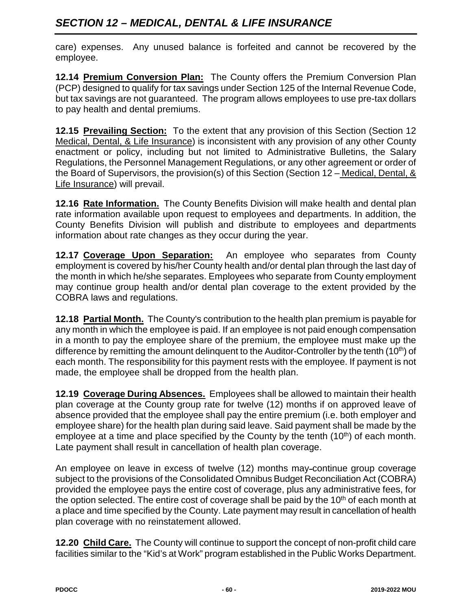# *SECTION 12 – MEDICAL, DENTAL & LIFE INSURANCE*

care) expenses. Any unused balance is forfeited and cannot be recovered by the employee.

**12.14 Premium Conversion Plan:** The County offers the Premium Conversion Plan (PCP) designed to qualify for tax savings under Section 125 of the Internal Revenue Code, but tax savings are not guaranteed. The program allows employees to use pre-tax dollars to pay health and dental premiums.

**12.15 Prevailing Section:** To the extent that any provision of this Section (Section 12 Medical, Dental, & Life Insurance) is inconsistent with any provision of any other County enactment or policy, including but not limited to Administrative Bulletins, the Salary Regulations, the Personnel Management Regulations, or any other agreement or order of the Board of Supervisors, the provision(s) of this Section (Section 12 – Medical, Dental, & Life Insurance) will prevail.

**12.16 Rate Information.** The County Benefits Division will make health and dental plan rate information available upon request to employees and departments. In addition, the County Benefits Division will publish and distribute to employees and departments information about rate changes as they occur during the year.

**12.17 Coverage Upon Separation:** An employee who separates from County employment is covered by his/her County health and/or dental plan through the last day of the month in which he/she separates. Employees who separate from County employment may continue group health and/or dental plan coverage to the extent provided by the COBRA laws and regulations.

**12.18 Partial Month.** The County's contribution to the health plan premium is payable for any month in which the employee is paid. If an employee is not paid enough compensation in a month to pay the employee share of the premium, the employee must make up the difference by remitting the amount delinquent to the Auditor-Controller by the tenth  $(10<sup>th</sup>)$  of each month. The responsibility for this payment rests with the employee. If payment is not made, the employee shall be dropped from the health plan.

**12.19 Coverage During Absences.** Employees shall be allowed to maintain their health plan coverage at the County group rate for twelve (12) months if on approved leave of absence provided that the employee shall pay the entire premium (i.e. both employer and employee share) for the health plan during said leave. Said payment shall be made by the employee at a time and place specified by the County by the tenth  $(10<sup>th</sup>)$  of each month. Late payment shall result in cancellation of health plan coverage.

An employee on leave in excess of twelve (12) months may continue group coverage subject to the provisions of the Consolidated Omnibus Budget Reconciliation Act (COBRA) provided the employee pays the entire cost of coverage, plus any administrative fees, for the option selected. The entire cost of coverage shall be paid by the  $10<sup>th</sup>$  of each month at a place and time specified by the County. Late payment may result in cancellation of health plan coverage with no reinstatement allowed.

**12.20 Child Care.** The County will continue to support the concept of non-profit child care facilities similar to the "Kid's at Work" program established in the Public Works Department.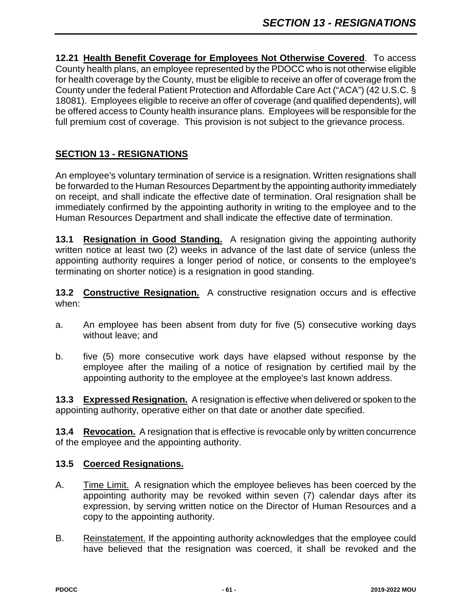**12.21 Health Benefit Coverage for Employees Not Otherwise Covered**. To access County health plans, an employee represented by the PDOCC who is not otherwise eligible for health coverage by the County, must be eligible to receive an offer of coverage from the County under the federal Patient Protection and Affordable Care Act ("ACA") (42 U.S.C. § 18081). Employees eligible to receive an offer of coverage (and qualified dependents), will be offered access to County health insurance plans. Employees will be responsible for the full premium cost of coverage. This provision is not subject to the grievance process.

## **SECTION 13 - RESIGNATIONS**

An employee's voluntary termination of service is a resignation. Written resignations shall be forwarded to the Human Resources Department by the appointing authority immediately on receipt, and shall indicate the effective date of termination. Oral resignation shall be immediately confirmed by the appointing authority in writing to the employee and to the Human Resources Department and shall indicate the effective date of termination.

**13.1 Resignation in Good Standing.** A resignation giving the appointing authority written notice at least two (2) weeks in advance of the last date of service (unless the appointing authority requires a longer period of notice, or consents to the employee's terminating on shorter notice) is a resignation in good standing.

**13.2 Constructive Resignation.** A constructive resignation occurs and is effective when:

- a. An employee has been absent from duty for five (5) consecutive working days without leave; and
- b. five (5) more consecutive work days have elapsed without response by the employee after the mailing of a notice of resignation by certified mail by the appointing authority to the employee at the employee's last known address.

**13.3 Expressed Resignation.** A resignation is effective when delivered or spoken to the appointing authority, operative either on that date or another date specified.

**13.4 Revocation.** A resignation that is effective is revocable only by written concurrence of the employee and the appointing authority.

#### **13.5 Coerced Resignations.**

- A. Time Limit. A resignation which the employee believes has been coerced by the appointing authority may be revoked within seven (7) calendar days after its expression, by serving written notice on the Director of Human Resources and a copy to the appointing authority.
- B. Reinstatement. If the appointing authority acknowledges that the employee could have believed that the resignation was coerced, it shall be revoked and the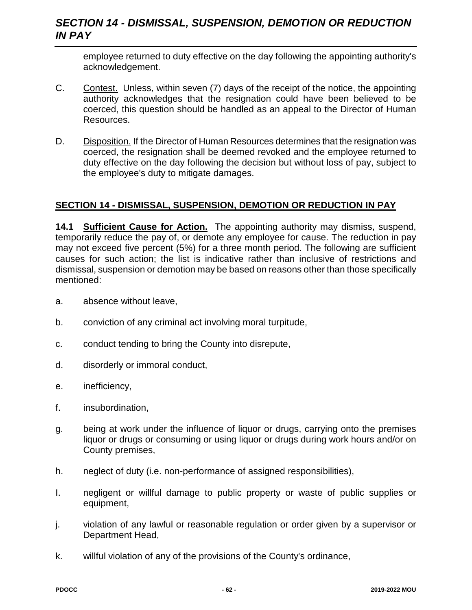## *SECTION 14 - DISMISSAL, SUSPENSION, DEMOTION OR REDUCTION IN PAY*

employee returned to duty effective on the day following the appointing authority's acknowledgement.

- C. Contest. Unless, within seven (7) days of the receipt of the notice, the appointing authority acknowledges that the resignation could have been believed to be coerced, this question should be handled as an appeal to the Director of Human Resources.
- D. Disposition. If the Director of Human Resources determines that the resignation was coerced, the resignation shall be deemed revoked and the employee returned to duty effective on the day following the decision but without loss of pay, subject to the employee's duty to mitigate damages.

#### **SECTION 14 - DISMISSAL, SUSPENSION, DEMOTION OR REDUCTION IN PAY**

**14.1 Sufficient Cause for Action.** The appointing authority may dismiss, suspend, temporarily reduce the pay of, or demote any employee for cause. The reduction in pay may not exceed five percent (5%) for a three month period. The following are sufficient causes for such action; the list is indicative rather than inclusive of restrictions and dismissal, suspension or demotion may be based on reasons other than those specifically mentioned:

- a. absence without leave,
- b. conviction of any criminal act involving moral turpitude,
- c. conduct tending to bring the County into disrepute,
- d. disorderly or immoral conduct,
- e. inefficiency,
- f. insubordination,
- g. being at work under the influence of liquor or drugs, carrying onto the premises liquor or drugs or consuming or using liquor or drugs during work hours and/or on County premises,
- h. neglect of duty (i.e. non-performance of assigned responsibilities),
- I. negligent or willful damage to public property or waste of public supplies or equipment,
- j. violation of any lawful or reasonable regulation or order given by a supervisor or Department Head,
- k. willful violation of any of the provisions of the County's ordinance,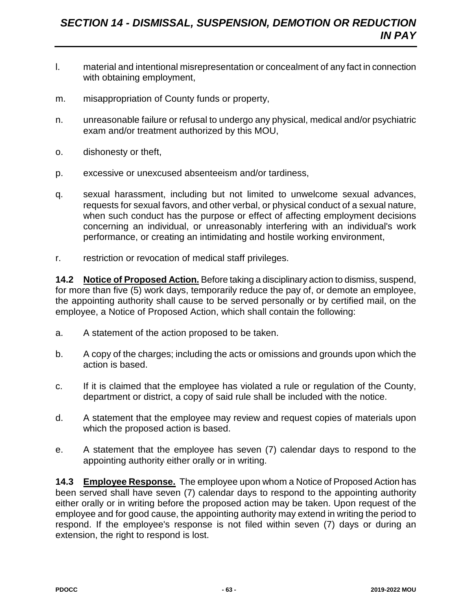- l. material and intentional misrepresentation or concealment of any fact in connection with obtaining employment,
- m. misappropriation of County funds or property,
- n. unreasonable failure or refusal to undergo any physical, medical and/or psychiatric exam and/or treatment authorized by this MOU,
- o. dishonesty or theft,
- p. excessive or unexcused absenteeism and/or tardiness,
- q. sexual harassment, including but not limited to unwelcome sexual advances, requests for sexual favors, and other verbal, or physical conduct of a sexual nature, when such conduct has the purpose or effect of affecting employment decisions concerning an individual, or unreasonably interfering with an individual's work performance, or creating an intimidating and hostile working environment,
- r. restriction or revocation of medical staff privileges.

**14.2 Notice of Proposed Action.** Before taking a disciplinary action to dismiss, suspend, for more than five (5) work days, temporarily reduce the pay of, or demote an employee, the appointing authority shall cause to be served personally or by certified mail, on the employee, a Notice of Proposed Action, which shall contain the following:

- a. A statement of the action proposed to be taken.
- b. A copy of the charges; including the acts or omissions and grounds upon which the action is based.
- c. If it is claimed that the employee has violated a rule or regulation of the County, department or district, a copy of said rule shall be included with the notice.
- d. A statement that the employee may review and request copies of materials upon which the proposed action is based.
- e. A statement that the employee has seven (7) calendar days to respond to the appointing authority either orally or in writing.

**14.3 Employee Response.** The employee upon whom a Notice of Proposed Action has been served shall have seven (7) calendar days to respond to the appointing authority either orally or in writing before the proposed action may be taken. Upon request of the employee and for good cause, the appointing authority may extend in writing the period to respond. If the employee's response is not filed within seven (7) days or during an extension, the right to respond is lost.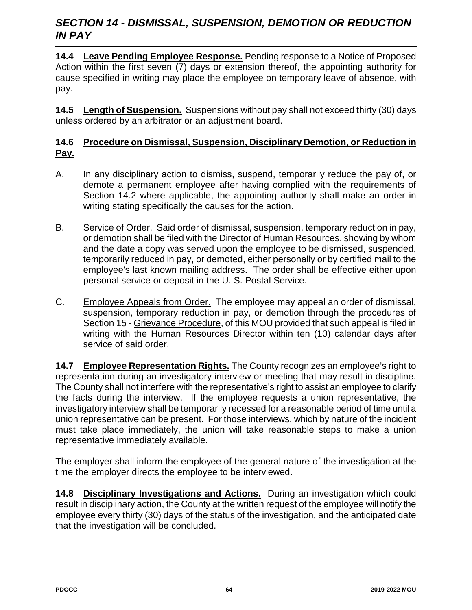## *SECTION 14 - DISMISSAL, SUSPENSION, DEMOTION OR REDUCTION IN PAY*

**14.4 Leave Pending Employee Response.** Pending response to a Notice of Proposed Action within the first seven (7) days or extension thereof, the appointing authority for cause specified in writing may place the employee on temporary leave of absence, with pay.

**14.5 Length of Suspension.** Suspensions without pay shall not exceed thirty (30) days unless ordered by an arbitrator or an adjustment board.

#### **14.6 Procedure on Dismissal, Suspension, Disciplinary Demotion, or Reduction in Pay.**

- A. In any disciplinary action to dismiss, suspend, temporarily reduce the pay of, or demote a permanent employee after having complied with the requirements of Section 14.2 where applicable, the appointing authority shall make an order in writing stating specifically the causes for the action.
- B. Service of Order. Said order of dismissal, suspension, temporary reduction in pay, or demotion shall be filed with the Director of Human Resources, showing by whom and the date a copy was served upon the employee to be dismissed, suspended, temporarily reduced in pay, or demoted, either personally or by certified mail to the employee's last known mailing address. The order shall be effective either upon personal service or deposit in the U. S. Postal Service.
- C. Employee Appeals from Order. The employee may appeal an order of dismissal, suspension, temporary reduction in pay, or demotion through the procedures of Section 15 - Grievance Procedure, of this MOU provided that such appeal is filed in writing with the Human Resources Director within ten (10) calendar days after service of said order.

**14.7 Employee Representation Rights.** The County recognizes an employee's right to representation during an investigatory interview or meeting that may result in discipline. The County shall not interfere with the representative's right to assist an employee to clarify the facts during the interview. If the employee requests a union representative, the investigatory interview shall be temporarily recessed for a reasonable period of time until a union representative can be present. For those interviews, which by nature of the incident must take place immediately, the union will take reasonable steps to make a union representative immediately available.

The employer shall inform the employee of the general nature of the investigation at the time the employer directs the employee to be interviewed.

**14.8 Disciplinary Investigations and Actions.** During an investigation which could result in disciplinary action, the County at the written request of the employee will notify the employee every thirty (30) days of the status of the investigation, and the anticipated date that the investigation will be concluded.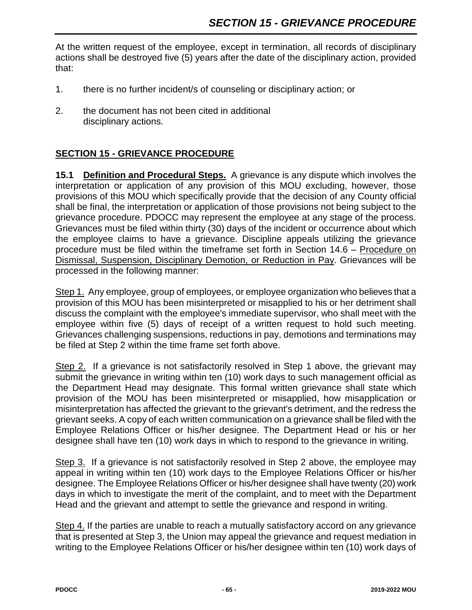At the written request of the employee, except in termination, all records of disciplinary actions shall be destroyed five (5) years after the date of the disciplinary action, provided that:

- 1. there is no further incident/s of counseling or disciplinary action; or
- 2. the document has not been cited in additional disciplinary actions.

#### **SECTION 15 - GRIEVANCE PROCEDURE**

**15.1 Definition and Procedural Steps.** A grievance is any dispute which involves the interpretation or application of any provision of this MOU excluding, however, those provisions of this MOU which specifically provide that the decision of any County official shall be final, the interpretation or application of those provisions not being subject to the grievance procedure. PDOCC may represent the employee at any stage of the process. Grievances must be filed within thirty (30) days of the incident or occurrence about which the employee claims to have a grievance. Discipline appeals utilizing the grievance procedure must be filed within the timeframe set forth in Section 14.6 – Procedure on Dismissal, Suspension, Disciplinary Demotion, or Reduction in Pay. Grievances will be processed in the following manner:

Step 1. Any employee, group of employees, or employee organization who believes that a provision of this MOU has been misinterpreted or misapplied to his or her detriment shall discuss the complaint with the employee's immediate supervisor, who shall meet with the employee within five (5) days of receipt of a written request to hold such meeting. Grievances challenging suspensions, reductions in pay, demotions and terminations may be filed at Step 2 within the time frame set forth above.

Step 2. If a grievance is not satisfactorily resolved in Step 1 above, the grievant may submit the grievance in writing within ten (10) work days to such management official as the Department Head may designate. This formal written grievance shall state which provision of the MOU has been misinterpreted or misapplied, how misapplication or misinterpretation has affected the grievant to the grievant's detriment, and the redress the grievant seeks. A copy of each written communication on a grievance shall be filed with the Employee Relations Officer or his/her designee. The Department Head or his or her designee shall have ten (10) work days in which to respond to the grievance in writing.

Step 3. If a grievance is not satisfactorily resolved in Step 2 above, the employee may appeal in writing within ten (10) work days to the Employee Relations Officer or his/her designee. The Employee Relations Officer or his/her designee shall have twenty (20) work days in which to investigate the merit of the complaint, and to meet with the Department Head and the grievant and attempt to settle the grievance and respond in writing.

Step 4. If the parties are unable to reach a mutually satisfactory accord on any grievance that is presented at Step 3, the Union may appeal the grievance and request mediation in writing to the Employee Relations Officer or his/her designee within ten (10) work days of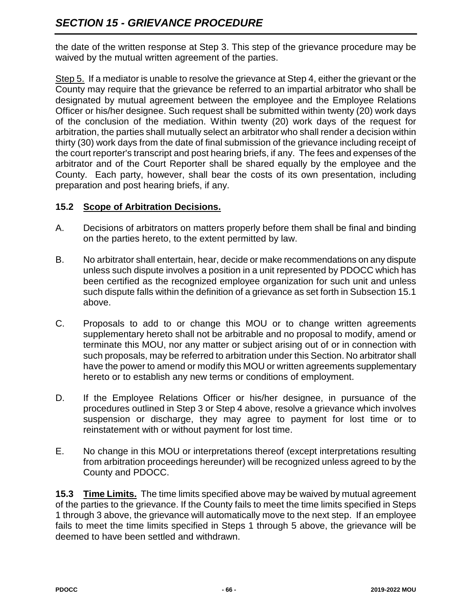the date of the written response at Step 3. This step of the grievance procedure may be waived by the mutual written agreement of the parties.

Step 5. If a mediator is unable to resolve the grievance at Step 4, either the grievant or the County may require that the grievance be referred to an impartial arbitrator who shall be designated by mutual agreement between the employee and the Employee Relations Officer or his/her designee. Such request shall be submitted within twenty (20) work days of the conclusion of the mediation. Within twenty (20) work days of the request for arbitration, the parties shall mutually select an arbitrator who shall render a decision within thirty (30) work days from the date of final submission of the grievance including receipt of the court reporter's transcript and post hearing briefs, if any. The fees and expenses of the arbitrator and of the Court Reporter shall be shared equally by the employee and the County. Each party, however, shall bear the costs of its own presentation, including preparation and post hearing briefs, if any.

### **15.2 Scope of Arbitration Decisions.**

- A. Decisions of arbitrators on matters properly before them shall be final and binding on the parties hereto, to the extent permitted by law.
- B. No arbitrator shall entertain, hear, decide or make recommendations on any dispute unless such dispute involves a position in a unit represented by PDOCC which has been certified as the recognized employee organization for such unit and unless such dispute falls within the definition of a grievance as set forth in Subsection 15.1 above.
- C. Proposals to add to or change this MOU or to change written agreements supplementary hereto shall not be arbitrable and no proposal to modify, amend or terminate this MOU, nor any matter or subject arising out of or in connection with such proposals, may be referred to arbitration under this Section. No arbitrator shall have the power to amend or modify this MOU or written agreements supplementary hereto or to establish any new terms or conditions of employment.
- D. If the Employee Relations Officer or his/her designee, in pursuance of the procedures outlined in Step 3 or Step 4 above, resolve a grievance which involves suspension or discharge, they may agree to payment for lost time or to reinstatement with or without payment for lost time.
- E. No change in this MOU or interpretations thereof (except interpretations resulting from arbitration proceedings hereunder) will be recognized unless agreed to by the County and PDOCC.

**15.3 Time Limits.** The time limits specified above may be waived by mutual agreement of the parties to the grievance. If the County fails to meet the time limits specified in Steps 1 through 3 above, the grievance will automatically move to the next step. If an employee fails to meet the time limits specified in Steps 1 through 5 above, the grievance will be deemed to have been settled and withdrawn.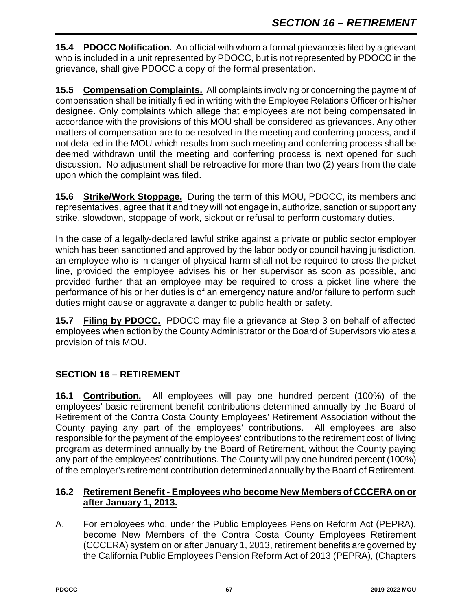**15.4 PDOCC Notification.** An official with whom a formal grievance is filed by a grievant who is included in a unit represented by PDOCC, but is not represented by PDOCC in the grievance, shall give PDOCC a copy of the formal presentation.

**15.5 Compensation Complaints.** All complaints involving or concerning the payment of compensation shall be initially filed in writing with the Employee Relations Officer or his/her designee. Only complaints which allege that employees are not being compensated in accordance with the provisions of this MOU shall be considered as grievances. Any other matters of compensation are to be resolved in the meeting and conferring process, and if not detailed in the MOU which results from such meeting and conferring process shall be deemed withdrawn until the meeting and conferring process is next opened for such discussion. No adjustment shall be retroactive for more than two (2) years from the date upon which the complaint was filed.

**15.6 Strike/Work Stoppage.** During the term of this MOU, PDOCC, its members and representatives, agree that it and they will not engage in, authorize, sanction or support any strike, slowdown, stoppage of work, sickout or refusal to perform customary duties.

In the case of a legally-declared lawful strike against a private or public sector employer which has been sanctioned and approved by the labor body or council having jurisdiction, an employee who is in danger of physical harm shall not be required to cross the picket line, provided the employee advises his or her supervisor as soon as possible, and provided further that an employee may be required to cross a picket line where the performance of his or her duties is of an emergency nature and/or failure to perform such duties might cause or aggravate a danger to public health or safety.

**15.7 Filing by PDOCC.** PDOCC may file a grievance at Step 3 on behalf of affected employees when action by the County Administrator or the Board of Supervisors violates a provision of this MOU.

# **SECTION 16 – RETIREMENT**

**16.1 Contribution.** All employees will pay one hundred percent (100%) of the employees' basic retirement benefit contributions determined annually by the Board of Retirement of the Contra Costa County Employees' Retirement Association without the County paying any part of the employees' contributions. All employees are also responsible for the payment of the employees' contributions to the retirement cost of living program as determined annually by the Board of Retirement, without the County paying any part of the employees' contributions. The County will pay one hundred percent (100%) of the employer's retirement contribution determined annually by the Board of Retirement.

#### **16.2 Retirement Benefit - Employees who become New Members of CCCERA on or after January 1, 2013.**

A. For employees who, under the Public Employees Pension Reform Act (PEPRA), become New Members of the Contra Costa County Employees Retirement (CCCERA) system on or after January 1, 2013, retirement benefits are governed by the California Public Employees Pension Reform Act of 2013 (PEPRA), (Chapters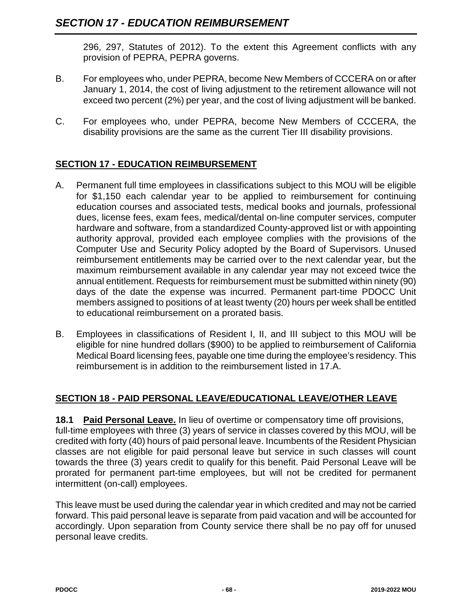296, 297, Statutes of 2012). To the extent this Agreement conflicts with any provision of PEPRA, PEPRA governs.

- B. For employees who, under PEPRA, become New Members of CCCERA on or after January 1, 2014, the cost of living adjustment to the retirement allowance will not exceed two percent (2%) per year, and the cost of living adjustment will be banked.
- C. For employees who, under PEPRA, become New Members of CCCERA, the disability provisions are the same as the current Tier III disability provisions.

## **SECTION 17 - EDUCATION REIMBURSEMENT**

- A. Permanent full time employees in classifications subject to this MOU will be eligible for \$1,150 each calendar year to be applied to reimbursement for continuing education courses and associated tests, medical books and journals, professional dues, license fees, exam fees, medical/dental on-line computer services, computer hardware and software, from a standardized County-approved list or with appointing authority approval, provided each employee complies with the provisions of the Computer Use and Security Policy adopted by the Board of Supervisors. Unused reimbursement entitlements may be carried over to the next calendar year, but the maximum reimbursement available in any calendar year may not exceed twice the annual entitlement. Requests for reimbursement must be submitted within ninety (90) days of the date the expense was incurred. Permanent part-time PDOCC Unit members assigned to positions of at least twenty (20) hours per week shall be entitled to educational reimbursement on a prorated basis.
- B. Employees in classifications of Resident I, II, and III subject to this MOU will be eligible for nine hundred dollars (\$900) to be applied to reimbursement of California Medical Board licensing fees, payable one time during the employee's residency. This reimbursement is in addition to the reimbursement listed in 17.A.

# **SECTION 18 - PAID PERSONAL LEAVE/EDUCATIONAL LEAVE/OTHER LEAVE**

**18.1 Paid Personal Leave.** In lieu of overtime or compensatory time off provisions, full-time employees with three (3) years of service in classes covered by this MOU, will be credited with forty (40) hours of paid personal leave. Incumbents of the Resident Physician classes are not eligible for paid personal leave but service in such classes will count towards the three (3) years credit to qualify for this benefit. Paid Personal Leave will be prorated for permanent part-time employees, but will not be credited for permanent intermittent (on-call) employees.

This leave must be used during the calendar year in which credited and may not be carried forward. This paid personal leave is separate from paid vacation and will be accounted for accordingly. Upon separation from County service there shall be no pay off for unused personal leave credits.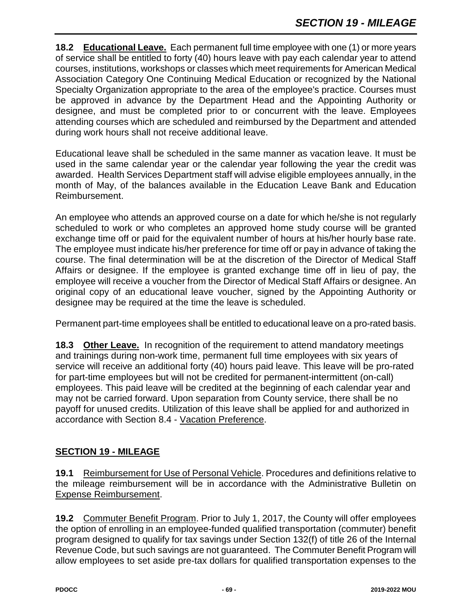**18.2 Educational Leave.** Each permanent full time employee with one (1) or more years of service shall be entitled to forty (40) hours leave with pay each calendar year to attend courses, institutions, workshops or classes which meet requirements for American Medical Association Category One Continuing Medical Education or recognized by the National Specialty Organization appropriate to the area of the employee's practice. Courses must be approved in advance by the Department Head and the Appointing Authority or designee, and must be completed prior to or concurrent with the leave. Employees attending courses which are scheduled and reimbursed by the Department and attended during work hours shall not receive additional leave.

Educational leave shall be scheduled in the same manner as vacation leave. It must be used in the same calendar year or the calendar year following the year the credit was awarded. Health Services Department staff will advise eligible employees annually, in the month of May, of the balances available in the Education Leave Bank and Education Reimbursement.

An employee who attends an approved course on a date for which he/she is not regularly scheduled to work or who completes an approved home study course will be granted exchange time off or paid for the equivalent number of hours at his/her hourly base rate. The employee must indicate his/her preference for time off or pay in advance of taking the course. The final determination will be at the discretion of the Director of Medical Staff Affairs or designee. If the employee is granted exchange time off in lieu of pay, the employee will receive a voucher from the Director of Medical Staff Affairs or designee. An original copy of an educational leave voucher, signed by the Appointing Authority or designee may be required at the time the leave is scheduled.

Permanent part-time employees shall be entitled to educational leave on a pro-rated basis.

**18.3 Other Leave.** In recognition of the requirement to attend mandatory meetings and trainings during non-work time, permanent full time employees with six years of service will receive an additional forty (40) hours paid leave. This leave will be pro-rated for part-time employees but will not be credited for permanent-intermittent (on-call) employees. This paid leave will be credited at the beginning of each calendar year and may not be carried forward. Upon separation from County service, there shall be no payoff for unused credits. Utilization of this leave shall be applied for and authorized in accordance with Section 8.4 - Vacation Preference.

#### **SECTION 19 - MILEAGE**

**19.1** Reimbursement for Use of Personal Vehicle. Procedures and definitions relative to the mileage reimbursement will be in accordance with the Administrative Bulletin on Expense Reimbursement.

**19.2** Commuter Benefit Program. Prior to July 1, 2017, the County will offer employees the option of enrolling in an employee-funded qualified transportation (commuter) benefit program designed to qualify for tax savings under Section 132(f) of title 26 of the Internal Revenue Code, but such savings are not guaranteed. The Commuter Benefit Program will allow employees to set aside pre-tax dollars for qualified transportation expenses to the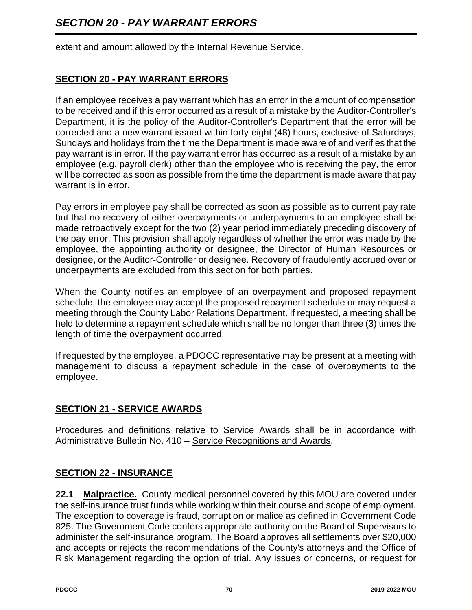extent and amount allowed by the Internal Revenue Service.

# **SECTION 20 - PAY WARRANT ERRORS**

If an employee receives a pay warrant which has an error in the amount of compensation to be received and if this error occurred as a result of a mistake by the Auditor-Controller's Department, it is the policy of the Auditor-Controller's Department that the error will be corrected and a new warrant issued within forty-eight (48) hours, exclusive of Saturdays, Sundays and holidays from the time the Department is made aware of and verifies that the pay warrant is in error. If the pay warrant error has occurred as a result of a mistake by an employee (e.g. payroll clerk) other than the employee who is receiving the pay, the error will be corrected as soon as possible from the time the department is made aware that pay warrant is in error.

Pay errors in employee pay shall be corrected as soon as possible as to current pay rate but that no recovery of either overpayments or underpayments to an employee shall be made retroactively except for the two (2) year period immediately preceding discovery of the pay error. This provision shall apply regardless of whether the error was made by the employee, the appointing authority or designee, the Director of Human Resources or designee, or the Auditor-Controller or designee. Recovery of fraudulently accrued over or underpayments are excluded from this section for both parties.

When the County notifies an employee of an overpayment and proposed repayment schedule, the employee may accept the proposed repayment schedule or may request a meeting through the County Labor Relations Department. If requested, a meeting shall be held to determine a repayment schedule which shall be no longer than three (3) times the length of time the overpayment occurred.

If requested by the employee, a PDOCC representative may be present at a meeting with management to discuss a repayment schedule in the case of overpayments to the employee.

#### **SECTION 21 - SERVICE AWARDS**

Procedures and definitions relative to Service Awards shall be in accordance with Administrative Bulletin No. 410 - Service Recognitions and Awards.

#### **SECTION 22 - INSURANCE**

**22.1 Malpractice.** County medical personnel covered by this MOU are covered under the self-insurance trust funds while working within their course and scope of employment. The exception to coverage is fraud, corruption or malice as defined in Government Code 825. The Government Code confers appropriate authority on the Board of Supervisors to administer the self-insurance program. The Board approves all settlements over \$20,000 and accepts or rejects the recommendations of the County's attorneys and the Office of Risk Management regarding the option of trial. Any issues or concerns, or request for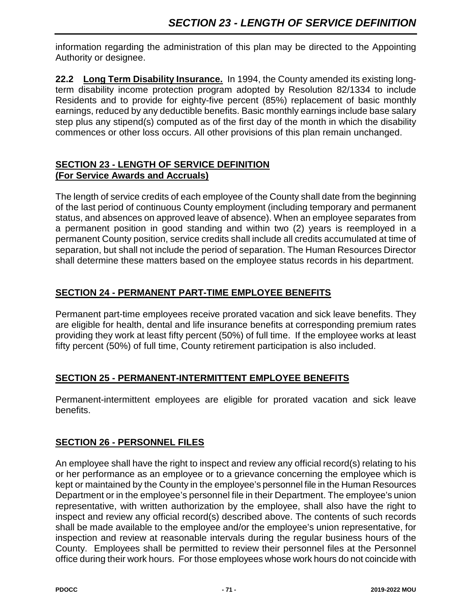information regarding the administration of this plan may be directed to the Appointing Authority or designee.

**22.2 Long Term Disability Insurance.** In 1994, the County amended its existing longterm disability income protection program adopted by Resolution 82/1334 to include Residents and to provide for eighty-five percent (85%) replacement of basic monthly earnings, reduced by any deductible benefits. Basic monthly earnings include base salary step plus any stipend(s) computed as of the first day of the month in which the disability commences or other loss occurs. All other provisions of this plan remain unchanged.

## **SECTION 23 - LENGTH OF SERVICE DEFINITION (For Service Awards and Accruals)**

The length of service credits of each employee of the County shall date from the beginning of the last period of continuous County employment (including temporary and permanent status, and absences on approved leave of absence). When an employee separates from a permanent position in good standing and within two (2) years is reemployed in a permanent County position, service credits shall include all credits accumulated at time of separation, but shall not include the period of separation. The Human Resources Director shall determine these matters based on the employee status records in his department.

# **SECTION 24 - PERMANENT PART-TIME EMPLOYEE BENEFITS**

Permanent part-time employees receive prorated vacation and sick leave benefits. They are eligible for health, dental and life insurance benefits at corresponding premium rates providing they work at least fifty percent (50%) of full time. If the employee works at least fifty percent (50%) of full time, County retirement participation is also included.

# **SECTION 25 - PERMANENT-INTERMITTENT EMPLOYEE BENEFITS**

Permanent-intermittent employees are eligible for prorated vacation and sick leave benefits.

# **SECTION 26 - PERSONNEL FILES**

An employee shall have the right to inspect and review any official record(s) relating to his or her performance as an employee or to a grievance concerning the employee which is kept or maintained by the County in the employee's personnel file in the Human Resources Department or in the employee's personnel file in their Department. The employee's union representative, with written authorization by the employee, shall also have the right to inspect and review any official record(s) described above. The contents of such records shall be made available to the employee and/or the employee's union representative, for inspection and review at reasonable intervals during the regular business hours of the County. Employees shall be permitted to review their personnel files at the Personnel office during their work hours. For those employees whose work hours do not coincide with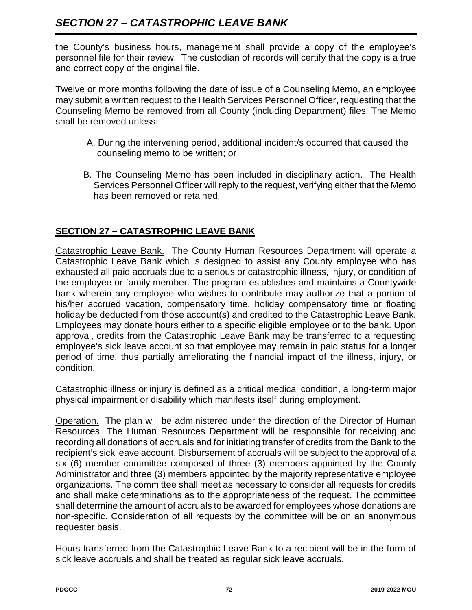# *SECTION 27 – CATASTROPHIC LEAVE BANK*

the County's business hours, management shall provide a copy of the employee's personnel file for their review. The custodian of records will certify that the copy is a true and correct copy of the original file.

Twelve or more months following the date of issue of a Counseling Memo, an employee may submit a written request to the Health Services Personnel Officer, requesting that the Counseling Memo be removed from all County (including Department) files. The Memo shall be removed unless:

- A. During the intervening period, additional incident/s occurred that caused the counseling memo to be written; or
- B. The Counseling Memo has been included in disciplinary action. The Health Services Personnel Officer will reply to the request, verifying either that the Memo has been removed or retained.

# **SECTION 27 – CATASTROPHIC LEAVE BANK**

Catastrophic Leave Bank. The County Human Resources Department will operate a Catastrophic Leave Bank which is designed to assist any County employee who has exhausted all paid accruals due to a serious or catastrophic illness, injury, or condition of the employee or family member. The program establishes and maintains a Countywide bank wherein any employee who wishes to contribute may authorize that a portion of his/her accrued vacation, compensatory time, holiday compensatory time or floating holiday be deducted from those account(s) and credited to the Catastrophic Leave Bank. Employees may donate hours either to a specific eligible employee or to the bank. Upon approval, credits from the Catastrophic Leave Bank may be transferred to a requesting employee's sick leave account so that employee may remain in paid status for a longer period of time, thus partially ameliorating the financial impact of the illness, injury, or condition.

Catastrophic illness or injury is defined as a critical medical condition, a long-term major physical impairment or disability which manifests itself during employment.

Operation. The plan will be administered under the direction of the Director of Human Resources. The Human Resources Department will be responsible for receiving and recording all donations of accruals and for initiating transfer of credits from the Bank to the recipient's sick leave account. Disbursement of accruals will be subject to the approval of a six (6) member committee composed of three (3) members appointed by the County Administrator and three (3) members appointed by the majority representative employee organizations. The committee shall meet as necessary to consider all requests for credits and shall make determinations as to the appropriateness of the request. The committee shall determine the amount of accruals to be awarded for employees whose donations are non-specific. Consideration of all requests by the committee will be on an anonymous requester basis.

Hours transferred from the Catastrophic Leave Bank to a recipient will be in the form of sick leave accruals and shall be treated as regular sick leave accruals.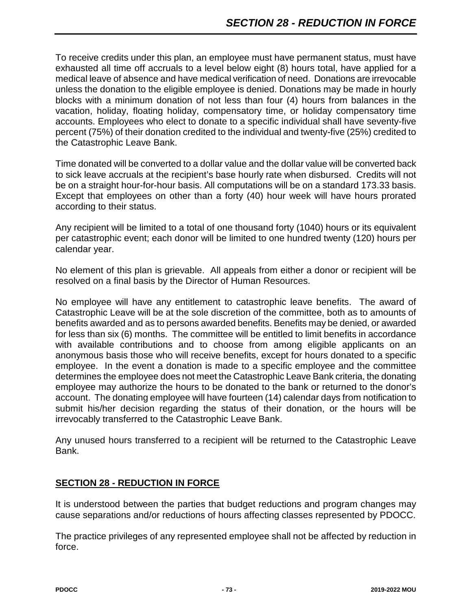To receive credits under this plan, an employee must have permanent status, must have exhausted all time off accruals to a level below eight (8) hours total, have applied for a medical leave of absence and have medical verification of need. Donations are irrevocable unless the donation to the eligible employee is denied. Donations may be made in hourly blocks with a minimum donation of not less than four (4) hours from balances in the vacation, holiday, floating holiday, compensatory time, or holiday compensatory time accounts. Employees who elect to donate to a specific individual shall have seventy-five percent (75%) of their donation credited to the individual and twenty-five (25%) credited to the Catastrophic Leave Bank.

Time donated will be converted to a dollar value and the dollar value will be converted back to sick leave accruals at the recipient's base hourly rate when disbursed. Credits will not be on a straight hour-for-hour basis. All computations will be on a standard 173.33 basis. Except that employees on other than a forty (40) hour week will have hours prorated according to their status.

Any recipient will be limited to a total of one thousand forty (1040) hours or its equivalent per catastrophic event; each donor will be limited to one hundred twenty (120) hours per calendar year.

No element of this plan is grievable. All appeals from either a donor or recipient will be resolved on a final basis by the Director of Human Resources.

No employee will have any entitlement to catastrophic leave benefits. The award of Catastrophic Leave will be at the sole discretion of the committee, both as to amounts of benefits awarded and as to persons awarded benefits. Benefits may be denied, or awarded for less than six (6) months. The committee will be entitled to limit benefits in accordance with available contributions and to choose from among eligible applicants on an anonymous basis those who will receive benefits, except for hours donated to a specific employee. In the event a donation is made to a specific employee and the committee determines the employee does not meet the Catastrophic Leave Bank criteria, the donating employee may authorize the hours to be donated to the bank or returned to the donor's account. The donating employee will have fourteen (14) calendar days from notification to submit his/her decision regarding the status of their donation, or the hours will be irrevocably transferred to the Catastrophic Leave Bank.

Any unused hours transferred to a recipient will be returned to the Catastrophic Leave Bank.

#### **SECTION 28 - REDUCTION IN FORCE**

It is understood between the parties that budget reductions and program changes may cause separations and/or reductions of hours affecting classes represented by PDOCC.

The practice privileges of any represented employee shall not be affected by reduction in force.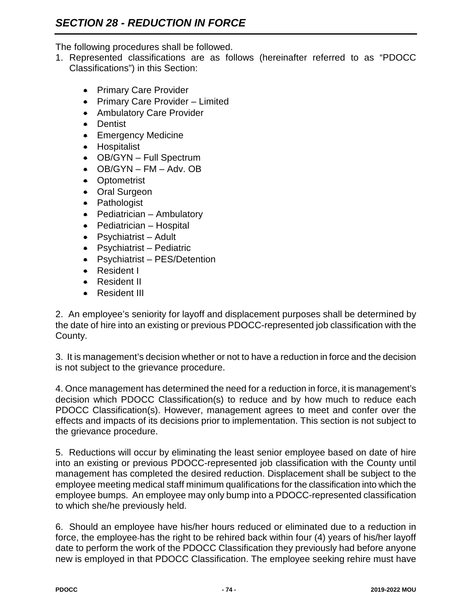The following procedures shall be followed.

- 1. Represented classifications are as follows (hereinafter referred to as "PDOCC Classifications") in this Section:
	- Primary Care Provider
	- Primary Care Provider Limited
	- Ambulatory Care Provider
	- Dentist
	- Emergency Medicine
	- Hospitalist
	- OB/GYN Full Spectrum
	- $\bullet$  OB/GYN FM Adv. OB
	- Optometrist
	- Oral Surgeon
	- Pathologist
	- Pediatrician Ambulatory
	- Pediatrician Hospital
	- Psychiatrist Adult
	- Psychiatrist Pediatric
	- Psychiatrist PES/Detention
	- Resident I
	- Resident II
	- Resident III

2. An employee's seniority for layoff and displacement purposes shall be determined by the date of hire into an existing or previous PDOCC-represented job classification with the County.

3. It is management's decision whether or not to have a reduction in force and the decision is not subject to the grievance procedure.

4. Once management has determined the need for a reduction in force, it is management's decision which PDOCC Classification(s) to reduce and by how much to reduce each PDOCC Classification(s). However, management agrees to meet and confer over the effects and impacts of its decisions prior to implementation. This section is not subject to the grievance procedure.

5. Reductions will occur by eliminating the least senior employee based on date of hire into an existing or previous PDOCC-represented job classification with the County until management has completed the desired reduction. Displacement shall be subject to the employee meeting medical staff minimum qualifications for the classification into which the employee bumps. An employee may only bump into a PDOCC-represented classification to which she/he previously held.

6. Should an employee have his/her hours reduced or eliminated due to a reduction in force, the employee has the right to be rehired back within four (4) years of his/her layoff date to perform the work of the PDOCC Classification they previously had before anyone new is employed in that PDOCC Classification. The employee seeking rehire must have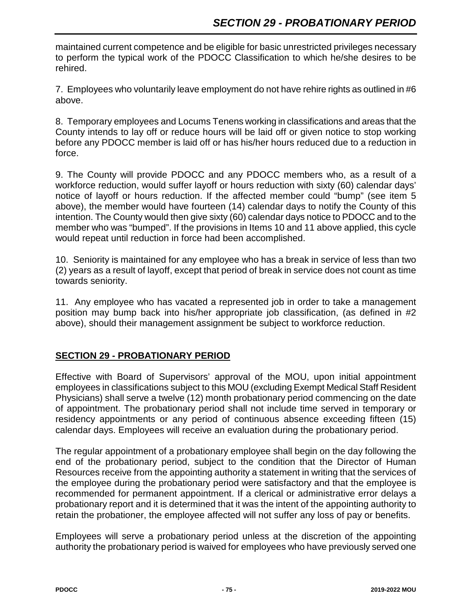maintained current competence and be eligible for basic unrestricted privileges necessary to perform the typical work of the PDOCC Classification to which he/she desires to be rehired.

7. Employees who voluntarily leave employment do not have rehire rights as outlined in #6 above.

8. Temporary employees and Locums Tenens working in classifications and areas that the County intends to lay off or reduce hours will be laid off or given notice to stop working before any PDOCC member is laid off or has his/her hours reduced due to a reduction in force.

9. The County will provide PDOCC and any PDOCC members who, as a result of a workforce reduction, would suffer layoff or hours reduction with sixty (60) calendar days' notice of layoff or hours reduction. If the affected member could "bump" (see item 5 above), the member would have fourteen (14) calendar days to notify the County of this intention. The County would then give sixty (60) calendar days notice to PDOCC and to the member who was "bumped". If the provisions in Items 10 and 11 above applied, this cycle would repeat until reduction in force had been accomplished.

10. Seniority is maintained for any employee who has a break in service of less than two (2) years as a result of layoff, except that period of break in service does not count as time towards seniority.

11. Any employee who has vacated a represented job in order to take a management position may bump back into his/her appropriate job classification, (as defined in #2 above), should their management assignment be subject to workforce reduction.

# **SECTION 29 - PROBATIONARY PERIOD**

Effective with Board of Supervisors' approval of the MOU, upon initial appointment employees in classifications subject to this MOU (excluding Exempt Medical Staff Resident Physicians) shall serve a twelve (12) month probationary period commencing on the date of appointment. The probationary period shall not include time served in temporary or residency appointments or any period of continuous absence exceeding fifteen (15) calendar days. Employees will receive an evaluation during the probationary period.

The regular appointment of a probationary employee shall begin on the day following the end of the probationary period, subject to the condition that the Director of Human Resources receive from the appointing authority a statement in writing that the services of the employee during the probationary period were satisfactory and that the employee is recommended for permanent appointment. If a clerical or administrative error delays a probationary report and it is determined that it was the intent of the appointing authority to retain the probationer, the employee affected will not suffer any loss of pay or benefits.

Employees will serve a probationary period unless at the discretion of the appointing authority the probationary period is waived for employees who have previously served one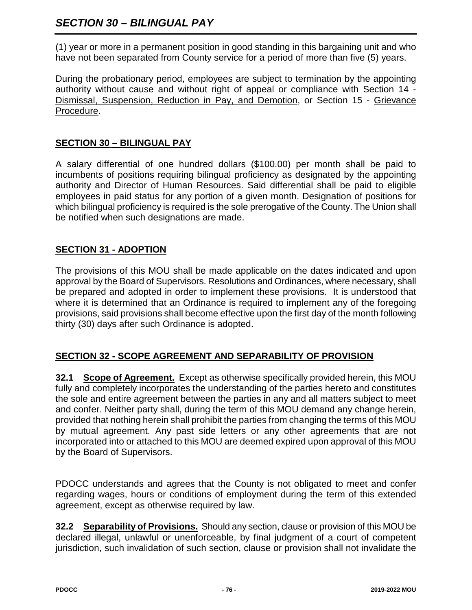(1) year or more in a permanent position in good standing in this bargaining unit and who have not been separated from County service for a period of more than five (5) years.

During the probationary period, employees are subject to termination by the appointing authority without cause and without right of appeal or compliance with Section 14 - Dismissal, Suspension, Reduction in Pay, and Demotion, or Section 15 - Grievance Procedure.

# **SECTION 30 – BILINGUAL PAY**

A salary differential of one hundred dollars (\$100.00) per month shall be paid to incumbents of positions requiring bilingual proficiency as designated by the appointing authority and Director of Human Resources. Said differential shall be paid to eligible employees in paid status for any portion of a given month. Designation of positions for which bilingual proficiency is required is the sole prerogative of the County. The Union shall be notified when such designations are made.

# **SECTION 31 - ADOPTION**

The provisions of this MOU shall be made applicable on the dates indicated and upon approval by the Board of Supervisors. Resolutions and Ordinances, where necessary, shall be prepared and adopted in order to implement these provisions. It is understood that where it is determined that an Ordinance is required to implement any of the foregoing provisions, said provisions shall become effective upon the first day of the month following thirty (30) days after such Ordinance is adopted.

#### **SECTION 32 - SCOPE AGREEMENT AND SEPARABILITY OF PROVISION**

**32.1 Scope of Agreement.** Except as otherwise specifically provided herein, this MOU fully and completely incorporates the understanding of the parties hereto and constitutes the sole and entire agreement between the parties in any and all matters subject to meet and confer. Neither party shall, during the term of this MOU demand any change herein, provided that nothing herein shall prohibit the parties from changing the terms of this MOU by mutual agreement. Any past side letters or any other agreements that are not incorporated into or attached to this MOU are deemed expired upon approval of this MOU by the Board of Supervisors.

PDOCC understands and agrees that the County is not obligated to meet and confer regarding wages, hours or conditions of employment during the term of this extended agreement, except as otherwise required by law.

**32.2 Separability of Provisions.** Should any section, clause or provision of this MOU be declared illegal, unlawful or unenforceable, by final judgment of a court of competent jurisdiction, such invalidation of such section, clause or provision shall not invalidate the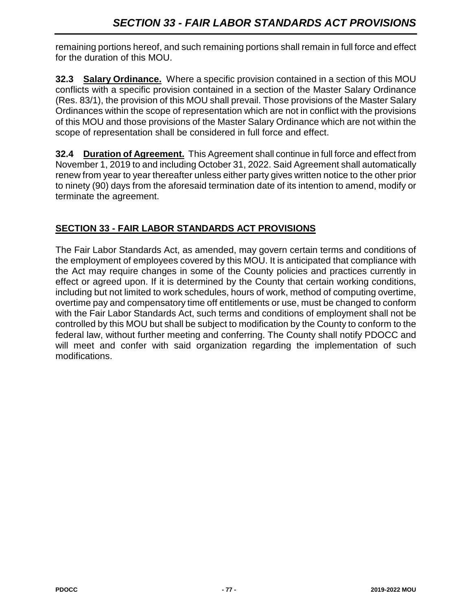remaining portions hereof, and such remaining portions shall remain in full force and effect for the duration of this MOU.

**32.3 Salary Ordinance.** Where a specific provision contained in a section of this MOU conflicts with a specific provision contained in a section of the Master Salary Ordinance (Res. 83/1), the provision of this MOU shall prevail. Those provisions of the Master Salary Ordinances within the scope of representation which are not in conflict with the provisions of this MOU and those provisions of the Master Salary Ordinance which are not within the scope of representation shall be considered in full force and effect.

**32.4 Duration of Agreement.** This Agreement shall continue in full force and effect from November 1, 2019 to and including October 31, 2022. Said Agreement shall automatically renew from year to year thereafter unless either party gives written notice to the other prior to ninety (90) days from the aforesaid termination date of its intention to amend, modify or terminate the agreement.

# **SECTION 33 - FAIR LABOR STANDARDS ACT PROVISIONS**

The Fair Labor Standards Act, as amended, may govern certain terms and conditions of the employment of employees covered by this MOU. It is anticipated that compliance with the Act may require changes in some of the County policies and practices currently in effect or agreed upon. If it is determined by the County that certain working conditions, including but not limited to work schedules, hours of work, method of computing overtime, overtime pay and compensatory time off entitlements or use, must be changed to conform with the Fair Labor Standards Act, such terms and conditions of employment shall not be controlled by this MOU but shall be subject to modification by the County to conform to the federal law, without further meeting and conferring. The County shall notify PDOCC and will meet and confer with said organization regarding the implementation of such modifications.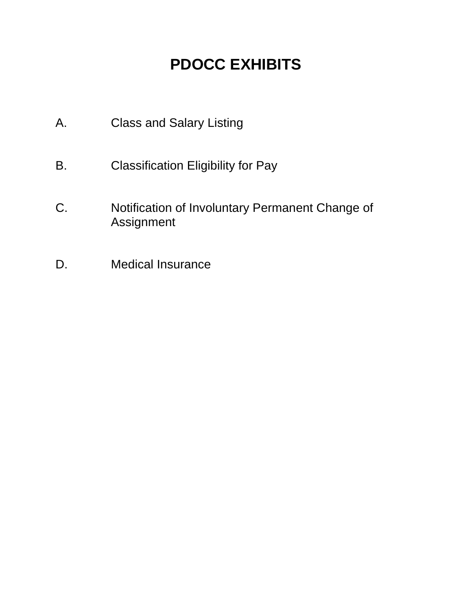# **PDOCC EXHIBITS**

- A. Class and Salary Listing
- B. Classification Eligibility for Pay
- C. Notification of Involuntary Permanent Change of Assignment
- D. Medical Insurance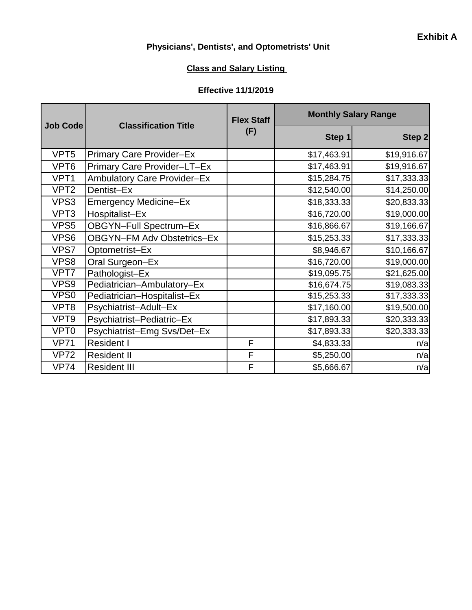## **Physicians', Dentists', and Optometrists' Unit**

## **Class and Salary Listing**

#### **Effective 11/1/2019**

| Job Code         | <b>Classification Title</b>        | <b>Flex Staff</b><br>(F) | <b>Monthly Salary Range</b> |             |  |
|------------------|------------------------------------|--------------------------|-----------------------------|-------------|--|
|                  |                                    |                          | Step 1                      | Step 2      |  |
| VPT <sub>5</sub> | <b>Primary Care Provider-Ex</b>    |                          | \$17,463.91                 | \$19,916.67 |  |
| VPT6             | Primary Care Provider-LT-Ex        |                          | \$17,463.91                 | \$19,916.67 |  |
| VPT <sub>1</sub> | <b>Ambulatory Care Provider-Ex</b> |                          | \$15,284.75                 | \$17,333.33 |  |
| VPT <sub>2</sub> | Dentist-Ex                         |                          | \$12,540.00                 | \$14,250.00 |  |
| VPS3             | <b>Emergency Medicine-Ex</b>       |                          | \$18,333.33                 | \$20,833.33 |  |
| VPT <sub>3</sub> | Hospitalist-Ex                     |                          | \$16,720.00                 | \$19,000.00 |  |
| VPS <sub>5</sub> | OBGYN-Full Spectrum-Ex             |                          | \$16,866.67                 | \$19,166.67 |  |
| VPS6             | <b>OBGYN-FM Adv Obstetrics-Ex</b>  |                          | \$15,253.33                 | \$17,333.33 |  |
| VPS7             | Optometrist-Ex                     |                          | \$8,946.67                  | \$10,166.67 |  |
| VPS8             | Oral Surgeon-Ex                    |                          | \$16,720.00                 | \$19,000.00 |  |
| VPT7             | Pathologist-Ex                     |                          | \$19,095.75                 | \$21,625.00 |  |
| VPS9             | Pediatrician-Ambulatory-Ex         |                          | \$16,674.75                 | \$19,083.33 |  |
| VPS <sub>0</sub> | Pediatrician-Hospitalist-Ex        |                          | \$15,253.33                 | \$17,333.33 |  |
| VPT8             | Psychiatrist-Adult-Ex              |                          | \$17,160.00                 | \$19,500.00 |  |
| VPT9             | Psychiatrist-Pediatric-Ex          |                          | \$17,893.33                 | \$20,333.33 |  |
| VPT <sub>0</sub> | Psychiatrist-Emg Svs/Det-Ex        |                          | \$17,893.33                 | \$20,333.33 |  |
| <b>VP71</b>      | <b>Resident I</b>                  | F                        | \$4,833.33                  | n/a         |  |
| <b>VP72</b>      | <b>Resident II</b>                 | F                        | \$5,250.00                  | n/a         |  |
| <b>VP74</b>      | <b>Resident III</b>                | F                        | \$5,666.67                  | n/a         |  |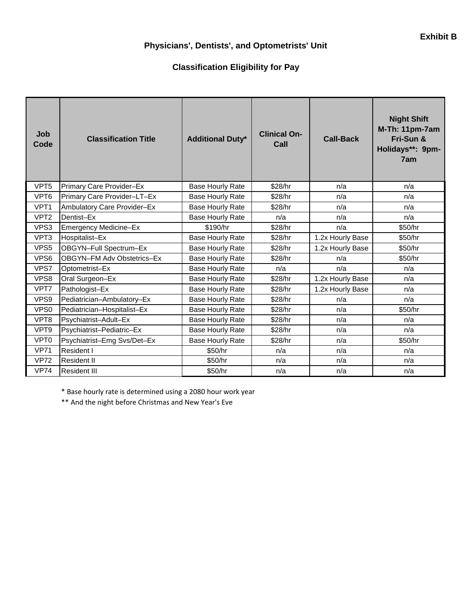## **Physicians', Dentists', and Optometrists' Unit**

#### **Classification Eligibility for Pay**

| Job<br>Code      | <b>Classification Title</b> | <b>Additional Duty*</b> | <b>Clinical On-</b><br>Call | <b>Call-Back</b> | <b>Night Shift</b><br>M-Th: 11pm-7am<br>Fri-Sun &<br>Holidays**: 9pm-<br>7am |
|------------------|-----------------------------|-------------------------|-----------------------------|------------------|------------------------------------------------------------------------------|
| VPT <sub>5</sub> | Primary Care Provider-Ex    | <b>Base Hourly Rate</b> | \$28/hr                     | n/a              | n/a                                                                          |
| VPT6             | Primary Care Provider-LT-Ex | <b>Base Hourly Rate</b> | \$28/hr                     | n/a              | n/a                                                                          |
| VPT <sub>1</sub> | Ambulatory Care Provider-Ex | <b>Base Hourly Rate</b> | \$28/hr                     | n/a              | n/a                                                                          |
| VPT <sub>2</sub> | Dentist-Ex                  | <b>Base Hourly Rate</b> | n/a                         | n/a              | n/a                                                                          |
| VPS3             | Emergency Medicine-Ex       | \$190/hr                | \$28/hr                     | n/a              | \$50/hr                                                                      |
| VPT3             | Hospitalist-Ex              | <b>Base Hourly Rate</b> | \$28/hr                     | 1.2x Hourly Base | \$50/hr                                                                      |
| VPS5             | OBGYN-Full Spectrum-Ex      | <b>Base Hourly Rate</b> | \$28/hr                     | 1.2x Hourly Base | \$50/hr                                                                      |
| VPS6             | OBGYN-FM Adv Obstetrics-Ex  | <b>Base Hourly Rate</b> | \$28/hr                     | n/a              | \$50/hr                                                                      |
| VPS7             | Optometrist-Ex              | <b>Base Hourly Rate</b> | n/a                         | n/a              | n/a                                                                          |
| VPS8             | Oral Surgeon-Ex             | <b>Base Hourly Rate</b> | \$28/hr                     | 1.2x Hourly Base | n/a                                                                          |
| VPT7             | Pathologist-Ex              | <b>Base Hourly Rate</b> | \$28/hr                     | 1.2x Hourly Base | n/a                                                                          |
| VPS9             | Pediatrician-Ambulatory-Ex  | <b>Base Hourly Rate</b> | \$28/hr                     | n/a              | n/a                                                                          |
| VPS0             | Pediatrician-Hospitalist-Ex | <b>Base Hourly Rate</b> | \$28/hr                     | n/a              | \$50/hr                                                                      |
| VPT8             | Psychiatrist-Adult-Ex       | <b>Base Hourly Rate</b> | \$28/hr                     | n/a              | n/a                                                                          |
| VPT9             | Psychiatrist-Pediatric-Ex   | <b>Base Hourly Rate</b> | \$28/hr                     | n/a              | n/a                                                                          |
| VPT <sub>0</sub> | Psychiatrist-Emg Svs/Det-Ex | <b>Base Hourly Rate</b> | \$28/hr                     | n/a              | \$50/hr                                                                      |
| <b>VP71</b>      | Resident I                  | \$50/hr                 | n/a                         | n/a              | n/a                                                                          |
| <b>VP72</b>      | <b>Resident II</b>          | \$50/hr                 | n/a                         | n/a              | n/a                                                                          |
| <b>VP74</b>      | <b>Resident III</b>         | \$50/hr                 | n/a                         | n/a              | n/a                                                                          |

\* Base hourly rate is determined using a 2080 hour work year

\*\* And the night before Christmas and New Year's Eve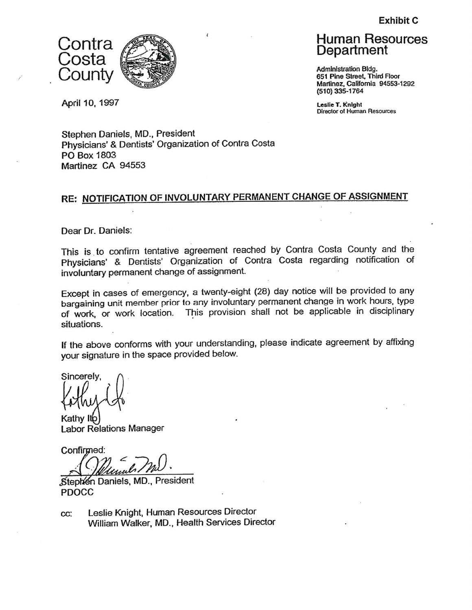**Exhibit C** 



April 10, 1997

**Human Resources** Department

**Administration Bldg.** 651 Pine Street, Third Floor Martinez, California 94553-1292 (510) 335-1764

Leslie T. Knight **Director of Human Resources** 

Stephen Daniels, MD., President Physicians' & Dentists' Organization of Contra Costa PO Box 1803 Martinez CA 94553

# RE: NOTIFICATION OF INVOLUNTARY PERMANENT CHANGE OF ASSIGNMENT

Dear Dr. Daniels:

This is to confirm tentative agreement reached by Contra Costa County and the Physicians' & Dentists' Organization of Contra Costa regarding notification of involuntary permanent change of assignment.

Except in cases of emergency, a twenty-eight (28) day notice will be provided to any bargaining unit member prior to any involuntary permanent change in work hours, type This provision shall not be applicable in disciplinary of work, or work location. situations.

If the above conforms with your understanding, please indicate agreement by affixing your signature in the space provided below.

Sincerely,

Kathy Itp **Labor Relations Manager** 

Confirmed:

Stephen Daniels, MD., President **PDOCC** 

Leslie Knight, Human Resources Director CC: William Walker, MD., Health Services Director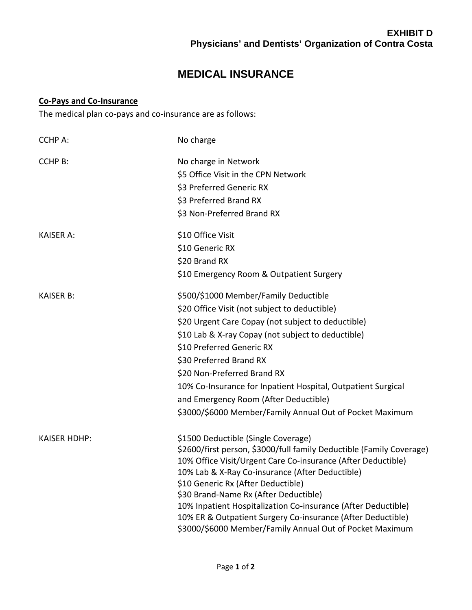# **MEDICAL INSURANCE**

#### **Co-Pays and Co-Insurance**

The medical plan co-pays and co-insurance are as follows:

| <b>CCHP A:</b>      | No charge                                                                                                                    |
|---------------------|------------------------------------------------------------------------------------------------------------------------------|
| <b>CCHP B:</b>      | No charge in Network                                                                                                         |
|                     | \$5 Office Visit in the CPN Network                                                                                          |
|                     | \$3 Preferred Generic RX                                                                                                     |
|                     | \$3 Preferred Brand RX                                                                                                       |
|                     | \$3 Non-Preferred Brand RX                                                                                                   |
| <b>KAISER A:</b>    | \$10 Office Visit                                                                                                            |
|                     | \$10 Generic RX                                                                                                              |
|                     | \$20 Brand RX                                                                                                                |
|                     | \$10 Emergency Room & Outpatient Surgery                                                                                     |
| <b>KAISER B:</b>    | \$500/\$1000 Member/Family Deductible                                                                                        |
|                     | \$20 Office Visit (not subject to deductible)                                                                                |
|                     | \$20 Urgent Care Copay (not subject to deductible)                                                                           |
|                     | \$10 Lab & X-ray Copay (not subject to deductible)                                                                           |
|                     | \$10 Preferred Generic RX                                                                                                    |
|                     | \$30 Preferred Brand RX                                                                                                      |
|                     | \$20 Non-Preferred Brand RX                                                                                                  |
|                     | 10% Co-Insurance for Inpatient Hospital, Outpatient Surgical                                                                 |
|                     | and Emergency Room (After Deductible)                                                                                        |
|                     | \$3000/\$6000 Member/Family Annual Out of Pocket Maximum                                                                     |
| <b>KAISER HDHP:</b> | \$1500 Deductible (Single Coverage)                                                                                          |
|                     | \$2600/first person, \$3000/full family Deductible (Family Coverage)                                                         |
|                     | 10% Office Visit/Urgent Care Co-insurance (After Deductible)                                                                 |
|                     | 10% Lab & X-Ray Co-insurance (After Deductible)                                                                              |
|                     | \$10 Generic Rx (After Deductible)                                                                                           |
|                     | \$30 Brand-Name Rx (After Deductible)                                                                                        |
|                     | 10% Inpatient Hospitalization Co-insurance (After Deductible)<br>10% ER & Outpatient Surgery Co-insurance (After Deductible) |
|                     | \$3000/\$6000 Member/Family Annual Out of Pocket Maximum                                                                     |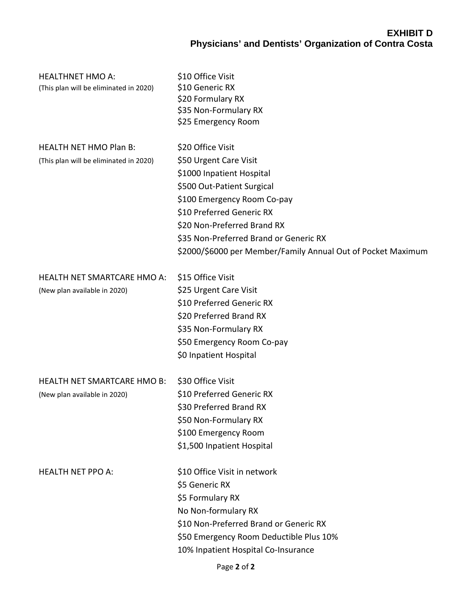# **EXHIBIT D Physicians' and Dentists' Organization of Contra Costa**

| <b>HEALTHNET HMO A:</b><br>(This plan will be eliminated in 2020)       | \$10 Office Visit<br>\$10 Generic RX<br>\$20 Formulary RX<br>\$35 Non-Formulary RX<br>\$25 Emergency Room                                                                                                                                                                                                   |
|-------------------------------------------------------------------------|-------------------------------------------------------------------------------------------------------------------------------------------------------------------------------------------------------------------------------------------------------------------------------------------------------------|
| <b>HEALTH NET HMO Plan B:</b><br>(This plan will be eliminated in 2020) | \$20 Office Visit<br>\$50 Urgent Care Visit<br>\$1000 Inpatient Hospital<br>\$500 Out-Patient Surgical<br>\$100 Emergency Room Co-pay<br>\$10 Preferred Generic RX<br>\$20 Non-Preferred Brand RX<br>\$35 Non-Preferred Brand or Generic RX<br>\$2000/\$6000 per Member/Family Annual Out of Pocket Maximum |
| <b>HEALTH NET SMARTCARE HMO A:</b><br>(New plan available in 2020)      | \$15 Office Visit<br>\$25 Urgent Care Visit<br>\$10 Preferred Generic RX<br>\$20 Preferred Brand RX<br>\$35 Non-Formulary RX<br>\$50 Emergency Room Co-pay<br>\$0 Inpatient Hospital                                                                                                                        |
| <b>HEALTH NET SMARTCARE HMO B:</b><br>(New plan available in 2020)      | \$30 Office Visit<br>\$10 Preferred Generic RX<br>\$30 Preferred Brand RX<br>\$50 Non-Formulary RX<br>\$100 Emergency Room<br>\$1,500 Inpatient Hospital                                                                                                                                                    |
| <b>HEALTH NET PPO A:</b>                                                | \$10 Office Visit in network<br>\$5 Generic RX<br>\$5 Formulary RX<br>No Non-formulary RX<br>\$10 Non-Preferred Brand or Generic RX<br>\$50 Emergency Room Deductible Plus 10%<br>10% Inpatient Hospital Co-Insurance                                                                                       |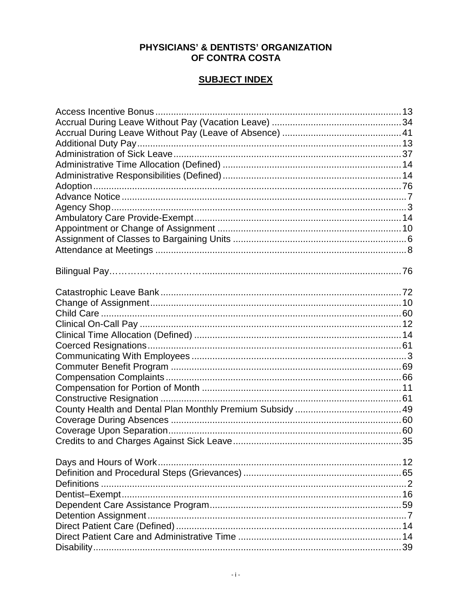#### PHYSICIANS' & DENTISTS' ORGANIZATION OF CONTRA COSTA

#### **SUBJECT INDEX**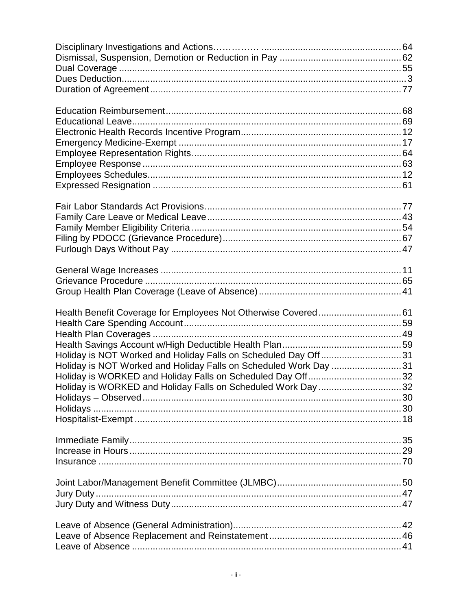| Holiday is NOT Worked and Holiday Falls on Scheduled Day Off31   |  |
|------------------------------------------------------------------|--|
| Holiday is NOT Worked and Holiday Falls on Scheduled Work Day 31 |  |
| Holiday is WORKED and Holiday Falls on Scheduled Day Off32       |  |
| Holiday is WORKED and Holiday Falls on Scheduled Work Day 32     |  |
|                                                                  |  |
|                                                                  |  |
|                                                                  |  |
|                                                                  |  |
|                                                                  |  |
|                                                                  |  |
|                                                                  |  |
|                                                                  |  |
|                                                                  |  |
|                                                                  |  |
|                                                                  |  |
|                                                                  |  |
|                                                                  |  |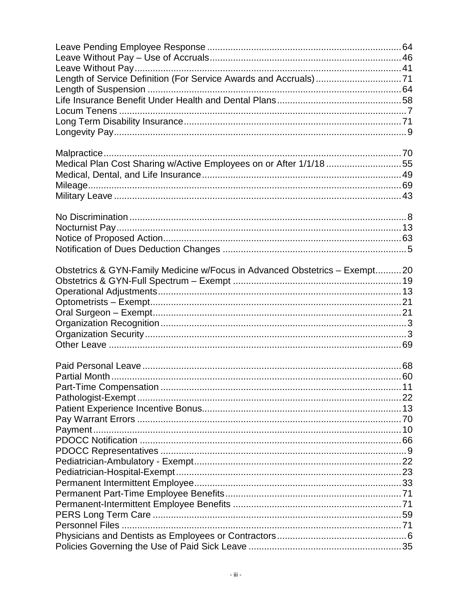| Length of Service Definition (For Service Awards and Accruals)71           |  |
|----------------------------------------------------------------------------|--|
|                                                                            |  |
|                                                                            |  |
|                                                                            |  |
|                                                                            |  |
|                                                                            |  |
| Medical Plan Cost Sharing w/Active Employees on or After 1/1/18 55         |  |
|                                                                            |  |
|                                                                            |  |
|                                                                            |  |
|                                                                            |  |
|                                                                            |  |
|                                                                            |  |
| Obstetrics & GYN-Family Medicine w/Focus in Advanced Obstetrics - Exempt20 |  |
|                                                                            |  |
|                                                                            |  |
|                                                                            |  |
|                                                                            |  |
|                                                                            |  |
|                                                                            |  |
|                                                                            |  |
|                                                                            |  |
|                                                                            |  |
|                                                                            |  |
|                                                                            |  |
|                                                                            |  |
|                                                                            |  |
|                                                                            |  |
|                                                                            |  |
|                                                                            |  |
|                                                                            |  |
|                                                                            |  |
|                                                                            |  |
|                                                                            |  |
|                                                                            |  |